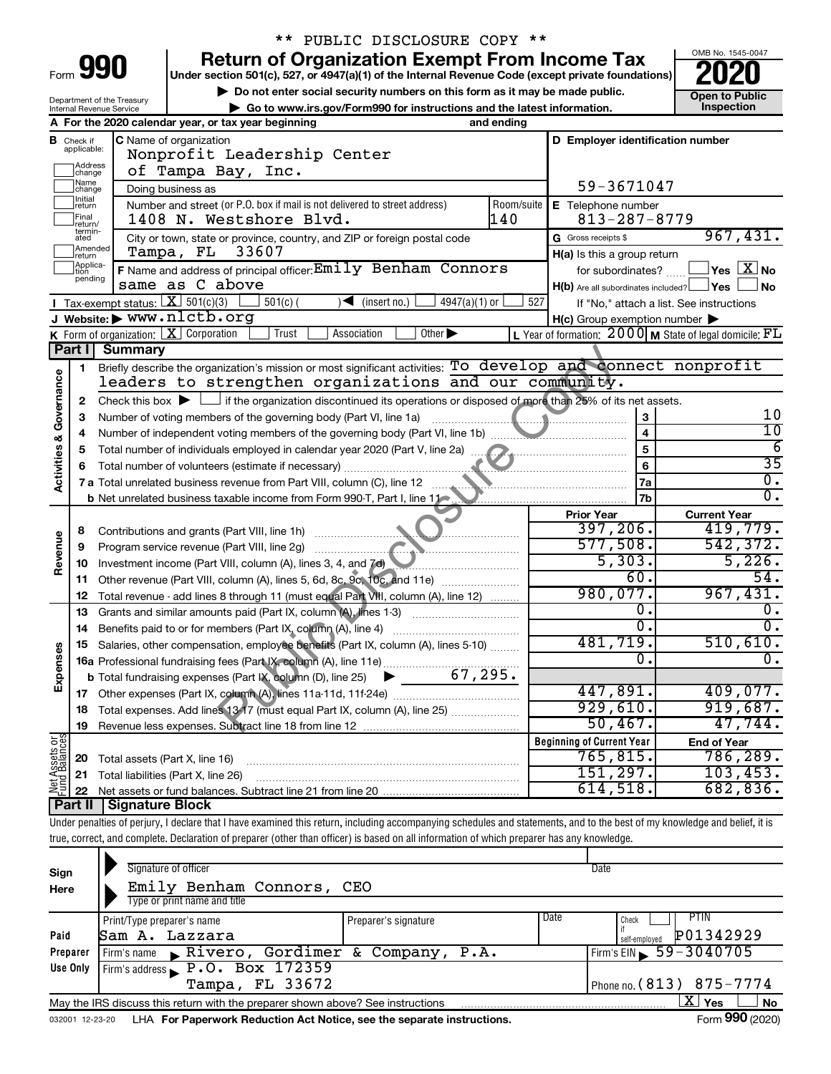| Form |  |  |
|------|--|--|
|      |  |  |

# \*\* PUBLIC DISCLOSURE COPY \*\*

**990** Return of Organization Exempt From Income Tax <br>
Under section 501(c), 527, or 4947(a)(1) of the Internal Revenue Code (except private foundations)<br> **PO20** 

**▶ Do not enter social security numbers on this form as it may be made public. Open to Public**<br>
inspection instructions and the latest information. Inspection



|                                                                                                                                     | Department of the Treasury<br>Go to www.irs.gov/Form990 for instructions and the latest information.<br>Internal Revenue Service |                                                                                                                                                                        |                                                                     |                                                                    |  |  |  |
|-------------------------------------------------------------------------------------------------------------------------------------|----------------------------------------------------------------------------------------------------------------------------------|------------------------------------------------------------------------------------------------------------------------------------------------------------------------|---------------------------------------------------------------------|--------------------------------------------------------------------|--|--|--|
|                                                                                                                                     |                                                                                                                                  | A For the 2020 calendar year, or tax year beginning<br>and ending                                                                                                      |                                                                     |                                                                    |  |  |  |
| В                                                                                                                                   | Check if<br>applicable:                                                                                                          | C Name of organization                                                                                                                                                 | D Employer identification number                                    |                                                                    |  |  |  |
|                                                                                                                                     |                                                                                                                                  | Nonprofit Leadership Center                                                                                                                                            |                                                                     |                                                                    |  |  |  |
|                                                                                                                                     | Address<br> change                                                                                                               | of Tampa Bay, Inc.                                                                                                                                                     |                                                                     |                                                                    |  |  |  |
|                                                                                                                                     | Name<br>change                                                                                                                   | Doing business as                                                                                                                                                      | 59-3671047                                                          |                                                                    |  |  |  |
| Initial<br>Number and street (or P.O. box if mail is not delivered to street address)<br>Room/suite<br>E Telephone number<br>return |                                                                                                                                  |                                                                                                                                                                        |                                                                     |                                                                    |  |  |  |
|                                                                                                                                     | Final<br>return/                                                                                                                 | 140<br>1408 N. Westshore Blvd.                                                                                                                                         | $813 - 287 - 8779$                                                  | 967,431.                                                           |  |  |  |
| termin-<br>G Gross receipts \$<br>City or town, state or province, country, and ZIP or foreign postal code<br>ated                  |                                                                                                                                  |                                                                                                                                                                        |                                                                     |                                                                    |  |  |  |
|                                                                                                                                     | Amended<br>Ireturn                                                                                                               | 33607<br>Tampa, FL                                                                                                                                                     | H(a) Is this a group return                                         |                                                                    |  |  |  |
|                                                                                                                                     | Applica-<br>Ition<br>pending                                                                                                     | F Name and address of principal officer: Emily Benham Connors                                                                                                          | for subordinates?                                                   | $\mathsf{\perp}$ Yes $\mathsf{\perp} \mathbf{X} \mathsf{\perp}$ No |  |  |  |
|                                                                                                                                     |                                                                                                                                  | same as C above                                                                                                                                                        | $H(b)$ Are all subordinates included? $\Box$ Yes                    | ⊿ No                                                               |  |  |  |
|                                                                                                                                     |                                                                                                                                  | Tax-exempt status: $X \over 301(c)(3)$<br>$501(c)$ (<br>$\sqrt{\bullet}$ (insert no.)<br>$4947(a)(1)$ or                                                               | 527<br>If "No," attach a list. See instructions                     |                                                                    |  |  |  |
|                                                                                                                                     |                                                                                                                                  | J Website: > www.nlctb.org                                                                                                                                             | $H(c)$ Group exemption number $\blacktriangleright$                 |                                                                    |  |  |  |
|                                                                                                                                     |                                                                                                                                  | K Form of organization: $X$ Corporation<br>Trust<br>Other $\blacktriangleright$<br>Association                                                                         | L Year of formation: $2000 \text{ M}$ State of legal domicile: $FL$ |                                                                    |  |  |  |
|                                                                                                                                     | Part I                                                                                                                           | <b>Summary</b>                                                                                                                                                         |                                                                     |                                                                    |  |  |  |
|                                                                                                                                     | 1                                                                                                                                | Briefly describe the organization's mission or most significant activities: To develop and connect nonprofit<br>leaders to strengthen organizations and our community. |                                                                     |                                                                    |  |  |  |
|                                                                                                                                     |                                                                                                                                  |                                                                                                                                                                        |                                                                     |                                                                    |  |  |  |
|                                                                                                                                     | 2                                                                                                                                | Check this box $\blacktriangleright$ $\Box$ if the organization discontinued its operations or disposed of more than 25% of its net assets.                            |                                                                     | 10                                                                 |  |  |  |
|                                                                                                                                     |                                                                                                                                  | 3<br>З<br>$\overline{4}$<br>Number of independent voting members of the governing body (Part VI, line 1b)                                                              |                                                                     |                                                                    |  |  |  |
|                                                                                                                                     | 4                                                                                                                                |                                                                                                                                                                        | 5                                                                   | 10<br>$\overline{6}$                                               |  |  |  |
|                                                                                                                                     | 5<br>6                                                                                                                           |                                                                                                                                                                        | 6                                                                   | $\overline{35}$                                                    |  |  |  |
| Activities & Governance                                                                                                             |                                                                                                                                  |                                                                                                                                                                        | 7a                                                                  | $\overline{0}$ .                                                   |  |  |  |
|                                                                                                                                     |                                                                                                                                  | <b>b</b> Net unrelated business taxable income from Form 990-T, Part I, line 11                                                                                        | 7b                                                                  | $\overline{0}$ .                                                   |  |  |  |
|                                                                                                                                     |                                                                                                                                  |                                                                                                                                                                        | <b>Prior Year</b>                                                   | <b>Current Year</b>                                                |  |  |  |
|                                                                                                                                     | 8                                                                                                                                |                                                                                                                                                                        | 397, 206.                                                           | 419,779.                                                           |  |  |  |
|                                                                                                                                     | 9                                                                                                                                | Program service revenue (Part VIII, line 2g)                                                                                                                           | 577,508.                                                            | 542, 372.                                                          |  |  |  |
| Revenue                                                                                                                             | 10                                                                                                                               | Investment income (Part VIII, column (A), lines 3, 4, and 7d)                                                                                                          | 5,303.                                                              | 5,226.                                                             |  |  |  |
|                                                                                                                                     | 11                                                                                                                               | Other revenue (Part VIII, column (A), lines 5, 6d, 8c, 9c, 10c, and 11e)                                                                                               | 60.                                                                 | 54.                                                                |  |  |  |
|                                                                                                                                     | 12                                                                                                                               | Total revenue - add lines 8 through 11 (must equal Part VIII, column (A), line 12)                                                                                     | 980,077.                                                            | 967,431.                                                           |  |  |  |
|                                                                                                                                     | 13                                                                                                                               | Grants and similar amounts paid (Part IX, column (A), lines 1-3)                                                                                                       | 0.                                                                  | 0.                                                                 |  |  |  |
|                                                                                                                                     | 14                                                                                                                               |                                                                                                                                                                        | $\overline{0}$ .                                                    | $\overline{0}$ .                                                   |  |  |  |
|                                                                                                                                     | 15                                                                                                                               | Salaries, other compensation, employee benefits (Part IX, column (A), lines 5-10)                                                                                      | 481,719.                                                            | 510,610.                                                           |  |  |  |
| Expenses                                                                                                                            |                                                                                                                                  |                                                                                                                                                                        | $\overline{0}$ .                                                    | 0.                                                                 |  |  |  |
|                                                                                                                                     |                                                                                                                                  |                                                                                                                                                                        |                                                                     |                                                                    |  |  |  |
|                                                                                                                                     |                                                                                                                                  |                                                                                                                                                                        | 447,891.                                                            | 409,077.                                                           |  |  |  |
|                                                                                                                                     |                                                                                                                                  | Total expenses. Add lines 13-17 (must equal Part IX, column (A), line 25) [                                                                                            | 929,610.                                                            | 919,687.                                                           |  |  |  |
|                                                                                                                                     | 19                                                                                                                               |                                                                                                                                                                        | 50,467.                                                             | 47,744.                                                            |  |  |  |
| Net Assets or                                                                                                                       |                                                                                                                                  |                                                                                                                                                                        | <b>Beginning of Current Year</b>                                    | <b>End of Year</b>                                                 |  |  |  |
|                                                                                                                                     | 20                                                                                                                               | Total assets (Part X, line 16)                                                                                                                                         | 765,815.                                                            | 786,289.                                                           |  |  |  |
|                                                                                                                                     | 21                                                                                                                               | Total liabilities (Part X, line 26)                                                                                                                                    | 151,297.                                                            | 103,453.                                                           |  |  |  |
|                                                                                                                                     | 22                                                                                                                               |                                                                                                                                                                        | 614,518.                                                            | 682,836.                                                           |  |  |  |
|                                                                                                                                     | Part II                                                                                                                          | Signature Block                                                                                                                                                        |                                                                     |                                                                    |  |  |  |

Under penalties of perjury, I declare that I have examined this return, including accompanying schedules and statements, and to the best of my knowledge and belief, it is true, correct, and complete. Declaration of preparer (other than officer) is based on all information of which preparer has any knowledge.

| Sign<br>Here    | Signature of officer<br>Emily Benham Connors, CEO<br>Type or print name and title |                      |      | Date                                        |
|-----------------|-----------------------------------------------------------------------------------|----------------------|------|---------------------------------------------|
| Paid            | Print/Type preparer's name<br>Sam A. Lazzara                                      | Preparer's signature | Date | PTIN<br>Check<br>P01342929<br>self-emploved |
| Preparer        | Firm's name Rivero, Gordimer & Company, $P.A.$                                    |                      |      | $Firm's EIN \ 59 - 3040705$                 |
| Use Only        | Firm's address $\sqrt{P \cdot 0} \cdot \overline{Box}$ 172359                     |                      |      |                                             |
|                 | Tampa, FL 33672                                                                   |                      |      | Phone no. (813) 875-7774                    |
|                 | May the IRS discuss this return with the preparer shown above? See instructions   |                      |      | x.<br><b>No</b><br>Yes                      |
| 032001 12-23-20 | LHA For Paperwork Reduction Act Notice, see the separate instructions.            |                      |      | Form 990 (2020)                             |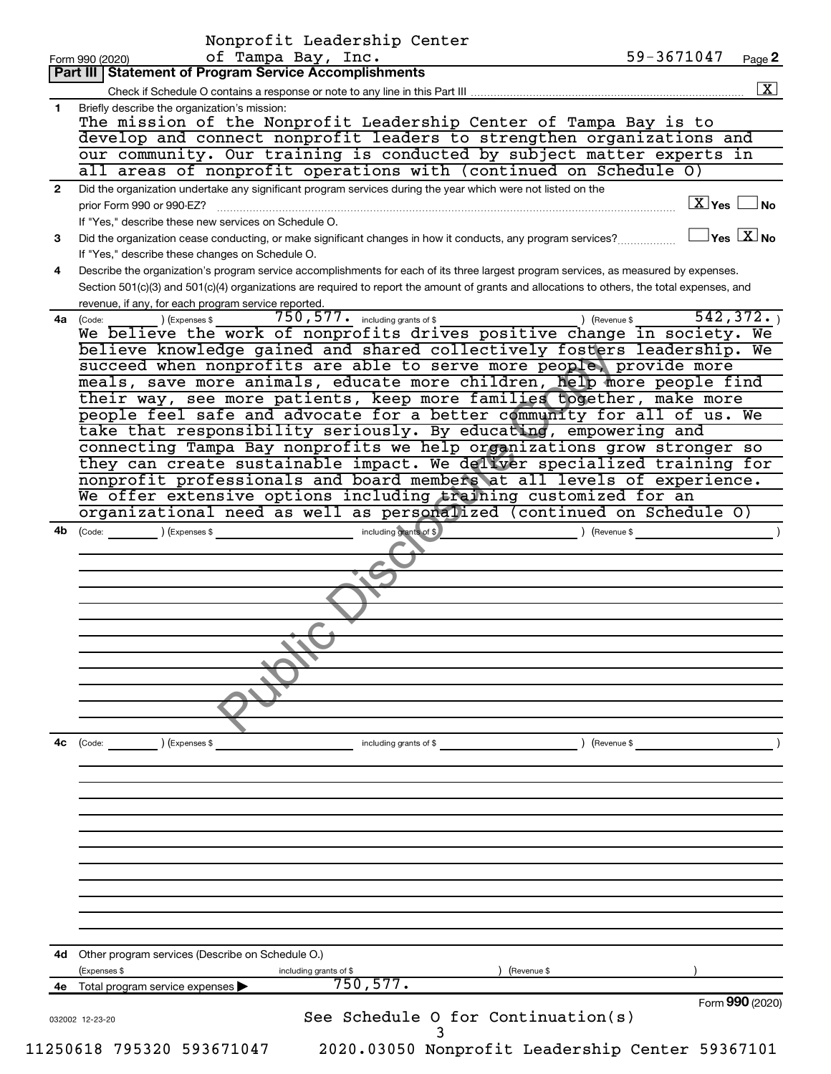|                | Nonprofit Leadership Center                                                                                                                                               |
|----------------|---------------------------------------------------------------------------------------------------------------------------------------------------------------------------|
|                | of Tampa Bay, Inc.<br>59-3671047<br>Page 2<br>Form 990 (2020)                                                                                                             |
|                | Part III   Statement of Program Service Accomplishments                                                                                                                   |
|                |                                                                                                                                                                           |
| 1              | Briefly describe the organization's mission:<br>The mission of the Nonprofit Leadership Center of Tampa Bay is to                                                         |
|                |                                                                                                                                                                           |
|                | develop and connect nonprofit leaders to strengthen organizations and                                                                                                     |
|                | our community. Our training is conducted by subject matter experts in                                                                                                     |
|                | all areas of nonprofit operations with (continued on Schedule 0)                                                                                                          |
| $\overline{2}$ | Did the organization undertake any significant program services during the year which were not listed on the                                                              |
|                | $\boxed{\text{X}}$ Yes<br>⊿No<br>prior Form 990 or 990-EZ?                                                                                                                |
|                | If "Yes," describe these new services on Schedule O.                                                                                                                      |
| 3              | $\sqrt{}$ Yes $\left\lfloor \frac{X}{X} \right\rfloor$ No<br>Did the organization cease conducting, or make significant changes in how it conducts, any program services? |
|                | If "Yes," describe these changes on Schedule O.                                                                                                                           |
| 4              | Describe the organization's program service accomplishments for each of its three largest program services, as measured by expenses.                                      |
|                | Section 501(c)(3) and 501(c)(4) organizations are required to report the amount of grants and allocations to others, the total expenses, and                              |
|                | revenue, if any, for each program service reported.                                                                                                                       |
|                | $750, 577$ $\cdot$ including grants of \$<br>542, 372.<br>) (Revenue \$<br>4a (Code:<br>) (Expenses \$                                                                    |
|                | We believe the work of nonprofits drives positive change in society. We                                                                                                   |
|                | believe knowledge gained and shared collectively fosters leadership. We                                                                                                   |
|                | succeed when nonprofits are able to serve more people, provide more                                                                                                       |
|                | meals, save more animals, educate more children, help more people find                                                                                                    |
|                | their way, see more patients, keep more families together, make more                                                                                                      |
|                | people feel safe and advocate for a better community for all of us. We                                                                                                    |
|                | take that responsibility seriously. By educating, empowering and                                                                                                          |
|                | connecting Tampa Bay nonprofits we help organizations grow stronger so                                                                                                    |
|                | they can create sustainable impact. We deliver specialized training for                                                                                                   |
|                | nonprofit professionals and board members at all levels of experience.                                                                                                    |
|                | We offer extensive options including training customized for an                                                                                                           |
|                | organizational need as well as personalized (continued on Schedule O)                                                                                                     |
| 4b             | including grants of \$<br>(Code: ) (Expenses \$<br>$\sqrt{3}$ (Revenue \$                                                                                                 |
|                |                                                                                                                                                                           |
|                |                                                                                                                                                                           |
|                |                                                                                                                                                                           |
|                |                                                                                                                                                                           |
|                |                                                                                                                                                                           |
|                |                                                                                                                                                                           |
|                |                                                                                                                                                                           |
|                |                                                                                                                                                                           |
|                |                                                                                                                                                                           |
|                |                                                                                                                                                                           |
|                |                                                                                                                                                                           |
|                |                                                                                                                                                                           |
| 4с             | (Expenses \$<br>) (Revenue \$<br>(Code:<br>including grants of \$                                                                                                         |
|                |                                                                                                                                                                           |
|                |                                                                                                                                                                           |
|                |                                                                                                                                                                           |
|                |                                                                                                                                                                           |
|                |                                                                                                                                                                           |
|                |                                                                                                                                                                           |
|                |                                                                                                                                                                           |
|                |                                                                                                                                                                           |
|                |                                                                                                                                                                           |
|                |                                                                                                                                                                           |
|                |                                                                                                                                                                           |
|                |                                                                                                                                                                           |
|                |                                                                                                                                                                           |
|                |                                                                                                                                                                           |
|                | 4d Other program services (Describe on Schedule O.)                                                                                                                       |
|                | (Expenses \$<br>(Revenue \$<br>including grants of \$                                                                                                                     |
|                | 750, 577.<br>Total program service expenses                                                                                                                               |
|                | Form 990 (2020)<br>See Schedule O for Continuation(s)<br>032002 12-23-20                                                                                                  |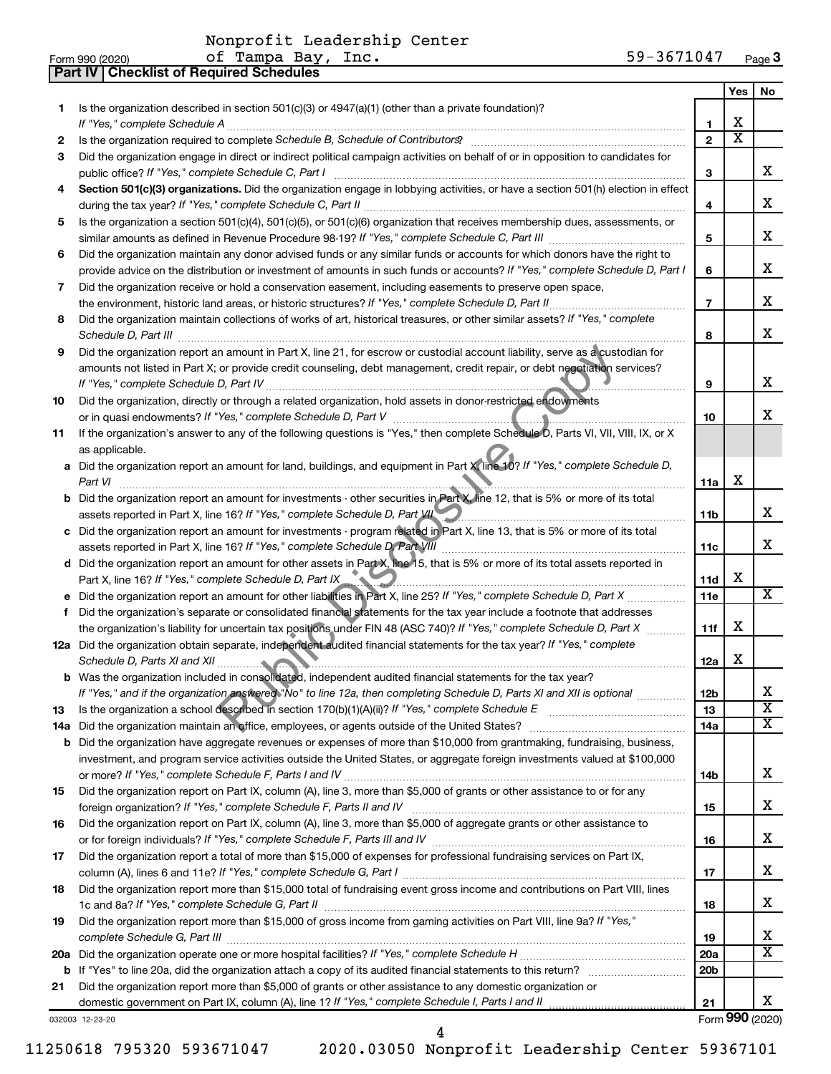**Part IV Checklist of Required Schedules**

| Form 990 (2020) | Tampa<br>Bav<br>Inc.<br>оt | 3671047<br>$59 -$<br>Page 3 |
|-----------------|----------------------------|-----------------------------|
|-----------------|----------------------------|-----------------------------|

|     |                                                                                                                                                                                                                                                                                                 |                 | Yes                   | No                      |
|-----|-------------------------------------------------------------------------------------------------------------------------------------------------------------------------------------------------------------------------------------------------------------------------------------------------|-----------------|-----------------------|-------------------------|
| 1.  | Is the organization described in section $501(c)(3)$ or $4947(a)(1)$ (other than a private foundation)?                                                                                                                                                                                         |                 |                       |                         |
|     | If "Yes," complete Schedule A                                                                                                                                                                                                                                                                   | 1.              | X                     |                         |
| 2   |                                                                                                                                                                                                                                                                                                 | $\mathbf{z}$    | $\overline{\text{x}}$ |                         |
| 3   | Did the organization engage in direct or indirect political campaign activities on behalf of or in opposition to candidates for                                                                                                                                                                 |                 |                       |                         |
|     |                                                                                                                                                                                                                                                                                                 | 3               |                       | x                       |
| 4   | Section 501(c)(3) organizations. Did the organization engage in lobbying activities, or have a section 501(h) election in effect                                                                                                                                                                |                 |                       |                         |
|     |                                                                                                                                                                                                                                                                                                 | 4               |                       | x                       |
| 5   | Is the organization a section 501(c)(4), 501(c)(5), or 501(c)(6) organization that receives membership dues, assessments, or                                                                                                                                                                    |                 |                       | x                       |
|     |                                                                                                                                                                                                                                                                                                 | 5               |                       |                         |
| 6   | Did the organization maintain any donor advised funds or any similar funds or accounts for which donors have the right to                                                                                                                                                                       |                 |                       | x                       |
|     | provide advice on the distribution or investment of amounts in such funds or accounts? If "Yes," complete Schedule D, Part I                                                                                                                                                                    | 6               |                       |                         |
| 7   | Did the organization receive or hold a conservation easement, including easements to preserve open space,<br>the environment, historic land areas, or historic structures? If "Yes," complete Schedule D, Part II                                                                               | $\overline{7}$  |                       | x                       |
| 8   | Did the organization maintain collections of works of art, historical treasures, or other similar assets? If "Yes," complete                                                                                                                                                                    |                 |                       |                         |
|     |                                                                                                                                                                                                                                                                                                 | 8               |                       | x                       |
| 9   | Did the organization report an amount in Part X, line 21, for escrow or custodial account liability, serve as a custodian for                                                                                                                                                                   |                 |                       |                         |
|     | amounts not listed in Part X; or provide credit counseling, debt management, credit repair, or debt negotiation services?                                                                                                                                                                       |                 |                       |                         |
|     |                                                                                                                                                                                                                                                                                                 | 9               |                       | х                       |
| 10  | Did the organization, directly or through a related organization, hold assets in donor-restricted endowments                                                                                                                                                                                    |                 |                       |                         |
|     |                                                                                                                                                                                                                                                                                                 | 10              |                       | х                       |
| 11  | If the organization's answer to any of the following questions is "Yes," then complete Schedule D, Parts VI, VII, VIII, IX, or X                                                                                                                                                                |                 |                       |                         |
|     | as applicable.                                                                                                                                                                                                                                                                                  |                 |                       |                         |
| а   | Did the organization report an amount for land, buildings, and equipment in Part X line 10? If "Yes," complete Schedule D,                                                                                                                                                                      |                 |                       |                         |
|     | Part VI                                                                                                                                                                                                                                                                                         | 11a             | х                     |                         |
| b   | Did the organization report an amount for investments - other securities in Part X, line 12, that is 5% or more of its total                                                                                                                                                                    |                 |                       |                         |
|     | assets reported in Part X, line 16? If "Yes," complete Schedule D, Part VII                                                                                                                                                                                                                     | 11b             |                       | x                       |
| с   | Did the organization report an amount for investments - program related in Part X, line 13, that is 5% or more of its total                                                                                                                                                                     |                 |                       |                         |
|     | assets reported in Part X, line 16? If "Yes," complete Schedule D, Part VIII                                                                                                                                                                                                                    | 11c             |                       | x                       |
| d   | Did the organization report an amount for other assets in Part X, line 15, that is 5% or more of its total assets reported in                                                                                                                                                                   |                 | X                     |                         |
|     | Part X, line 16? If "Yes," complete Schedule D, Part IX<br><u> 1989 - Januar Stein, fransk politiker og den større og en større og det blev til større og det blev til større og det blev til større og det blev til større og det blev til større og det blev til større og det blev til s</u> | 11d<br>11e      |                       | X                       |
| f   | Did the organization's separate or consolidated financial statements for the tax year include a footnote that addresses                                                                                                                                                                         |                 |                       |                         |
|     | the organization's liability for uncertain tax positions under FIN 48 (ASC 740)? If "Yes," complete Schedule D, Part X                                                                                                                                                                          | 11f             | X                     |                         |
|     | 12a Did the organization obtain separate, independent audited financial statements for the tax year? If "Yes," complete                                                                                                                                                                         |                 |                       |                         |
|     |                                                                                                                                                                                                                                                                                                 | 12a             | х                     |                         |
|     | Was the organization included in consolidated, independent audited financial statements for the tax year?                                                                                                                                                                                       |                 |                       |                         |
|     | If "Yes," and if the organization answered "No" to line 12a, then completing Schedule D, Parts XI and XII is optional <i>manuma</i>                                                                                                                                                             | 12b             |                       | ᅀ                       |
| 13  |                                                                                                                                                                                                                                                                                                 | 13              |                       | $\overline{\textbf{x}}$ |
| 14a | Did the organization maintain an office, employees, or agents outside of the United States?                                                                                                                                                                                                     | 14a             |                       | X                       |
| b   | Did the organization have aggregate revenues or expenses of more than \$10,000 from grantmaking, fundraising, business,                                                                                                                                                                         |                 |                       |                         |
|     | investment, and program service activities outside the United States, or aggregate foreign investments valued at \$100,000                                                                                                                                                                      |                 |                       |                         |
|     |                                                                                                                                                                                                                                                                                                 | 14b             |                       | х                       |
| 15  | Did the organization report on Part IX, column (A), line 3, more than \$5,000 of grants or other assistance to or for any                                                                                                                                                                       |                 |                       |                         |
|     |                                                                                                                                                                                                                                                                                                 | 15              |                       | х                       |
| 16  | Did the organization report on Part IX, column (A), line 3, more than \$5,000 of aggregate grants or other assistance to                                                                                                                                                                        |                 |                       | х                       |
|     | Did the organization report a total of more than \$15,000 of expenses for professional fundraising services on Part IX,                                                                                                                                                                         | 16              |                       |                         |
| 17  |                                                                                                                                                                                                                                                                                                 | 17              |                       | х                       |
| 18  | Did the organization report more than \$15,000 total of fundraising event gross income and contributions on Part VIII, lines                                                                                                                                                                    |                 |                       |                         |
|     |                                                                                                                                                                                                                                                                                                 | 18              |                       | x                       |
| 19  | Did the organization report more than \$15,000 of gross income from gaming activities on Part VIII, line 9a? If "Yes,"                                                                                                                                                                          |                 |                       |                         |
|     |                                                                                                                                                                                                                                                                                                 | 19              |                       | x                       |
| 20a |                                                                                                                                                                                                                                                                                                 | 20a             |                       | $\overline{\text{X}}$   |
| b   |                                                                                                                                                                                                                                                                                                 | 20 <sub>b</sub> |                       |                         |
| 21  | Did the organization report more than \$5,000 of grants or other assistance to any domestic organization or                                                                                                                                                                                     |                 |                       |                         |
|     |                                                                                                                                                                                                                                                                                                 | 21              |                       | x                       |
|     | 032003 12-23-20                                                                                                                                                                                                                                                                                 |                 |                       | Form 990 (2020)         |

4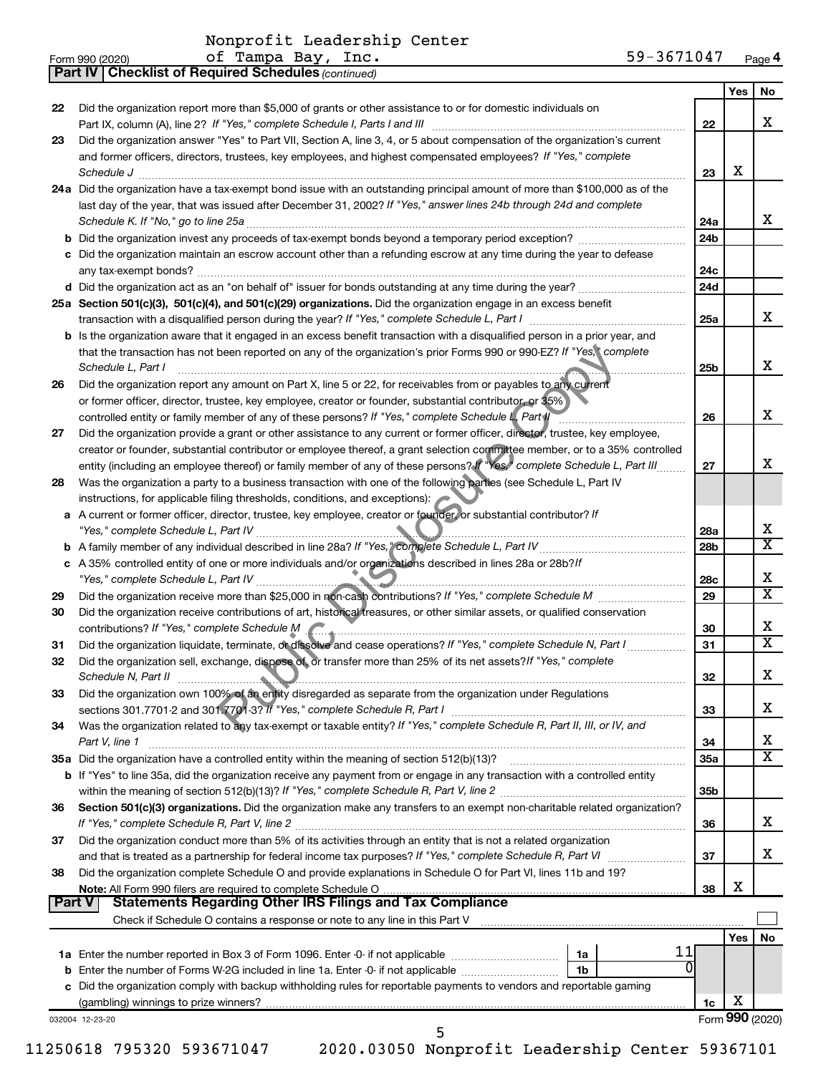|               | <b>Part IV   Checklist of Required Schedules (continued)</b>                                                                                                                                                                                                                                                                                      |                 |     |                         |
|---------------|---------------------------------------------------------------------------------------------------------------------------------------------------------------------------------------------------------------------------------------------------------------------------------------------------------------------------------------------------|-----------------|-----|-------------------------|
|               |                                                                                                                                                                                                                                                                                                                                                   |                 | Yes | No                      |
| 22            | Did the organization report more than \$5,000 of grants or other assistance to or for domestic individuals on                                                                                                                                                                                                                                     |                 |     |                         |
|               |                                                                                                                                                                                                                                                                                                                                                   | 22              |     | x                       |
| 23            | Did the organization answer "Yes" to Part VII, Section A, line 3, 4, or 5 about compensation of the organization's current                                                                                                                                                                                                                        |                 |     |                         |
|               | and former officers, directors, trustees, key employees, and highest compensated employees? If "Yes," complete                                                                                                                                                                                                                                    |                 |     |                         |
|               | Schedule J <b>Example 2 Contract 2 Contract 2 Contract 2 Contract 2 Contract 2 Contract 2 Contract 2 Contract 2 Contract 2 Contract 2 Contract 2 Contract 2 Contract 2 Contract 2 Contract 2 Con</b>                                                                                                                                              | 23              | х   |                         |
|               | 24a Did the organization have a tax-exempt bond issue with an outstanding principal amount of more than \$100,000 as of the                                                                                                                                                                                                                       |                 |     |                         |
|               | last day of the year, that was issued after December 31, 2002? If "Yes," answer lines 24b through 24d and complete                                                                                                                                                                                                                                |                 |     |                         |
|               |                                                                                                                                                                                                                                                                                                                                                   | 24a             |     | x                       |
|               |                                                                                                                                                                                                                                                                                                                                                   | 24 <sub>b</sub> |     |                         |
|               | c Did the organization maintain an escrow account other than a refunding escrow at any time during the year to defease                                                                                                                                                                                                                            |                 |     |                         |
|               |                                                                                                                                                                                                                                                                                                                                                   | 24c             |     |                         |
|               |                                                                                                                                                                                                                                                                                                                                                   |                 |     |                         |
|               | d Did the organization act as an "on behalf of" issuer for bonds outstanding at any time during the year?                                                                                                                                                                                                                                         | 24 <sub>d</sub> |     |                         |
|               | 25a Section 501(c)(3), 501(c)(4), and 501(c)(29) organizations. Did the organization engage in an excess benefit                                                                                                                                                                                                                                  |                 |     | x                       |
|               |                                                                                                                                                                                                                                                                                                                                                   | 25a             |     |                         |
|               | b Is the organization aware that it engaged in an excess benefit transaction with a disqualified person in a prior year, and                                                                                                                                                                                                                      |                 |     |                         |
|               | that the transaction has not been reported on any of the organization's prior Forms 990 or 990-EZ? If "Yes," complete                                                                                                                                                                                                                             |                 |     |                         |
|               | Schedule L, Part I                                                                                                                                                                                                                                                                                                                                | 25b             |     | х                       |
| 26            | Did the organization report any amount on Part X, line 5 or 22, for receivables from or payables to any current                                                                                                                                                                                                                                   |                 |     |                         |
|               | or former officer, director, trustee, key employee, creator or founder, substantial contributor, or 35%)                                                                                                                                                                                                                                          |                 |     |                         |
|               | controlled entity or family member of any of these persons? If "Yes," complete Schedule L. Part II                                                                                                                                                                                                                                                | 26              |     | x                       |
| 27            | Did the organization provide a grant or other assistance to any current or former officer, director, trustee, key employee,                                                                                                                                                                                                                       |                 |     |                         |
|               | creator or founder, substantial contributor or employee thereof, a grant selection committee member, or to a 35% controlled                                                                                                                                                                                                                       |                 |     |                         |
|               | entity (including an employee thereof) or family member of any of these persons? If "Yes," complete Schedule L, Part III                                                                                                                                                                                                                          | 27              |     | x                       |
| 28            | Was the organization a party to a business transaction with one of the following parties (see Schedule L, Part IV                                                                                                                                                                                                                                 |                 |     |                         |
|               | instructions, for applicable filing thresholds, conditions, and exceptions):                                                                                                                                                                                                                                                                      |                 |     |                         |
|               | a A current or former officer, director, trustee, key employee, creator or founder, or substantial contributor? If                                                                                                                                                                                                                                |                 |     |                         |
|               |                                                                                                                                                                                                                                                                                                                                                   | 28a             |     | x                       |
|               |                                                                                                                                                                                                                                                                                                                                                   | 28 <sub>b</sub> |     | $\overline{\texttt{x}}$ |
|               | c A 35% controlled entity of one or more individuals and/or organizations described in lines 28a or 28b?If                                                                                                                                                                                                                                        |                 |     |                         |
|               |                                                                                                                                                                                                                                                                                                                                                   | 28c             |     | x                       |
| 29            |                                                                                                                                                                                                                                                                                                                                                   | 29              |     | $\overline{\texttt{x}}$ |
| 30            | Did the organization receive contributions of art, historical treasures, or other similar assets, or qualified conservation                                                                                                                                                                                                                       |                 |     |                         |
|               | contributions? If "Yes," complete Schedule M                                                                                                                                                                                                                                                                                                      | 30              |     | x                       |
| 31            | Did the organization liquidate, terminate, or dissolve and cease operations? If "Yes," complete Schedule N, Part I                                                                                                                                                                                                                                | 31              |     | X                       |
| 32            | Did the organization sell, exchange, dispose of, or transfer more than 25% of its net assets? If "Yes," complete                                                                                                                                                                                                                                  |                 |     |                         |
|               |                                                                                                                                                                                                                                                                                                                                                   | 32              |     | ▵                       |
| 33            | Schedule N, Part II <b>Electronic Construction of the Construction</b> of the Construction of the Construction of the Construction of the Construction of the Construction of the Construction of the Construction of the Construct<br>Did the organization own 100% of an entity disregarded as separate from the organization under Regulations |                 |     |                         |
|               |                                                                                                                                                                                                                                                                                                                                                   | 33              |     | х                       |
| 34            | Was the organization related to any tax-exempt or taxable entity? If "Yes," complete Schedule R, Part II, III, or IV, and                                                                                                                                                                                                                         |                 |     |                         |
|               |                                                                                                                                                                                                                                                                                                                                                   |                 |     | x                       |
|               | Part V, line 1                                                                                                                                                                                                                                                                                                                                    | 34              |     | $\overline{\text{X}}$   |
|               | 35a Did the organization have a controlled entity within the meaning of section 512(b)(13)?                                                                                                                                                                                                                                                       | 35a             |     |                         |
|               | b If "Yes" to line 35a, did the organization receive any payment from or engage in any transaction with a controlled entity                                                                                                                                                                                                                       |                 |     |                         |
|               |                                                                                                                                                                                                                                                                                                                                                   | 35 <sub>b</sub> |     |                         |
| 36            | Section 501(c)(3) organizations. Did the organization make any transfers to an exempt non-charitable related organization?                                                                                                                                                                                                                        |                 |     |                         |
|               |                                                                                                                                                                                                                                                                                                                                                   | 36              |     | x.                      |
| 37            | Did the organization conduct more than 5% of its activities through an entity that is not a related organization                                                                                                                                                                                                                                  |                 |     |                         |
|               |                                                                                                                                                                                                                                                                                                                                                   | 37              |     | x                       |
| 38            | Did the organization complete Schedule O and provide explanations in Schedule O for Part VI, lines 11b and 19?                                                                                                                                                                                                                                    |                 |     |                         |
|               |                                                                                                                                                                                                                                                                                                                                                   | 38              | х   |                         |
| <b>Part V</b> | <b>Statements Regarding Other IRS Filings and Tax Compliance</b>                                                                                                                                                                                                                                                                                  |                 |     |                         |
|               | Check if Schedule O contains a response or note to any line in this Part V [11] [12] Check if Schedule O contains a response or note to any line in this Part V                                                                                                                                                                                   |                 |     |                         |
|               |                                                                                                                                                                                                                                                                                                                                                   |                 | Yes | <b>No</b>               |
|               | 11<br>1а                                                                                                                                                                                                                                                                                                                                          |                 |     |                         |
|               | 0<br>1b                                                                                                                                                                                                                                                                                                                                           |                 |     |                         |
|               | c Did the organization comply with backup withholding rules for reportable payments to vendors and reportable gaming                                                                                                                                                                                                                              |                 |     |                         |
|               |                                                                                                                                                                                                                                                                                                                                                   | 1c              | х   |                         |
|               | 032004 12-23-20                                                                                                                                                                                                                                                                                                                                   |                 |     | Form 990 (2020)         |
|               | 5                                                                                                                                                                                                                                                                                                                                                 |                 |     |                         |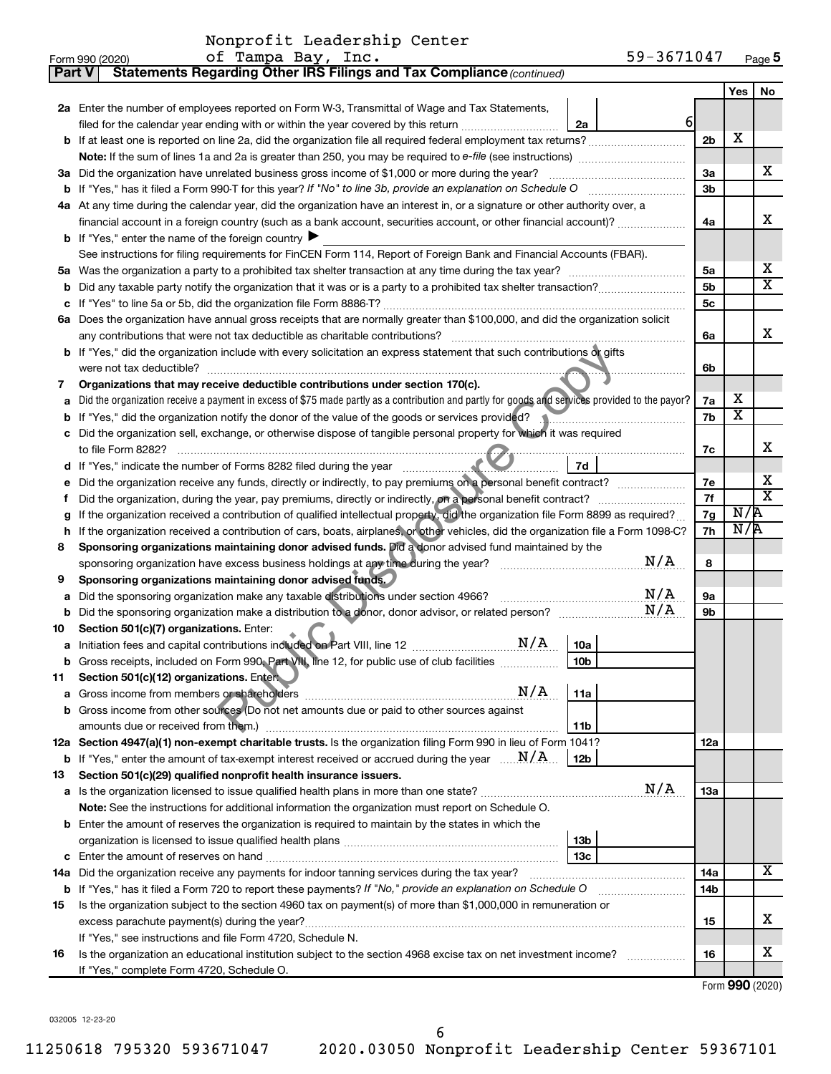| <b>Part V</b> | <b>Statements Regarding Other IRS Filings and Tax Compliance (continued)</b>                                                                                 |          |                         |                              |  |  |
|---------------|--------------------------------------------------------------------------------------------------------------------------------------------------------------|----------|-------------------------|------------------------------|--|--|
|               |                                                                                                                                                              |          | Yes                     | No                           |  |  |
|               | 2a Enter the number of employees reported on Form W-3, Transmittal of Wage and Tax Statements,                                                               |          |                         |                              |  |  |
|               | $6 \mid$<br>filed for the calendar year ending with or within the year covered by this return<br>2a                                                          |          |                         |                              |  |  |
| b             |                                                                                                                                                              | 2b       | Х                       |                              |  |  |
|               |                                                                                                                                                              |          |                         |                              |  |  |
| За            | Did the organization have unrelated business gross income of \$1,000 or more during the year?                                                                | За       |                         | х                            |  |  |
| b             |                                                                                                                                                              | 3b       |                         |                              |  |  |
|               | 4a At any time during the calendar year, did the organization have an interest in, or a signature or other authority over, a                                 |          |                         |                              |  |  |
|               | financial account in a foreign country (such as a bank account, securities account, or other financial account)?                                             | 4a       |                         | х                            |  |  |
|               | <b>b</b> If "Yes," enter the name of the foreign country $\blacktriangleright$                                                                               |          |                         |                              |  |  |
|               | See instructions for filing requirements for FinCEN Form 114, Report of Foreign Bank and Financial Accounts (FBAR).                                          |          |                         |                              |  |  |
| 5a            |                                                                                                                                                              | 5a       |                         | х                            |  |  |
| b             |                                                                                                                                                              | 5b       |                         | $\overline{\textbf{X}}$      |  |  |
|               |                                                                                                                                                              | 5c       |                         |                              |  |  |
| 6а            | Does the organization have annual gross receipts that are normally greater than \$100,000, and did the organization solicit                                  |          |                         |                              |  |  |
|               | any contributions that were not tax deductible as charitable contributions?                                                                                  | 6a       |                         | х                            |  |  |
| b             | If "Yes," did the organization include with every solicitation an express statement that such contributions or gifts                                         |          |                         |                              |  |  |
|               | were not tax deductible?                                                                                                                                     | 6b       |                         |                              |  |  |
| 7             | Organizations that may receive deductible contributions under section 170(c).                                                                                |          |                         |                              |  |  |
| a             | Did the organization receive a payment in excess of \$75 made partly as a contribution and partly for goods and services provided to the payor?              | 7a       | х                       |                              |  |  |
| b             | If "Yes," did the organization notify the donor of the value of the goods or services provided?                                                              | 7b       | $\overline{\mathbf{X}}$ |                              |  |  |
|               | Did the organization sell, exchange, or otherwise dispose of tangible personal property for which it was required                                            |          |                         |                              |  |  |
|               | to file Form 8282?                                                                                                                                           | 7c       |                         | х                            |  |  |
| d             | 7d<br>If "Yes," indicate the number of Forms 8282 filed during the year                                                                                      |          |                         |                              |  |  |
|               | Did the organization receive any funds, directly or indirectly, to pay premiums on a personal benefit contract?                                              | 7е<br>7f |                         | х<br>$\overline{\texttt{x}}$ |  |  |
| f             |                                                                                                                                                              |          |                         |                              |  |  |
| g             | If the organization received a contribution of qualified intellectual property, did the organization file Form 8899 as required?                             |          |                         |                              |  |  |
| h             | If the organization received a contribution of cars, boats, airplanes, or other vehicles, did the organization file a Form 1098-C?                           | 7h       | N/R                     |                              |  |  |
| 8             | Sponsoring organizations maintaining donor advised funds. Did a donor advised fund maintained by the                                                         |          |                         |                              |  |  |
|               | N/A<br>sponsoring organization have excess business holdings at any time during the year? [11111111111111111111111111                                        | 8        |                         |                              |  |  |
| 9             | Sponsoring organizations maintaining donor advised funds.                                                                                                    |          |                         |                              |  |  |
| а             | N/A<br>Did the sponsoring organization make any taxable distributions under section 4966?                                                                    | 9а       |                         |                              |  |  |
| b             | N/A                                                                                                                                                          | 9b       |                         |                              |  |  |
| 10            | Section 501(c)(7) organizations. Enter:                                                                                                                      |          |                         |                              |  |  |
| а             | 10a                                                                                                                                                          |          |                         |                              |  |  |
|               | Gross receipts, included on Form 990, Part VIII, line 12, for public use of club facilities<br>10 <sub>b</sub>                                               |          |                         |                              |  |  |
| 11            | Section 501(c)(12) organizations. Enter<br>N/A                                                                                                               |          |                         |                              |  |  |
| а             | 11a                                                                                                                                                          |          |                         |                              |  |  |
| b             | Gross income from other sources (Do not net amounts due or paid to other sources against                                                                     |          |                         |                              |  |  |
|               | amounts due or received from them.)<br>11b<br>12a Section 4947(a)(1) non-exempt charitable trusts. Is the organization filing Form 990 in lieu of Form 1041? | 12a      |                         |                              |  |  |
|               | <b>b</b> If "Yes," enter the amount of tax-exempt interest received or accrued during the year $\ldots$ $\mathbf{N}/\mathbf{A}$ .<br>12 <sub>b</sub>         |          |                         |                              |  |  |
| 13            | Section 501(c)(29) qualified nonprofit health insurance issuers.                                                                                             |          |                         |                              |  |  |
|               | N/A<br><b>a</b> Is the organization licensed to issue qualified health plans in more than one state?                                                         | 1За      |                         |                              |  |  |
|               | <b>Note:</b> See the instructions for additional information the organization must report on Schedule O.                                                     |          |                         |                              |  |  |
| b             | Enter the amount of reserves the organization is required to maintain by the states in which the                                                             |          |                         |                              |  |  |
|               | 13b                                                                                                                                                          |          |                         |                              |  |  |
| с             | 13c                                                                                                                                                          |          |                         |                              |  |  |
|               | 14a Did the organization receive any payments for indoor tanning services during the tax year?                                                               | 14a      |                         | x                            |  |  |
|               | <b>b</b> If "Yes," has it filed a Form 720 to report these payments? If "No," provide an explanation on Schedule O                                           | 14b      |                         |                              |  |  |
| 15            | Is the organization subject to the section 4960 tax on payment(s) of more than \$1,000,000 in remuneration or                                                |          |                         |                              |  |  |
|               | excess parachute payment(s) during the year?                                                                                                                 | 15       |                         | х                            |  |  |
|               | If "Yes," see instructions and file Form 4720, Schedule N.                                                                                                   |          |                         |                              |  |  |
| 16            | Is the organization an educational institution subject to the section 4968 excise tax on net investment income?                                              | 16       |                         | x                            |  |  |
|               | If "Yes," complete Form 4720, Schedule O.                                                                                                                    |          |                         |                              |  |  |

Form (2020) **990**

032005 12-23-20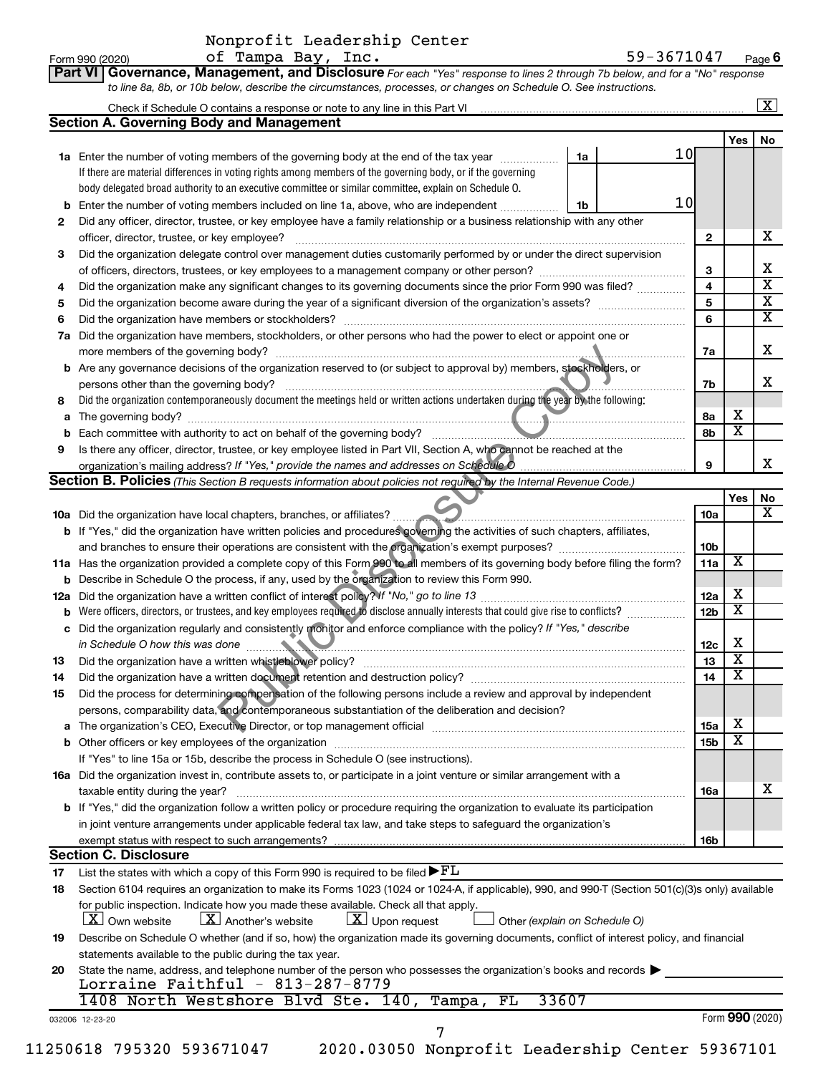|                 | Nonprofit Leadership Center |                                                                                                                             |            |      |
|-----------------|-----------------------------|-----------------------------------------------------------------------------------------------------------------------------|------------|------|
| Form 990 (2020) | of Tampa Bay, Inc.          |                                                                                                                             | 59-3671047 | Page |
|                 |                             | Part VI Governance, Management, and Disclosure For each "Yes" response to lines 2 through 7b below, and for a "No" response |            |      |
|                 |                             | to line 8a, 8b, or 10b below, describe the circumstances, processes, or changes on Schedule O. See instructions.            |            |      |

|    |                                                                                                                                                                               |    |                 |                        |                         | $\overline{\text{X}}$         |
|----|-------------------------------------------------------------------------------------------------------------------------------------------------------------------------------|----|-----------------|------------------------|-------------------------|-------------------------------|
|    | <b>Section A. Governing Body and Management</b>                                                                                                                               |    |                 |                        |                         |                               |
|    |                                                                                                                                                                               |    |                 |                        | Yes                     | No.                           |
|    | 1a Enter the number of voting members of the governing body at the end of the tax year <i>manumum</i>                                                                         | 1a | 10 <sub>l</sub> |                        |                         |                               |
|    | If there are material differences in voting rights among members of the governing body, or if the governing                                                                   |    |                 |                        |                         |                               |
|    | body delegated broad authority to an executive committee or similar committee, explain on Schedule O.                                                                         |    |                 |                        |                         |                               |
|    | <b>b</b> Enter the number of voting members included on line 1a, above, who are independent                                                                                   | 1b | 10              |                        |                         |                               |
| 2  | Did any officer, director, trustee, or key employee have a family relationship or a business relationship with any other                                                      |    |                 |                        |                         |                               |
|    |                                                                                                                                                                               |    |                 | $\mathbf{2}$           |                         | х                             |
| 3  | Did the organization delegate control over management duties customarily performed by or under the direct supervision                                                         |    |                 |                        |                         |                               |
|    | of officers, directors, trustees, or key employees to a management company or other person?                                                                                   |    |                 | 3                      |                         | x                             |
| 4  | Did the organization make any significant changes to its governing documents since the prior Form 990 was filed?                                                              |    |                 | 4                      |                         | $\overline{\textbf{x}}$       |
| 5  |                                                                                                                                                                               |    |                 | 5                      |                         | $\overline{\text{x}}$         |
| 6  |                                                                                                                                                                               |    |                 | 6                      |                         | $\overline{\textbf{x}}$       |
|    | 7a Did the organization have members, stockholders, or other persons who had the power to elect or appoint one or                                                             |    |                 |                        |                         |                               |
|    |                                                                                                                                                                               |    |                 | 7a                     |                         | х                             |
|    | b Are any governance decisions of the organization reserved to (or subject to approval by) members, stockholders, or                                                          |    |                 |                        |                         |                               |
|    | persons other than the governing body?                                                                                                                                        |    |                 | 7b                     |                         | х                             |
| 8  | Did the organization contemporaneously document the meetings held or written actions undertaken during the year by the following:                                             |    |                 |                        |                         |                               |
|    |                                                                                                                                                                               |    |                 | 8а                     | х                       |                               |
|    |                                                                                                                                                                               |    |                 | 8b                     | $\overline{\textbf{x}}$ |                               |
| 9  | Is there any officer, director, trustee, or key employee listed in Part VII, Section A, who cannot be reached at the                                                          |    |                 |                        |                         |                               |
|    |                                                                                                                                                                               |    |                 | 9                      |                         | x                             |
|    | <b>Section B. Policies</b> (This Section B requests information about policies not required by the Internal Revenue Code.)                                                    |    |                 |                        |                         |                               |
|    |                                                                                                                                                                               |    |                 |                        | Yes                     | No<br>$\overline{\mathbf{X}}$ |
|    |                                                                                                                                                                               |    |                 | 10a                    |                         |                               |
|    | <b>b</b> If "Yes," did the organization have written policies and procedures governing the activities of such chapters, affiliates,                                           |    |                 |                        |                         |                               |
|    |                                                                                                                                                                               |    |                 | 10 <sub>b</sub>        | X                       |                               |
|    | 11a Has the organization provided a complete copy of this Form 990 to all members of its governing body before filing the form?                                               |    |                 | 11a                    |                         |                               |
|    | <b>b</b> Describe in Schedule O the process, if any, used by the organization to review this Form 990.                                                                        |    |                 |                        | х                       |                               |
|    | <b>b</b> Were officers, directors, or trustees, and key employees required to disclose annually interests that could give rise to conflicts?                                  |    |                 | 12a<br>12 <sub>b</sub> | X                       |                               |
|    | c Did the organization regularly and consistently monitor and enforce compliance with the policy? If "Yes," describe                                                          |    |                 |                        |                         |                               |
|    |                                                                                                                                                                               |    |                 | 12c                    | х                       |                               |
| 13 | in Schedule O how this was done                                                                                                                                               |    |                 | 13                     | X                       |                               |
| 14 | Did the organization have a written document retention and destruction policy? [11] manufaction in the organization have a written document retention and destruction policy? |    |                 | 14                     | $\overline{\textbf{x}}$ |                               |
| 15 | Did the process for determining compensation of the following persons include a review and approval by independent                                                            |    |                 |                        |                         |                               |
|    | persons, comparability data, and contemporaneous substantiation of the deliberation and decision?                                                                             |    |                 |                        |                         |                               |
|    |                                                                                                                                                                               |    |                 | <b>15a</b>             | х                       |                               |
|    |                                                                                                                                                                               |    |                 | 15b                    | $\overline{\textbf{x}}$ |                               |
|    | If "Yes" to line 15a or 15b, describe the process in Schedule O (see instructions).                                                                                           |    |                 |                        |                         |                               |
|    | 16a Did the organization invest in, contribute assets to, or participate in a joint venture or similar arrangement with a                                                     |    |                 |                        |                         |                               |
|    | taxable entity during the year?                                                                                                                                               |    |                 | 16a                    |                         | x                             |
|    | <b>b</b> If "Yes," did the organization follow a written policy or procedure requiring the organization to evaluate its participation                                         |    |                 |                        |                         |                               |
|    | in joint venture arrangements under applicable federal tax law, and take steps to safeguard the organization's                                                                |    |                 |                        |                         |                               |
|    | exempt status with respect to such arrangements?                                                                                                                              |    |                 | 16b                    |                         |                               |
|    | <b>Section C. Disclosure</b>                                                                                                                                                  |    |                 |                        |                         |                               |
| 17 | List the states with which a copy of this Form 990 is required to be filed $\blacktriangleright$ $FL$                                                                         |    |                 |                        |                         |                               |
| 18 | Section 6104 requires an organization to make its Forms 1023 (1024 or 1024-A, if applicable), 990, and 990-T (Section 501(c)(3)s only) available                              |    |                 |                        |                         |                               |
|    | for public inspection. Indicate how you made these available. Check all that apply.                                                                                           |    |                 |                        |                         |                               |
|    | $\lfloor x \rfloor$ Another's website<br>$\lfloor \underline{X} \rfloor$ Upon request<br>  X   Own website<br>Other (explain on Schedule O)                                   |    |                 |                        |                         |                               |
| 19 | Describe on Schedule O whether (and if so, how) the organization made its governing documents, conflict of interest policy, and financial                                     |    |                 |                        |                         |                               |
|    | statements available to the public during the tax year.                                                                                                                       |    |                 |                        |                         |                               |
| 20 | State the name, address, and telephone number of the person who possesses the organization's books and records                                                                |    |                 |                        |                         |                               |
|    | Lorraine Faithful - $813-287-8779$                                                                                                                                            |    |                 |                        |                         |                               |
|    | 33607<br>1408 North Westshore Blvd Ste. 140, Tampa,<br>FL                                                                                                                     |    |                 |                        |                         |                               |
|    | 032006 12-23-20                                                                                                                                                               |    |                 |                        |                         | Form 990 (2020)               |
|    | 7                                                                                                                                                                             |    |                 |                        |                         |                               |

<sup>11250618 795320 593671047 2020.03050</sup> Nonprofit Leadership Center 59367101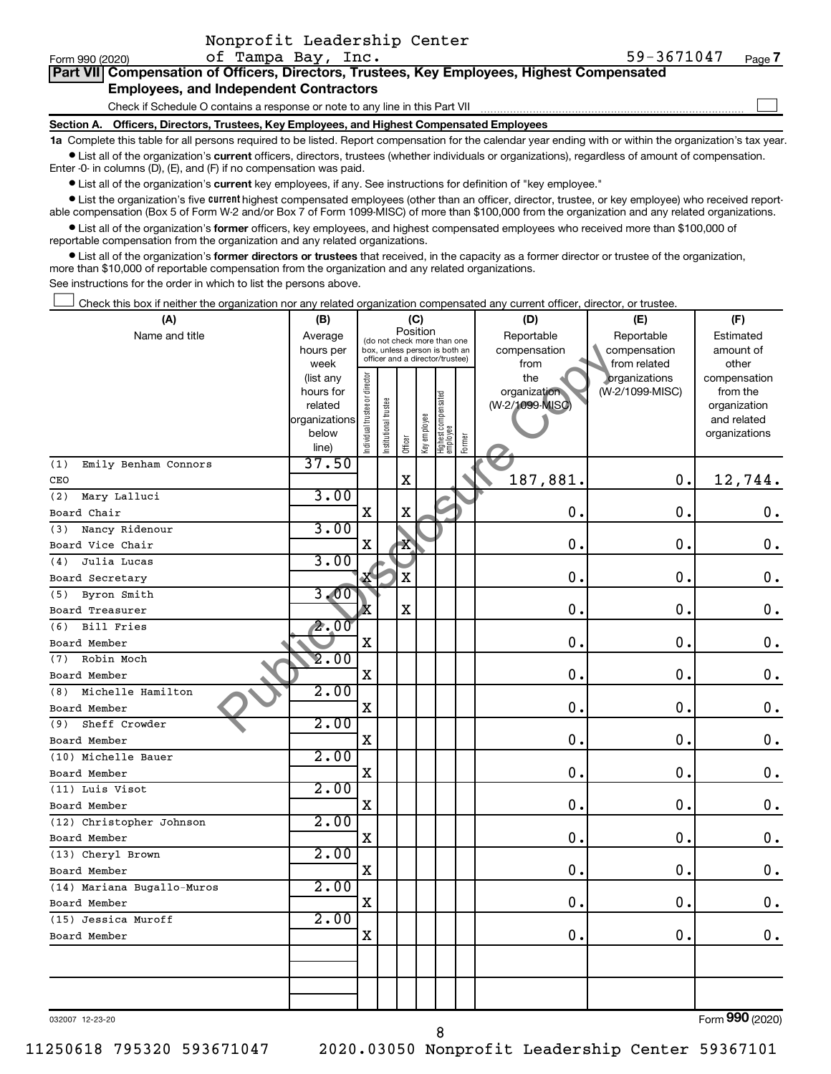| Nonprofit Leadership Center |  |
|-----------------------------|--|
|                             |  |

 $\Box$ 

|  | Part VII Compensation of Officers, Directors, Trustees, Key Employees, Highest Compensated |  |  |  |
|--|--------------------------------------------------------------------------------------------|--|--|--|
|  | <b>Employees, and Independent Contractors</b>                                              |  |  |  |

Check if Schedule O contains a response or note to any line in this Part VII

**Section A. Officers, Directors, Trustees, Key Employees, and Highest Compensated Employees**

**1a**  Complete this table for all persons required to be listed. Report compensation for the calendar year ending with or within the organization's tax year.  $\bullet$  List all of the organization's current officers, directors, trustees (whether individuals or organizations), regardless of amount of compensation.

Enter -0- in columns (D), (E), and (F) if no compensation was paid.

**•** List all of the organization's current key employees, if any. See instructions for definition of "key employee."

**•** List the organization's five *current* highest compensated employees (other than an officer, director, trustee, or key employee) who received reportable compensation (Box 5 of Form W-2 and/or Box 7 of Form 1099-MISC) of more than \$100,000 from the organization and any related organizations.

 $\bullet$  List all of the organization's former officers, key employees, and highest compensated employees who received more than \$100,000 of reportable compensation from the organization and any related organizations.

**•** List all of the organization's former directors or trustees that received, in the capacity as a former director or trustee of the organization, more than \$10,000 of reportable compensation from the organization and any related organizations.

See instructions for the order in which to list the persons above.

Check this box if neither the organization nor any related organization compensated any current officer, director, or trustee.  $\Box$ 

| (A)                         | (B)                    |                               |                       |             | (C)          |                                                                  |        | (D)             | (E)             | (F)                          |
|-----------------------------|------------------------|-------------------------------|-----------------------|-------------|--------------|------------------------------------------------------------------|--------|-----------------|-----------------|------------------------------|
| Name and title              | Average                |                               |                       | Position    |              | (do not check more than one                                      |        | Reportable      | Reportable      | Estimated                    |
|                             | hours per              |                               |                       |             |              | box, unless person is both an<br>officer and a director/trustee) |        | compensation    | compensation    | amount of                    |
|                             | week                   |                               |                       |             |              |                                                                  |        | from            | from related    | other                        |
|                             | (list any              |                               |                       |             |              |                                                                  |        | the             | organizations   | compensation                 |
|                             | hours for              |                               |                       |             |              |                                                                  |        | organization    | (W-2/1099-MISC) | from the                     |
|                             | related                |                               |                       |             |              |                                                                  |        | (W-2/1099-MISC) |                 | organization                 |
|                             | organizations<br>below |                               |                       |             |              |                                                                  |        |                 |                 | and related<br>organizations |
|                             | line)                  | ndividual trustee or director | Institutional trustee | Officer     | Key employee | Highest compensated<br>employee                                  | Former |                 |                 |                              |
| (1)<br>Emily Benham Connors | 37.50                  |                               |                       |             |              |                                                                  |        |                 |                 |                              |
| CEO                         |                        |                               |                       | $\mathbf X$ |              |                                                                  |        | 187,881.        | $\mathbf 0$ .   | 12,744.                      |
| (2)<br>Mary Lalluci         | 3.00                   |                               |                       |             |              |                                                                  |        |                 |                 |                              |
| Board Chair                 |                        | $\mathbf X$                   |                       | $\mathbf X$ |              |                                                                  |        | $\mathbf 0$ .   | $\mathbf 0$     | $\mathbf 0$ .                |
| Nancy Ridenour<br>(3)       | 3.00                   |                               |                       |             |              |                                                                  |        |                 |                 |                              |
| Board Vice Chair            |                        | X                             |                       | X           |              |                                                                  |        | $\mathbf 0$ .   | $\mathbf 0$     | $\mathbf 0$ .                |
| Julia Lucas<br>(4)          | 3.00                   |                               |                       |             |              |                                                                  |        |                 |                 |                              |
| Board Secretary             |                        | 쪽                             |                       | $\mathbf X$ |              |                                                                  |        | 0.              | $\mathbf 0$     | $\boldsymbol{0}$ .           |
| Byron Smith<br>(5)          | 3.00                   |                               |                       |             |              |                                                                  |        |                 |                 |                              |
| Board Treasurer             |                        | x                             |                       | X           |              |                                                                  |        | 0.              | $\mathbf 0$     | $\mathbf 0$ .                |
| <b>Bill Fries</b><br>(6)    | 2.00                   |                               |                       |             |              |                                                                  |        |                 |                 |                              |
| Board Member                |                        | $\mathbf X$                   |                       |             |              |                                                                  |        | 0.              | $\mathbf 0$     | $\boldsymbol{0}$ .           |
| Robin Moch<br>(7)           | 2.00                   |                               |                       |             |              |                                                                  |        |                 |                 |                              |
| Board Member                |                        | $\mathbf X$                   |                       |             |              |                                                                  |        | 0.              | $\mathbf 0$     | $\mathbf 0$ .                |
| Michelle Hamilton<br>(8)    | 2.00                   |                               |                       |             |              |                                                                  |        |                 |                 |                              |
| Board Member                |                        | $\mathbf X$                   |                       |             |              |                                                                  |        | 0.              | 0.              | $\mathbf 0$ .                |
| Sheff Crowder<br>(9)        | 2.00                   |                               |                       |             |              |                                                                  |        |                 |                 |                              |
| Board Member                |                        | $\mathbf X$                   |                       |             |              |                                                                  |        | 0.              | 0.              | $\mathbf 0$ .                |
| (10) Michelle Bauer         | 2.00                   |                               |                       |             |              |                                                                  |        |                 |                 |                              |
| Board Member                |                        | $\mathbf X$                   |                       |             |              |                                                                  |        | 0.              | $\mathbf 0$ .   | $\mathbf 0$ .                |
| (11) Luis Visot             | 2.00                   |                               |                       |             |              |                                                                  |        |                 |                 |                              |
| Board Member                |                        | $\mathbf X$                   |                       |             |              |                                                                  |        | 0.              | 0.              | $\mathbf 0$ .                |
| (12) Christopher Johnson    | 2.00                   |                               |                       |             |              |                                                                  |        |                 |                 |                              |
| Board Member                |                        | X                             |                       |             |              |                                                                  |        | 0.              | $\mathbf 0$ .   | $\mathbf 0$ .                |
| (13) Cheryl Brown           | 2.00                   |                               |                       |             |              |                                                                  |        |                 |                 |                              |
| Board Member                |                        | $\mathbf X$                   |                       |             |              |                                                                  |        | 0.              | $\mathbf 0$ .   | $\mathbf 0$ .                |
| (14) Mariana Bugallo-Muros  | 2.00                   |                               |                       |             |              |                                                                  |        |                 |                 |                              |
| Board Member                |                        | X                             |                       |             |              |                                                                  |        | 0.              | $\mathbf 0$ .   | $\mathbf 0$ .                |
| (15) Jessica Muroff         | 2.00                   |                               |                       |             |              |                                                                  |        |                 |                 |                              |
| Board Member                |                        | X                             |                       |             |              |                                                                  |        | $\mathbf 0$ .   | $\mathbf 0$ .   | $\boldsymbol{0}$ .           |
|                             |                        |                               |                       |             |              |                                                                  |        |                 |                 |                              |
|                             |                        |                               |                       |             |              |                                                                  |        |                 |                 |                              |
|                             |                        |                               |                       |             |              |                                                                  |        |                 |                 |                              |
|                             |                        |                               |                       |             |              |                                                                  |        |                 |                 |                              |

032007 12-23-20

Form (2020) **990**

11250618 795320 593671047 2020.03050 Nonprofit Leadership Center 59367101

8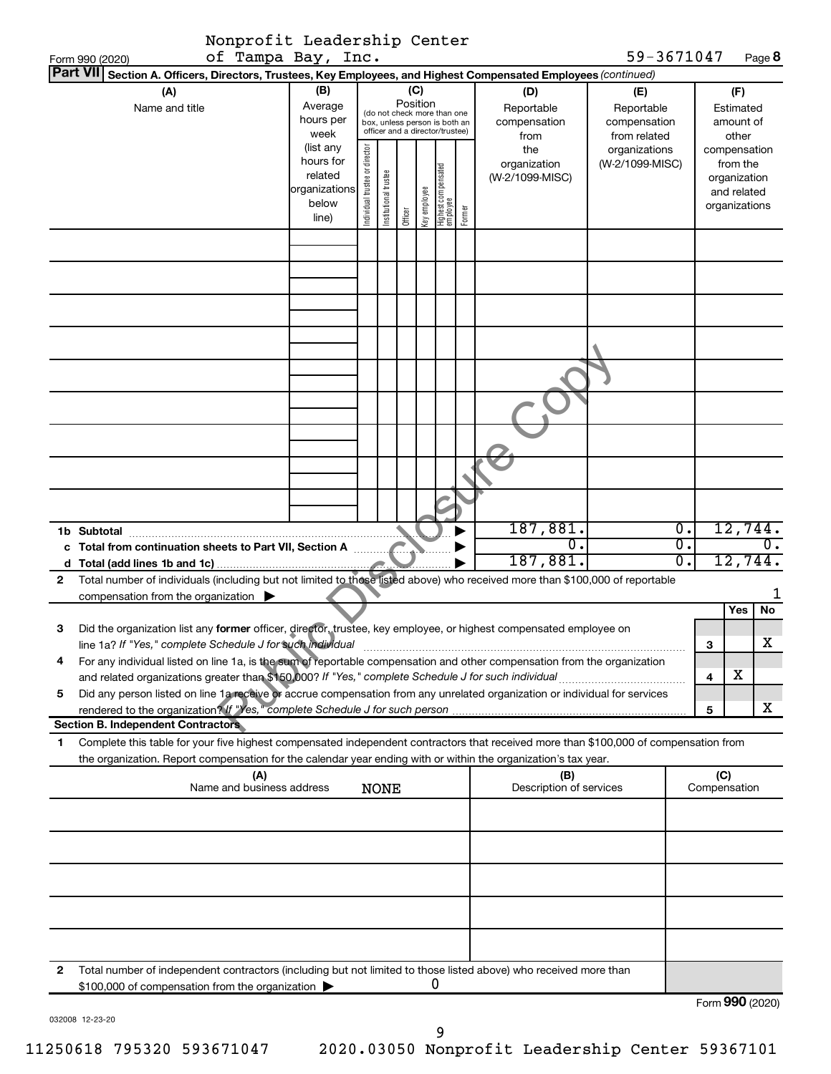|   | Nonprofit Leadership Center                                                                                                                                                                                                       |                                                                      |                                |                                                                                                 |                 |              |                                   |        |                                           |                                                   |                                                          |              |                             |
|---|-----------------------------------------------------------------------------------------------------------------------------------------------------------------------------------------------------------------------------------|----------------------------------------------------------------------|--------------------------------|-------------------------------------------------------------------------------------------------|-----------------|--------------|-----------------------------------|--------|-------------------------------------------|---------------------------------------------------|----------------------------------------------------------|--------------|-----------------------------|
|   | of Tampa Bay, Inc.<br>Form 990 (2020)                                                                                                                                                                                             |                                                                      |                                |                                                                                                 |                 |              |                                   |        |                                           | 59-3671047                                        |                                                          |              | Page 8                      |
|   | <b>Part VII</b><br>Section A. Officers, Directors, Trustees, Key Employees, and Highest Compensated Employees (continued)                                                                                                         |                                                                      |                                |                                                                                                 |                 |              |                                   |        |                                           |                                                   |                                                          |              |                             |
|   | (A)<br>Name and title                                                                                                                                                                                                             | (B)<br>Average<br>hours per<br>week                                  |                                | (do not check more than one<br>box, unless person is both an<br>officer and a director/trustee) | (C)<br>Position |              |                                   |        | (D)<br>Reportable<br>compensation<br>from | (E)<br>Reportable<br>compensation<br>from related |                                                          | Estimated    | (F)<br>amount of<br>other   |
|   |                                                                                                                                                                                                                                   | (list any<br>hours for<br>related<br>organizations<br>below<br>line) | Individual trustee or director | Institutional trustee                                                                           | Officer         | Key employee | Highest compensated<br>  employee | Former | the<br>organization<br>(W-2/1099-MISC)    | organizations<br>(W-2/1099-MISC)                  | from the<br>organization<br>and related<br>organizations |              | compensation                |
|   |                                                                                                                                                                                                                                   |                                                                      |                                |                                                                                                 |                 |              |                                   |        |                                           |                                                   |                                                          |              |                             |
|   |                                                                                                                                                                                                                                   |                                                                      |                                |                                                                                                 |                 |              |                                   |        |                                           |                                                   |                                                          |              |                             |
|   |                                                                                                                                                                                                                                   |                                                                      |                                |                                                                                                 |                 |              |                                   |        |                                           |                                                   |                                                          |              |                             |
|   |                                                                                                                                                                                                                                   |                                                                      |                                |                                                                                                 |                 |              |                                   |        |                                           |                                                   |                                                          |              |                             |
|   |                                                                                                                                                                                                                                   |                                                                      |                                |                                                                                                 |                 |              |                                   |        |                                           |                                                   |                                                          |              |                             |
|   |                                                                                                                                                                                                                                   |                                                                      |                                |                                                                                                 |                 |              |                                   |        | 187,881.                                  |                                                   | $\overline{0}$ .                                         |              | 12,744.                     |
|   |                                                                                                                                                                                                                                   |                                                                      |                                |                                                                                                 |                 |              |                                   |        | $\overline{0}$ .<br>187,881.              |                                                   | $\overline{\mathfrak{0}}$ .<br>σ.                        |              | $\overline{0}$ .<br>12,744. |
| 2 | Total number of individuals (including but not limited to those listed above) who received more than \$100,000 of reportable                                                                                                      |                                                                      |                                |                                                                                                 |                 |              |                                   |        |                                           |                                                   |                                                          |              |                             |
|   | compensation from the organization $\blacktriangleright$                                                                                                                                                                          |                                                                      |                                |                                                                                                 |                 |              |                                   |        |                                           |                                                   |                                                          |              |                             |
| 3 | Did the organization list any former officer, director, trustee, key employee, or highest compensated employee on                                                                                                                 |                                                                      |                                |                                                                                                 |                 |              |                                   |        |                                           |                                                   |                                                          |              | Yes<br>No                   |
|   | line 1a? If "Yes," complete Schedule J for such individual                                                                                                                                                                        |                                                                      |                                |                                                                                                 |                 |              |                                   |        |                                           |                                                   |                                                          | 3            | Χ                           |
| 4 | For any individual listed on line 1a, is the sum of reportable compensation and other compensation from the organization                                                                                                          |                                                                      |                                |                                                                                                 |                 |              |                                   |        |                                           |                                                   |                                                          |              | х                           |
| 5 | and related organizations greater than \$150,000? If "Yes," complete Schedule J for such individual<br>Did any person listed on line 1a receive or accrue compensation from any unrelated organization or individual for services |                                                                      |                                |                                                                                                 |                 |              |                                   |        |                                           |                                                   |                                                          | 4            |                             |
|   |                                                                                                                                                                                                                                   |                                                                      |                                |                                                                                                 |                 |              |                                   |        |                                           |                                                   |                                                          | 5            | x                           |
|   | <b>Section B. Independent Contractors</b>                                                                                                                                                                                         |                                                                      |                                |                                                                                                 |                 |              |                                   |        |                                           |                                                   |                                                          |              |                             |
| 1 | Complete this table for your five highest compensated independent contractors that received more than \$100,000 of compensation from                                                                                              |                                                                      |                                |                                                                                                 |                 |              |                                   |        |                                           |                                                   |                                                          |              |                             |
|   | the organization. Report compensation for the calendar year ending with or within the organization's tax year.<br>(A)                                                                                                             |                                                                      |                                |                                                                                                 |                 |              |                                   |        | (B)                                       |                                                   |                                                          | (C)          |                             |
|   | Name and business address                                                                                                                                                                                                         |                                                                      |                                | <b>NONE</b>                                                                                     |                 |              |                                   |        | Description of services                   |                                                   |                                                          | Compensation |                             |
|   |                                                                                                                                                                                                                                   |                                                                      |                                |                                                                                                 |                 |              |                                   |        |                                           |                                                   |                                                          |              |                             |
|   |                                                                                                                                                                                                                                   |                                                                      |                                |                                                                                                 |                 |              |                                   |        |                                           |                                                   |                                                          |              |                             |
|   |                                                                                                                                                                                                                                   |                                                                      |                                |                                                                                                 |                 |              |                                   |        |                                           |                                                   |                                                          |              |                             |
|   |                                                                                                                                                                                                                                   |                                                                      |                                |                                                                                                 |                 |              |                                   |        |                                           |                                                   |                                                          |              |                             |
|   |                                                                                                                                                                                                                                   |                                                                      |                                |                                                                                                 |                 |              |                                   |        |                                           |                                                   |                                                          |              |                             |
| 2 | Total number of independent contractors (including but not limited to those listed above) who received more than<br>\$100,000 of compensation from the organization                                                               |                                                                      |                                |                                                                                                 |                 |              | 0                                 |        |                                           |                                                   |                                                          |              |                             |
|   |                                                                                                                                                                                                                                   |                                                                      |                                |                                                                                                 |                 |              |                                   |        |                                           |                                                   |                                                          |              | Form 990 (2020)             |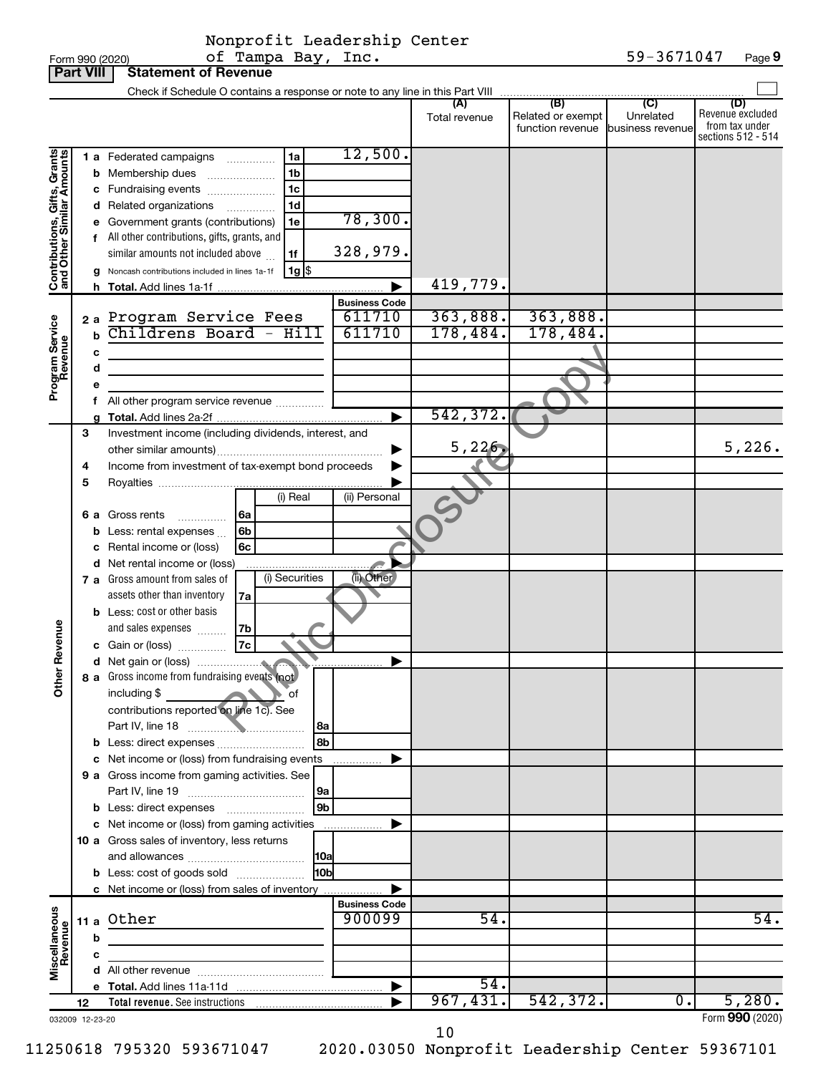|  | -Torm 990 <i>(2020)</i> |  |
|--|-------------------------|--|

|                                                           | <b>Part VIII</b> |             | <b>Statement of Revenue</b>                                                               |                      |                      |                                                                    |                                                 |                                                                 |
|-----------------------------------------------------------|------------------|-------------|-------------------------------------------------------------------------------------------|----------------------|----------------------|--------------------------------------------------------------------|-------------------------------------------------|-----------------------------------------------------------------|
|                                                           |                  |             | Check if Schedule O contains a response or note to any line in this Part VIII             |                      |                      |                                                                    |                                                 |                                                                 |
|                                                           |                  |             |                                                                                           |                      | (A)<br>Total revenue | $\overline{(\mathsf{B})}$<br>Related or exempt<br>function revenue | $\overline{C}$<br>Unrelated<br>business revenue | (D)<br>Revenue excluded<br>from tax under<br>sections 512 - 514 |
|                                                           |                  |             | 1 a Federated campaigns<br>1a                                                             | 12,500.              |                      |                                                                    |                                                 |                                                                 |
|                                                           |                  |             | 1 <sub>b</sub><br><b>b</b> Membership dues                                                |                      |                      |                                                                    |                                                 |                                                                 |
|                                                           |                  |             | 1 <sub>c</sub><br>c Fundraising events                                                    |                      |                      |                                                                    |                                                 |                                                                 |
|                                                           |                  |             | 1d<br>d Related organizations<br>.                                                        |                      |                      |                                                                    |                                                 |                                                                 |
|                                                           |                  |             | 1e<br>Government grants (contributions)                                                   | 78,300.              |                      |                                                                    |                                                 |                                                                 |
| Contributions, Gifts, Grants<br>and Other Similar Amounts |                  |             | f All other contributions, gifts, grants, and<br>similar amounts not included above<br>1f | 328,979.             |                      |                                                                    |                                                 |                                                                 |
|                                                           |                  |             | $1g$ $\frac{1}{3}$<br>Noncash contributions included in lines 1a-1f                       |                      |                      |                                                                    |                                                 |                                                                 |
|                                                           |                  |             |                                                                                           |                      | 419,779.             |                                                                    |                                                 |                                                                 |
|                                                           |                  |             |                                                                                           | <b>Business Code</b> |                      |                                                                    |                                                 |                                                                 |
|                                                           |                  |             | 2a Program Service Fees                                                                   | 611710               | 363,888.             | 363,888.                                                           |                                                 |                                                                 |
| Program Service<br>Revenue                                |                  | $\mathbf b$ | Childrens Board - Hill                                                                    | 611710               | 178,484.             | 178,484.                                                           |                                                 |                                                                 |
|                                                           |                  | c           |                                                                                           |                      |                      |                                                                    |                                                 |                                                                 |
|                                                           |                  | d           |                                                                                           |                      |                      |                                                                    |                                                 |                                                                 |
|                                                           |                  |             |                                                                                           |                      |                      |                                                                    |                                                 |                                                                 |
|                                                           |                  | f.          | All other program service revenue                                                         |                      |                      |                                                                    |                                                 |                                                                 |
|                                                           |                  |             |                                                                                           | ▶                    | 542,372.             |                                                                    |                                                 |                                                                 |
|                                                           | 3                |             | Investment income (including dividends, interest, and                                     |                      |                      |                                                                    |                                                 |                                                                 |
|                                                           |                  |             |                                                                                           |                      | 5,226                |                                                                    |                                                 | 5,226.                                                          |
|                                                           | 4                |             | Income from investment of tax-exempt bond proceeds                                        |                      |                      |                                                                    |                                                 |                                                                 |
|                                                           | 5                |             |                                                                                           |                      |                      |                                                                    |                                                 |                                                                 |
|                                                           |                  |             | (i) Real                                                                                  | (ii) Personal        |                      |                                                                    |                                                 |                                                                 |
|                                                           | 6а               |             | Gross rents<br>6a<br>.                                                                    |                      |                      |                                                                    |                                                 |                                                                 |
|                                                           |                  |             | 6b<br><b>b</b> Less: rental expenses                                                      |                      |                      |                                                                    |                                                 |                                                                 |
|                                                           |                  | с           | Rental income or (loss)<br>6c                                                             |                      |                      |                                                                    |                                                 |                                                                 |
|                                                           |                  |             | d Net rental income or (loss)                                                             |                      |                      |                                                                    |                                                 |                                                                 |
|                                                           |                  |             | (i) Securities<br>7 a Gross amount from sales of                                          | (ii) Other           |                      |                                                                    |                                                 |                                                                 |
|                                                           |                  |             | assets other than inventory<br>7a                                                         |                      |                      |                                                                    |                                                 |                                                                 |
|                                                           |                  |             | <b>b</b> Less: cost or other basis                                                        |                      |                      |                                                                    |                                                 |                                                                 |
| Revenue                                                   |                  |             | and sales expenses<br>7b                                                                  |                      |                      |                                                                    |                                                 |                                                                 |
|                                                           |                  |             | 7c<br>c Gain or (loss)                                                                    |                      |                      |                                                                    |                                                 |                                                                 |
|                                                           |                  |             |                                                                                           |                      |                      |                                                                    |                                                 |                                                                 |
| $\tilde{\epsilon}$                                        |                  |             | 8 a Gross income from fundraising events (not                                             |                      |                      |                                                                    |                                                 |                                                                 |
|                                                           |                  |             | including \$<br>оf                                                                        |                      |                      |                                                                    |                                                 |                                                                 |
|                                                           |                  |             | contributions reported on line 1c). See                                                   |                      |                      |                                                                    |                                                 |                                                                 |
|                                                           |                  |             | l 8a                                                                                      |                      |                      |                                                                    |                                                 |                                                                 |
|                                                           |                  |             | 8b<br><b>b</b> Less: direct expenses                                                      |                      |                      |                                                                    |                                                 |                                                                 |
|                                                           |                  |             | c Net income or (loss) from fundraising events                                            |                      |                      |                                                                    |                                                 |                                                                 |
|                                                           |                  |             | 9 a Gross income from gaming activities. See                                              |                      |                      |                                                                    |                                                 |                                                                 |
|                                                           |                  |             | 19a<br>9 <sub>b</sub><br><b>b</b> Less: direct expenses <b>manually</b>                   |                      |                      |                                                                    |                                                 |                                                                 |
|                                                           |                  |             | c Net income or (loss) from gaming activities                                             |                      |                      |                                                                    |                                                 |                                                                 |
|                                                           |                  |             | 10 a Gross sales of inventory, less returns                                               | .                    |                      |                                                                    |                                                 |                                                                 |
|                                                           |                  |             |                                                                                           |                      |                      |                                                                    |                                                 |                                                                 |
|                                                           |                  |             | 10 <sub>b</sub><br><b>b</b> Less: cost of goods sold                                      |                      |                      |                                                                    |                                                 |                                                                 |
|                                                           |                  |             | c Net income or (loss) from sales of inventory                                            |                      |                      |                                                                    |                                                 |                                                                 |
|                                                           |                  |             |                                                                                           | <b>Business Code</b> |                      |                                                                    |                                                 |                                                                 |
| Miscellaneous<br>Revenue                                  |                  |             | 11 a Other                                                                                | 900099               | 54.                  |                                                                    |                                                 | $\overline{54}$ .                                               |
|                                                           |                  | b           |                                                                                           |                      |                      |                                                                    |                                                 |                                                                 |
|                                                           |                  | c           |                                                                                           |                      |                      |                                                                    |                                                 |                                                                 |
|                                                           |                  |             |                                                                                           |                      |                      |                                                                    |                                                 |                                                                 |
|                                                           |                  |             |                                                                                           | ▶                    | $\overline{54}$ .    |                                                                    |                                                 |                                                                 |
|                                                           | 12               |             |                                                                                           |                      | 967,431.             | 542, 372.                                                          | 0.                                              | 5,280.                                                          |
| 032009 12-23-20                                           |                  |             |                                                                                           |                      |                      |                                                                    |                                                 | Form 990 (2020)                                                 |

Form (2020) **990**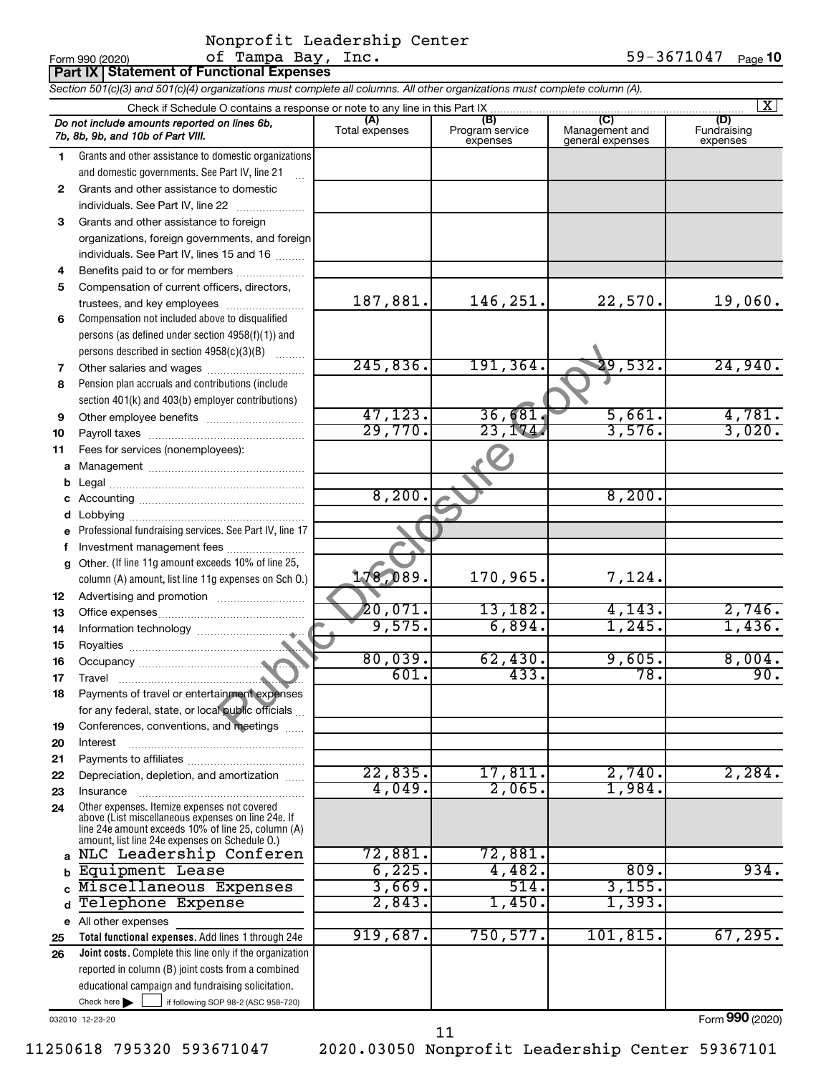|              | <b>Part IX Statement of Functional Expenses</b>                                                                                                                                                                                                |                     |                                    |                                           |                                |
|--------------|------------------------------------------------------------------------------------------------------------------------------------------------------------------------------------------------------------------------------------------------|---------------------|------------------------------------|-------------------------------------------|--------------------------------|
|              | Section 501(c)(3) and 501(c)(4) organizations must complete all columns. All other organizations must complete column (A).                                                                                                                     |                     |                                    |                                           |                                |
|              | Check if Schedule O contains a response or note to any line in this Part IX                                                                                                                                                                    |                     |                                    |                                           | - X I                          |
|              | Do not include amounts reported on lines 6b,<br>7b, 8b, 9b, and 10b of Part VIII.                                                                                                                                                              | Total expenses      | (B)<br>Program service<br>expenses | (C)<br>Management and<br>general expenses | (D)<br>Fundraising<br>expenses |
| 1            | Grants and other assistance to domestic organizations                                                                                                                                                                                          |                     |                                    |                                           |                                |
|              | and domestic governments. See Part IV, line 21                                                                                                                                                                                                 |                     |                                    |                                           |                                |
| $\mathbf{2}$ | Grants and other assistance to domestic                                                                                                                                                                                                        |                     |                                    |                                           |                                |
|              | individuals. See Part IV, line 22                                                                                                                                                                                                              |                     |                                    |                                           |                                |
| 3            | Grants and other assistance to foreign                                                                                                                                                                                                         |                     |                                    |                                           |                                |
|              | organizations, foreign governments, and foreign                                                                                                                                                                                                |                     |                                    |                                           |                                |
|              | individuals. See Part IV, lines 15 and 16                                                                                                                                                                                                      |                     |                                    |                                           |                                |
| 4            | Benefits paid to or for members                                                                                                                                                                                                                |                     |                                    |                                           |                                |
| 5            | Compensation of current officers, directors,                                                                                                                                                                                                   |                     |                                    |                                           |                                |
|              | trustees, and key employees                                                                                                                                                                                                                    | 187,881.            | 146,251.                           | 22,570.                                   | 19,060.                        |
| 6            | Compensation not included above to disqualified                                                                                                                                                                                                |                     |                                    |                                           |                                |
|              | persons (as defined under section 4958(f)(1)) and                                                                                                                                                                                              |                     |                                    |                                           |                                |
|              | persons described in section 4958(c)(3)(B)                                                                                                                                                                                                     |                     |                                    |                                           |                                |
| 7            | Other salaries and wages                                                                                                                                                                                                                       | 245,836.            | 191,364                            | 29,532.                                   | 24,940.                        |
| 8            | Pension plan accruals and contributions (include                                                                                                                                                                                               |                     |                                    |                                           |                                |
|              | section 401(k) and 403(b) employer contributions)                                                                                                                                                                                              |                     |                                    |                                           |                                |
| 9            |                                                                                                                                                                                                                                                | 47, 123.<br>29,770. | 36,681<br>23,174                   | 5,661.<br>3,576.                          | 4,781.<br>3,020.               |
| 10           |                                                                                                                                                                                                                                                |                     |                                    |                                           |                                |
| 11           | Fees for services (nonemployees):                                                                                                                                                                                                              |                     |                                    |                                           |                                |
| a            |                                                                                                                                                                                                                                                |                     |                                    |                                           |                                |
| b            |                                                                                                                                                                                                                                                | 8,200.              |                                    | 8,200.                                    |                                |
| c            |                                                                                                                                                                                                                                                |                     |                                    |                                           |                                |
| d            |                                                                                                                                                                                                                                                |                     |                                    |                                           |                                |
|              | Professional fundraising services. See Part IV, line 17                                                                                                                                                                                        |                     |                                    |                                           |                                |
| f            | Investment management fees                                                                                                                                                                                                                     |                     |                                    |                                           |                                |
| g            | Other. (If line 11g amount exceeds 10% of line 25,<br>column (A) amount, list line 11g expenses on Sch O.)                                                                                                                                     | 178,089.            | 170,965.                           | 7,124.                                    |                                |
|              |                                                                                                                                                                                                                                                |                     |                                    |                                           |                                |
| 12<br>13     |                                                                                                                                                                                                                                                | 20,071.             | 13,182.                            | 4,143.                                    | 2,746.                         |
| 14           |                                                                                                                                                                                                                                                | 9,575.              | 6,894.                             | 1,245.                                    | 1,436.                         |
| 15           |                                                                                                                                                                                                                                                |                     |                                    |                                           |                                |
| 16           |                                                                                                                                                                                                                                                | 80,039.             | 62,430.                            | 9,605.                                    | 8,004.                         |
| 17           | <u> Elizabeth Communication de la communication de la communication de la communication de la communication de la communication de la communication de la communication de la communication de la communication de la communicat</u><br>Travel | 601.                | $-433.$                            | 78.                                       | 90.                            |
| 18           | Payments of travel or entertainment expenses                                                                                                                                                                                                   |                     |                                    |                                           |                                |
|              | for any federal, state, or local public officials                                                                                                                                                                                              |                     |                                    |                                           |                                |
| 19           | Conferences, conventions, and meetings                                                                                                                                                                                                         |                     |                                    |                                           |                                |
| 20           | Interest                                                                                                                                                                                                                                       |                     |                                    |                                           |                                |
| 21           |                                                                                                                                                                                                                                                |                     |                                    |                                           |                                |
| 22           | Depreciation, depletion, and amortization                                                                                                                                                                                                      | 22,835.             | 17,811.                            | 2,740.                                    | 2, 284.                        |
| 23           | Insurance                                                                                                                                                                                                                                      | 4,049.              | 2,065.                             | 1,984.                                    |                                |
| 24           | Other expenses. Itemize expenses not covered<br>above (List miscellaneous expenses on line 24e. If<br>line 24e amount exceeds 10% of line 25, column (A)<br>amount, list line 24e expenses on Schedule O.)                                     |                     |                                    |                                           |                                |
| $\mathbf{a}$ | NLC Leadership Conferen                                                                                                                                                                                                                        | 72,881.             | 72,881.                            |                                           |                                |
| b            | Equipment Lease                                                                                                                                                                                                                                | 6,225.              | 4,482.                             | 809.                                      | 934.                           |
| C            | Miscellaneous Expenses                                                                                                                                                                                                                         | 3,669.              | 514.                               | 3,155.                                    |                                |
| d            | Telephone Expense                                                                                                                                                                                                                              | 2,843.              | 1,450.                             | 1,393.                                    |                                |
| е            | All other expenses                                                                                                                                                                                                                             |                     |                                    |                                           |                                |
| 25           | Total functional expenses. Add lines 1 through 24e                                                                                                                                                                                             | 919,687.            | 750, 577.                          | 101, 815.                                 | 67, 295.                       |
| 26           | Joint costs. Complete this line only if the organization                                                                                                                                                                                       |                     |                                    |                                           |                                |
|              | reported in column (B) joint costs from a combined                                                                                                                                                                                             |                     |                                    |                                           |                                |
|              | educational campaign and fundraising solicitation.                                                                                                                                                                                             |                     |                                    |                                           |                                |
|              | Check here $\blacktriangleright$<br>if following SOP 98-2 (ASC 958-720)                                                                                                                                                                        |                     |                                    |                                           |                                |

032010 12-23-20

11250618 795320 593671047 2020.03050 Nonprofit Leadership Center 59367101

11

Form (2020) **990**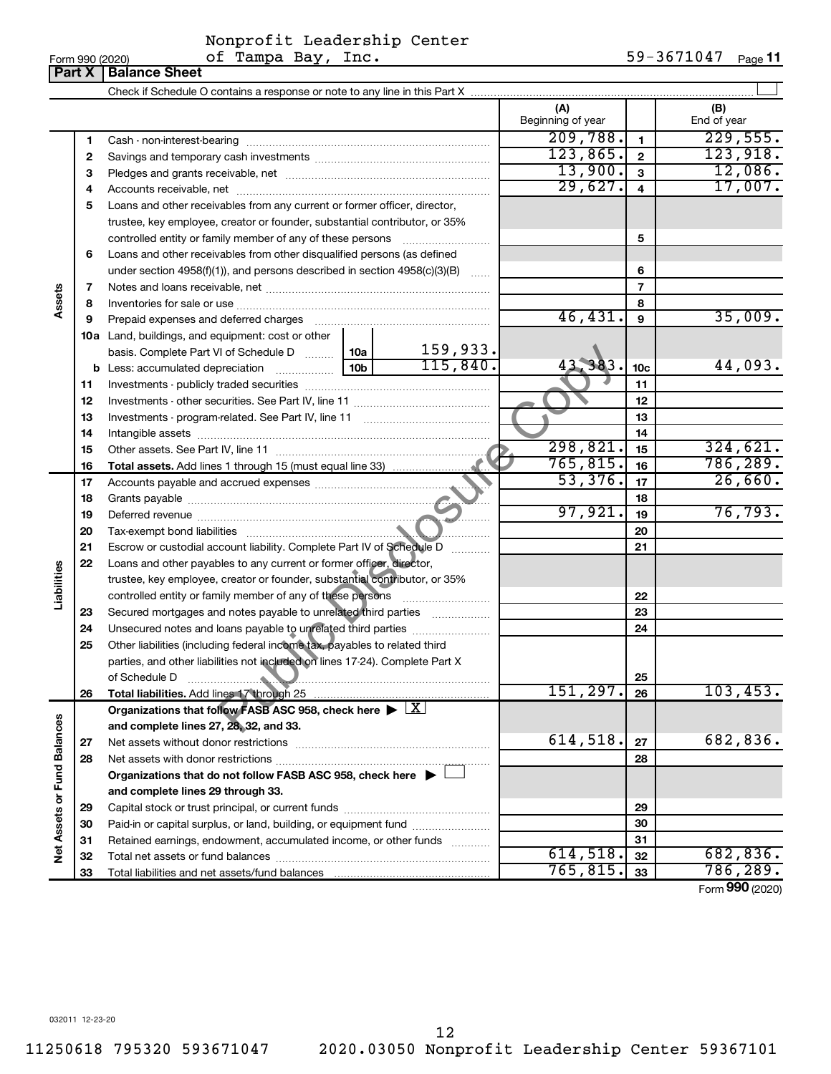| Form 990 (2020) |  |
|-----------------|--|
|-----------------|--|

## Nonprofit Leadership Center

|                             | Part X | <b>Balance Sheet</b>                                                                                                                                                                                                          |                          |                 |                    |
|-----------------------------|--------|-------------------------------------------------------------------------------------------------------------------------------------------------------------------------------------------------------------------------------|--------------------------|-----------------|--------------------|
|                             |        |                                                                                                                                                                                                                               |                          |                 |                    |
|                             |        |                                                                                                                                                                                                                               | (A)<br>Beginning of year |                 | (B)<br>End of year |
|                             | 1      |                                                                                                                                                                                                                               | 209,788.                 | 1               | 229,555.           |
|                             | 2      |                                                                                                                                                                                                                               | 123,865.                 | $\mathbf{2}$    | 123,918.           |
|                             | з      |                                                                                                                                                                                                                               | 13,900.                  | 3               | 12,086.            |
|                             | 4      |                                                                                                                                                                                                                               | 29,627.                  | 4               | 17,007.            |
|                             | 5      | Loans and other receivables from any current or former officer, director,                                                                                                                                                     |                          |                 |                    |
|                             |        | trustee, key employee, creator or founder, substantial contributor, or 35%                                                                                                                                                    |                          |                 |                    |
|                             |        | controlled entity or family member of any of these persons                                                                                                                                                                    |                          | 5               |                    |
|                             | 6      | Loans and other receivables from other disqualified persons (as defined                                                                                                                                                       |                          |                 |                    |
|                             |        | under section 4958(f)(1)), and persons described in section 4958(c)(3)(B)                                                                                                                                                     |                          | 6               |                    |
|                             | 7      |                                                                                                                                                                                                                               |                          | 7               |                    |
| Assets                      | 8      |                                                                                                                                                                                                                               |                          | 8               |                    |
|                             | 9      | Prepaid expenses and deferred charges [11] [11] Prepaid expenses and deferred charges [11] [11] Martin Martin (11] (11] Arthur Martin (11] Arthur Martin (11] Arthur Martin (11] Arthur Martin (11] Arthur Martin (11] Arthur | 46,431.                  | 9               | 35,009.            |
|                             |        | 10a Land, buildings, and equipment: cost or other                                                                                                                                                                             |                          |                 |                    |
|                             |        | 159,933.<br>basis. Complete Part VI of Schedule D  10a                                                                                                                                                                        |                          |                 |                    |
|                             |        | 115,840.<br>10 <sub>b</sub>                                                                                                                                                                                                   | 383.                     | 10 <sub>c</sub> | 44,093.            |
|                             | 11     |                                                                                                                                                                                                                               |                          | 11              |                    |
|                             | 12     |                                                                                                                                                                                                                               |                          | 12              |                    |
|                             | 13     |                                                                                                                                                                                                                               |                          | 13              |                    |
|                             | 14     |                                                                                                                                                                                                                               |                          | 14              |                    |
|                             | 15     |                                                                                                                                                                                                                               | 298,821.                 | 15              | 324,621.           |
|                             | 16     |                                                                                                                                                                                                                               | 765, 815.                | 16              | 786, 289.          |
|                             | 17     |                                                                                                                                                                                                                               | 53,376.                  | 17              | 26,660.            |
|                             | 18     |                                                                                                                                                                                                                               |                          | 18              |                    |
|                             | 19     |                                                                                                                                                                                                                               | 97,921.                  | 19              | 76, 793.           |
|                             | 20     |                                                                                                                                                                                                                               |                          | 20              |                    |
|                             | 21     | Escrow or custodial account liability. Complete Part IV of Schedule D                                                                                                                                                         |                          | 21              |                    |
|                             | 22     | Loans and other payables to any current or former officer, director,                                                                                                                                                          |                          |                 |                    |
| Liabilities                 |        | trustee, key employee, creator or founder, substantial contributor, or 35%                                                                                                                                                    |                          |                 |                    |
|                             |        | controlled entity or family member of any of these persons                                                                                                                                                                    |                          | 22              |                    |
|                             | 23     | Secured mortgages and notes payable to unrelated third parties                                                                                                                                                                |                          | 23              |                    |
|                             | 24     |                                                                                                                                                                                                                               |                          | 24              |                    |
|                             | 25     | Other liabilities (including federal income tax, payables to related third                                                                                                                                                    |                          |                 |                    |
|                             |        | parties, and other liabilities not included on lines 17-24). Complete Part X                                                                                                                                                  |                          |                 |                    |
|                             |        | of Schedule D                                                                                                                                                                                                                 |                          | 25              |                    |
|                             | 26     | Total liabilities. Add lines 17 through 25                                                                                                                                                                                    | 151,297                  | 26              | 103, 453.          |
|                             |        | Organizations that follow FASB ASC 958, check here $\blacktriangleright \lfloor \underline{X} \rfloor$                                                                                                                        |                          |                 |                    |
|                             |        | and complete lines 27, 28, 32, and 33.                                                                                                                                                                                        |                          |                 |                    |
|                             | 27     |                                                                                                                                                                                                                               | 614,518.                 | 27              | 682,836.           |
|                             | 28     |                                                                                                                                                                                                                               |                          | 28              |                    |
|                             |        | Organizations that do not follow FASB ASC 958, check here $\blacktriangleright$                                                                                                                                               |                          |                 |                    |
|                             |        | and complete lines 29 through 33.                                                                                                                                                                                             |                          |                 |                    |
|                             | 29     |                                                                                                                                                                                                                               |                          | 29              |                    |
|                             | 30     | Paid-in or capital surplus, or land, building, or equipment fund                                                                                                                                                              |                          | 30              |                    |
|                             | 31     | Retained earnings, endowment, accumulated income, or other funds                                                                                                                                                              |                          | 31              |                    |
| Net Assets or Fund Balances | 32     |                                                                                                                                                                                                                               | 614,518.                 | 32              | 682,836.           |
|                             | 33     |                                                                                                                                                                                                                               | 765, 815.                | 33              | 786,289.           |

Form (2020) **990**

032011 12-23-20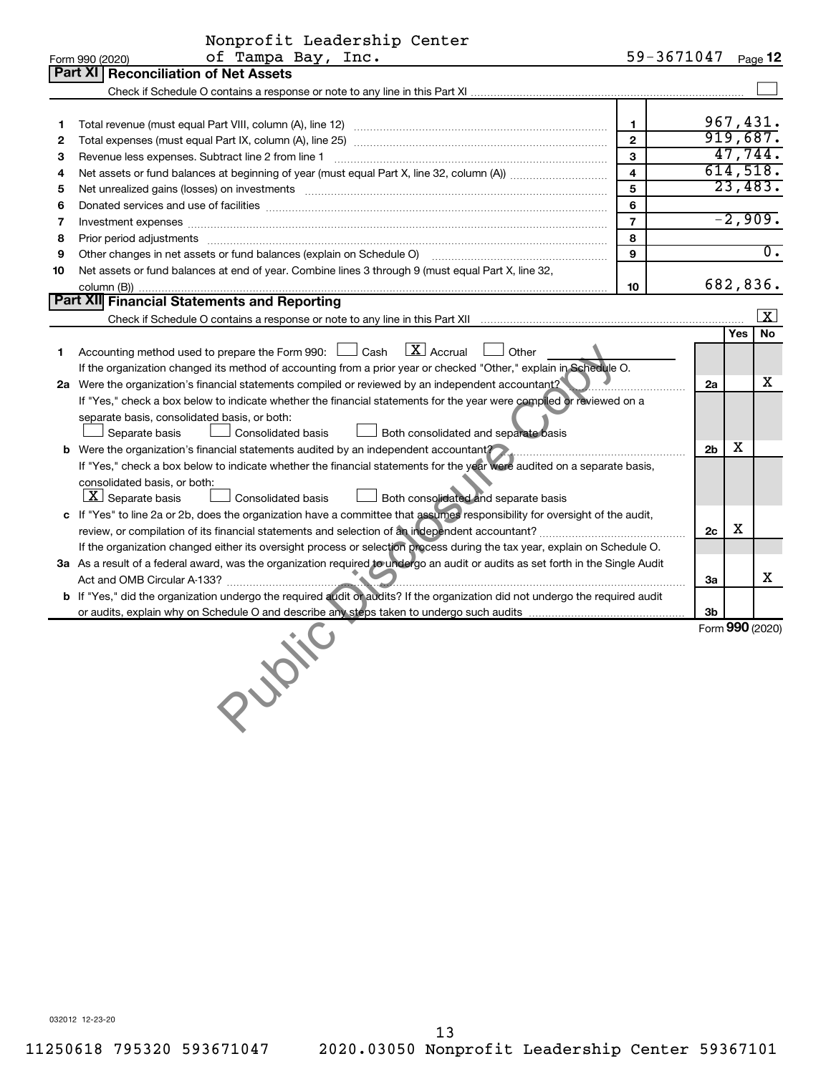|    | Nonprofit Leadership Center                                                                                                                                                                                                    |                    |                |           |                         |
|----|--------------------------------------------------------------------------------------------------------------------------------------------------------------------------------------------------------------------------------|--------------------|----------------|-----------|-------------------------|
|    | of Tampa Bay, Inc.<br>Form 990 (2020)                                                                                                                                                                                          | 59-3671047 Page 12 |                |           |                         |
|    | Part XI   Reconciliation of Net Assets                                                                                                                                                                                         |                    |                |           |                         |
|    |                                                                                                                                                                                                                                |                    |                |           |                         |
|    |                                                                                                                                                                                                                                |                    |                |           |                         |
| 1  |                                                                                                                                                                                                                                | $\mathbf{1}$       |                |           | 967,431.                |
| 2  |                                                                                                                                                                                                                                | $\overline{2}$     |                |           | 919,687.                |
| 3  |                                                                                                                                                                                                                                | 3                  |                |           | 47,744.                 |
| 4  |                                                                                                                                                                                                                                | 4                  |                |           | 614,518.                |
| 5  | Net unrealized gains (losses) on investments [11] matter in the contract of the contract of the contract of the contract of the contract of the contract of the contract of the contract of the contract of the contract of th | 5                  |                |           | 23,483.                 |
| 6  |                                                                                                                                                                                                                                | 6                  |                |           |                         |
| 7  |                                                                                                                                                                                                                                | $\overline{7}$     |                | $-2,909.$ |                         |
| 8  |                                                                                                                                                                                                                                | 8                  |                |           |                         |
| 9  |                                                                                                                                                                                                                                | 9                  |                |           | Ō.                      |
| 10 | Net assets or fund balances at end of year. Combine lines 3 through 9 (must equal Part X, line 32,                                                                                                                             |                    |                |           |                         |
|    |                                                                                                                                                                                                                                | 10                 |                |           | 682,836.                |
|    | Part XII Financial Statements and Reporting                                                                                                                                                                                    |                    |                |           |                         |
|    |                                                                                                                                                                                                                                |                    |                |           | $\overline{\mathbf{x}}$ |
|    |                                                                                                                                                                                                                                |                    |                | Yes       | No                      |
| 1  | $\boxed{\text{X}}$ Accrual<br>Accounting method used to prepare the Form 990: [130] Cash<br>Other                                                                                                                              |                    |                |           |                         |
|    | If the organization changed its method of accounting from a prior year or checked "Other," explain in Schedule O.                                                                                                              |                    |                |           |                         |
|    | 2a Were the organization's financial statements compiled or reviewed by an independent accountant?                                                                                                                             |                    | 2a             |           | x                       |
|    | If "Yes," check a box below to indicate whether the financial statements for the year were compiled or reviewed on a                                                                                                           |                    |                |           |                         |
|    | separate basis, consolidated basis, or both:                                                                                                                                                                                   |                    |                |           |                         |
|    | Consolidated basis<br>Separate basis<br>Both consolidated and separate basis                                                                                                                                                   |                    |                |           |                         |
|    | <b>b</b> Were the organization's financial statements audited by an independent accountant?                                                                                                                                    |                    | 2 <sub>b</sub> | x         |                         |
|    | If "Yes," check a box below to indicate whether the financial statements for the year were audited on a separate basis,                                                                                                        |                    |                |           |                         |
|    | consolidated basis, or both:                                                                                                                                                                                                   |                    |                |           |                         |
|    | $\lfloor x \rfloor$ Separate basis<br>Both consolidated and separate basis<br>Consolidated basis                                                                                                                               |                    |                |           |                         |
|    | c If "Yes" to line 2a or 2b, does the organization have a committee that assumes responsibility for oversight of the audit,                                                                                                    |                    |                |           |                         |
|    |                                                                                                                                                                                                                                |                    | 2c             | х         |                         |
|    | If the organization changed either its oversight process or selection process during the tax year, explain on Schedule O.                                                                                                      |                    |                |           |                         |
|    | 3a As a result of a federal award, was the organization required to undergo an audit or audits as set forth in the Single Audit                                                                                                |                    |                |           |                         |
|    |                                                                                                                                                                                                                                |                    | 3a             |           | х                       |
|    | b If "Yes," did the organization undergo the required audit or audits? If the organization did not undergo the required audit                                                                                                  |                    |                |           |                         |
|    |                                                                                                                                                                                                                                |                    | 3b             |           |                         |
|    |                                                                                                                                                                                                                                |                    |                |           | Form 990 (2020)         |
|    |                                                                                                                                                                                                                                |                    |                |           |                         |
|    |                                                                                                                                                                                                                                |                    |                |           |                         |
|    |                                                                                                                                                                                                                                |                    |                |           |                         |
|    | <b>150 %</b>                                                                                                                                                                                                                   |                    |                |           |                         |
|    |                                                                                                                                                                                                                                |                    |                |           |                         |
|    |                                                                                                                                                                                                                                |                    |                |           |                         |

032012 12-23-20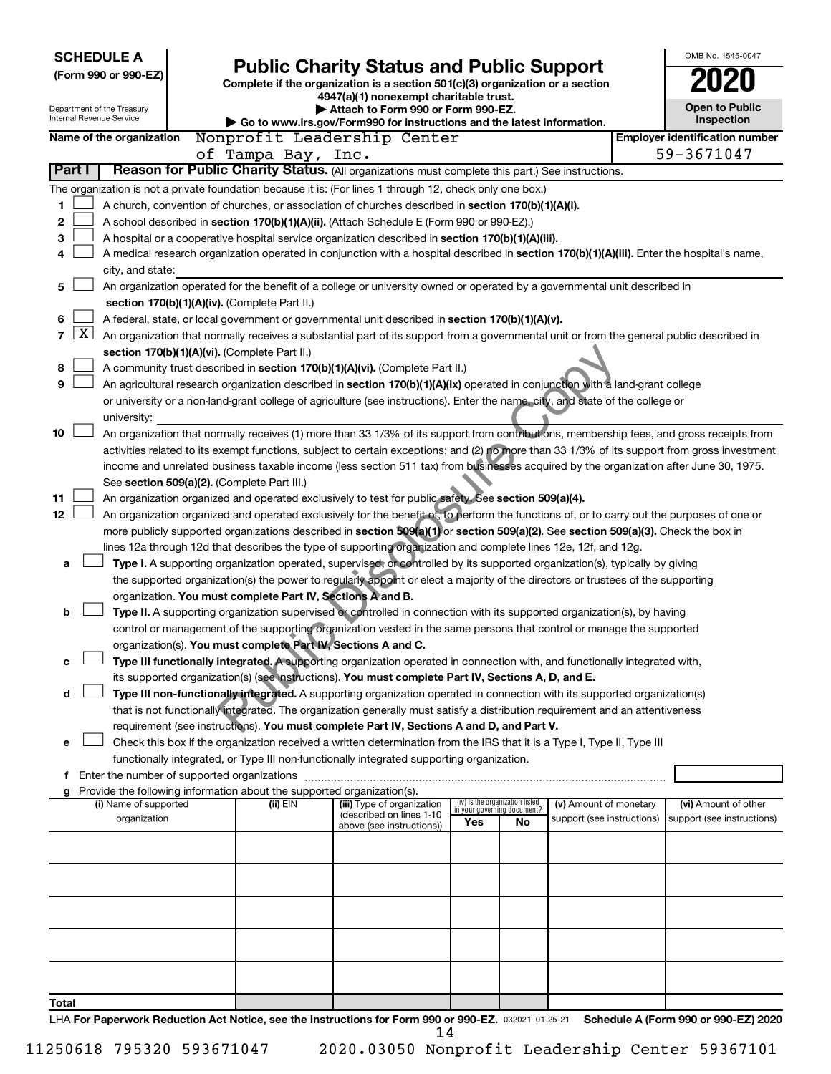| <b>SCHEDULE A</b><br>(Form 990 or 990-EZ)<br>Department of the Treasury | <b>Public Charity Status and Public Support</b><br>Complete if the organization is a section 501(c)(3) organization or a section<br>4947(a)(1) nonexempt charitable trust.<br>Attach to Form 990 or Form 990-EZ.                                     |                                                                        | OMB No. 1545-0047<br>Open to Public |    |                                                      |  |                                                     |  |  |  |  |  |
|-------------------------------------------------------------------------|------------------------------------------------------------------------------------------------------------------------------------------------------------------------------------------------------------------------------------------------------|------------------------------------------------------------------------|-------------------------------------|----|------------------------------------------------------|--|-----------------------------------------------------|--|--|--|--|--|
| Internal Revenue Service                                                |                                                                                                                                                                                                                                                      | Go to www.irs.gov/Form990 for instructions and the latest information. |                                     |    |                                                      |  | Inspection                                          |  |  |  |  |  |
| Name of the organization                                                | Nonprofit Leadership Center                                                                                                                                                                                                                          |                                                                        |                                     |    |                                                      |  | <b>Employer identification number</b><br>59-3671047 |  |  |  |  |  |
| Part I                                                                  | of Tampa Bay, Inc.<br>Reason for Public Charity Status. (All organizations must complete this part.) See instructions.                                                                                                                               |                                                                        |                                     |    |                                                      |  |                                                     |  |  |  |  |  |
|                                                                         |                                                                                                                                                                                                                                                      |                                                                        |                                     |    |                                                      |  |                                                     |  |  |  |  |  |
| 1                                                                       | The organization is not a private foundation because it is: (For lines 1 through 12, check only one box.)<br>A church, convention of churches, or association of churches described in section 170(b)(1)(A)(i).                                      |                                                                        |                                     |    |                                                      |  |                                                     |  |  |  |  |  |
| 2                                                                       | A school described in section 170(b)(1)(A)(ii). (Attach Schedule E (Form 990 or 990-EZ).)                                                                                                                                                            |                                                                        |                                     |    |                                                      |  |                                                     |  |  |  |  |  |
| 3                                                                       | A hospital or a cooperative hospital service organization described in section 170(b)(1)(A)(iii).                                                                                                                                                    |                                                                        |                                     |    |                                                      |  |                                                     |  |  |  |  |  |
| 4                                                                       | A medical research organization operated in conjunction with a hospital described in section 170(b)(1)(A)(iii). Enter the hospital's name,                                                                                                           |                                                                        |                                     |    |                                                      |  |                                                     |  |  |  |  |  |
| city, and state:                                                        |                                                                                                                                                                                                                                                      |                                                                        |                                     |    |                                                      |  |                                                     |  |  |  |  |  |
| 5                                                                       | An organization operated for the benefit of a college or university owned or operated by a governmental unit described in                                                                                                                            |                                                                        |                                     |    |                                                      |  |                                                     |  |  |  |  |  |
|                                                                         | section 170(b)(1)(A)(iv). (Complete Part II.)                                                                                                                                                                                                        |                                                                        |                                     |    |                                                      |  |                                                     |  |  |  |  |  |
| 6                                                                       | A federal, state, or local government or governmental unit described in section 170(b)(1)(A)(v).                                                                                                                                                     |                                                                        |                                     |    |                                                      |  |                                                     |  |  |  |  |  |
| $\overline{\mathbf{X}}$<br>$\overline{7}$                               | An organization that normally receives a substantial part of its support from a governmental unit or from the general public described in                                                                                                            |                                                                        |                                     |    |                                                      |  |                                                     |  |  |  |  |  |
|                                                                         | section 170(b)(1)(A)(vi). (Complete Part II.)                                                                                                                                                                                                        |                                                                        |                                     |    |                                                      |  |                                                     |  |  |  |  |  |
| 8<br>9                                                                  | A community trust described in section 170(b)(1)(A)(vi). (Complete Part II.)<br>An agricultural research organization described in section 170(b)(1)(A)(ix) operated in conjunction with a land-grant college                                        |                                                                        |                                     |    |                                                      |  |                                                     |  |  |  |  |  |
|                                                                         | or university or a non-land-grant college of agriculture (see instructions). Enter the name, city, and state of the college or                                                                                                                       |                                                                        |                                     |    |                                                      |  |                                                     |  |  |  |  |  |
| university:                                                             |                                                                                                                                                                                                                                                      |                                                                        |                                     |    |                                                      |  |                                                     |  |  |  |  |  |
| 10                                                                      | An organization that normally receives (1) more than 33 1/3% of its support from contributions, membership fees, and gross receipts from                                                                                                             |                                                                        |                                     |    |                                                      |  |                                                     |  |  |  |  |  |
|                                                                         | activities related to its exempt functions, subject to certain exceptions; and (2) no more than 33 1/3% of its support from gross investment                                                                                                         |                                                                        |                                     |    |                                                      |  |                                                     |  |  |  |  |  |
|                                                                         | income and unrelated business taxable income (less section 511 tax) from businesses acquired by the organization after June 30, 1975.                                                                                                                |                                                                        |                                     |    |                                                      |  |                                                     |  |  |  |  |  |
|                                                                         | See section 509(a)(2). (Complete Part III.)                                                                                                                                                                                                          |                                                                        |                                     |    |                                                      |  |                                                     |  |  |  |  |  |
| 11                                                                      | An organization organized and operated exclusively to test for public safety. See section 509(a)(4).                                                                                                                                                 |                                                                        |                                     |    |                                                      |  |                                                     |  |  |  |  |  |
| 12                                                                      | An organization organized and operated exclusively for the benefit of, to perform the functions of, or to carry out the purposes of one or                                                                                                           |                                                                        |                                     |    |                                                      |  |                                                     |  |  |  |  |  |
|                                                                         | more publicly supported organizations described in section 509(a)(1) or section 509(a)(2). See section 509(a)(3). Check the box in<br>lines 12a through 12d that describes the type of supporting organization and complete lines 12e, 12f, and 12g. |                                                                        |                                     |    |                                                      |  |                                                     |  |  |  |  |  |
| a                                                                       | Type I. A supporting organization operated, supervised, or controlled by its supported organization(s), typically by giving                                                                                                                          |                                                                        |                                     |    |                                                      |  |                                                     |  |  |  |  |  |
|                                                                         | the supported organization(s) the power to regularly appoint or elect a majority of the directors or trustees of the supporting                                                                                                                      |                                                                        |                                     |    |                                                      |  |                                                     |  |  |  |  |  |
|                                                                         | organization. You must complete Part IV, Sections A and B.                                                                                                                                                                                           |                                                                        |                                     |    |                                                      |  |                                                     |  |  |  |  |  |
| b                                                                       | Type II. A supporting organization supervised or controlled in connection with its supported organization(s), by having                                                                                                                              |                                                                        |                                     |    |                                                      |  |                                                     |  |  |  |  |  |
|                                                                         | control or management of the supporting organization vested in the same persons that control or manage the supported                                                                                                                                 |                                                                        |                                     |    |                                                      |  |                                                     |  |  |  |  |  |
|                                                                         | organization(s). You must complete Part IV, Sections A and C.                                                                                                                                                                                        |                                                                        |                                     |    |                                                      |  |                                                     |  |  |  |  |  |
| c                                                                       | Type III functionally integrated. A supporting organization operated in connection with, and functionally integrated with,                                                                                                                           |                                                                        |                                     |    |                                                      |  |                                                     |  |  |  |  |  |
| d                                                                       | its supported organization(s) (see instructions). You must complete Part IV, Sections A, D, and E.<br>Type III non-functionally integrated. A supporting organization operated in connection with its supported organization(s)                      |                                                                        |                                     |    |                                                      |  |                                                     |  |  |  |  |  |
|                                                                         | that is not functionally integrated. The organization generally must satisfy a distribution requirement and an attentiveness                                                                                                                         |                                                                        |                                     |    |                                                      |  |                                                     |  |  |  |  |  |
|                                                                         | requirement (see instructions). You must complete Part IV, Sections A and D, and Part V.                                                                                                                                                             |                                                                        |                                     |    |                                                      |  |                                                     |  |  |  |  |  |
| е                                                                       | Check this box if the organization received a written determination from the IRS that it is a Type I, Type II, Type III                                                                                                                              |                                                                        |                                     |    |                                                      |  |                                                     |  |  |  |  |  |
|                                                                         | functionally integrated, or Type III non-functionally integrated supporting organization.                                                                                                                                                            |                                                                        |                                     |    |                                                      |  |                                                     |  |  |  |  |  |
| f Enter the number of supported organizations                           |                                                                                                                                                                                                                                                      |                                                                        |                                     |    |                                                      |  |                                                     |  |  |  |  |  |
|                                                                         | g Provide the following information about the supported organization(s).                                                                                                                                                                             | (iii) Type of organization                                             | (iv) Is the organization listed     |    |                                                      |  |                                                     |  |  |  |  |  |
| (i) Name of supported<br>organization                                   | (ii) EIN                                                                                                                                                                                                                                             | (described on lines 1-10                                               | in your governing document?         |    | (v) Amount of monetary<br>support (see instructions) |  | (vi) Amount of other<br>support (see instructions)  |  |  |  |  |  |
|                                                                         |                                                                                                                                                                                                                                                      | above (see instructions))                                              | Yes                                 | No |                                                      |  |                                                     |  |  |  |  |  |
|                                                                         |                                                                                                                                                                                                                                                      |                                                                        |                                     |    |                                                      |  |                                                     |  |  |  |  |  |
|                                                                         |                                                                                                                                                                                                                                                      |                                                                        |                                     |    |                                                      |  |                                                     |  |  |  |  |  |
|                                                                         |                                                                                                                                                                                                                                                      |                                                                        |                                     |    |                                                      |  |                                                     |  |  |  |  |  |
|                                                                         |                                                                                                                                                                                                                                                      |                                                                        |                                     |    |                                                      |  |                                                     |  |  |  |  |  |
|                                                                         |                                                                                                                                                                                                                                                      |                                                                        |                                     |    |                                                      |  |                                                     |  |  |  |  |  |
|                                                                         |                                                                                                                                                                                                                                                      |                                                                        |                                     |    |                                                      |  |                                                     |  |  |  |  |  |
|                                                                         |                                                                                                                                                                                                                                                      |                                                                        |                                     |    |                                                      |  |                                                     |  |  |  |  |  |
|                                                                         |                                                                                                                                                                                                                                                      |                                                                        |                                     |    |                                                      |  |                                                     |  |  |  |  |  |
| Total                                                                   |                                                                                                                                                                                                                                                      |                                                                        |                                     |    |                                                      |  |                                                     |  |  |  |  |  |
|                                                                         | LHA For Paperwork Reduction Act Notice, see the Instructions for Form 990 or 990-EZ. 032021 01-25-21                                                                                                                                                 |                                                                        |                                     |    |                                                      |  | Schedule A (Form 990 or 990-EZ) 2020                |  |  |  |  |  |

14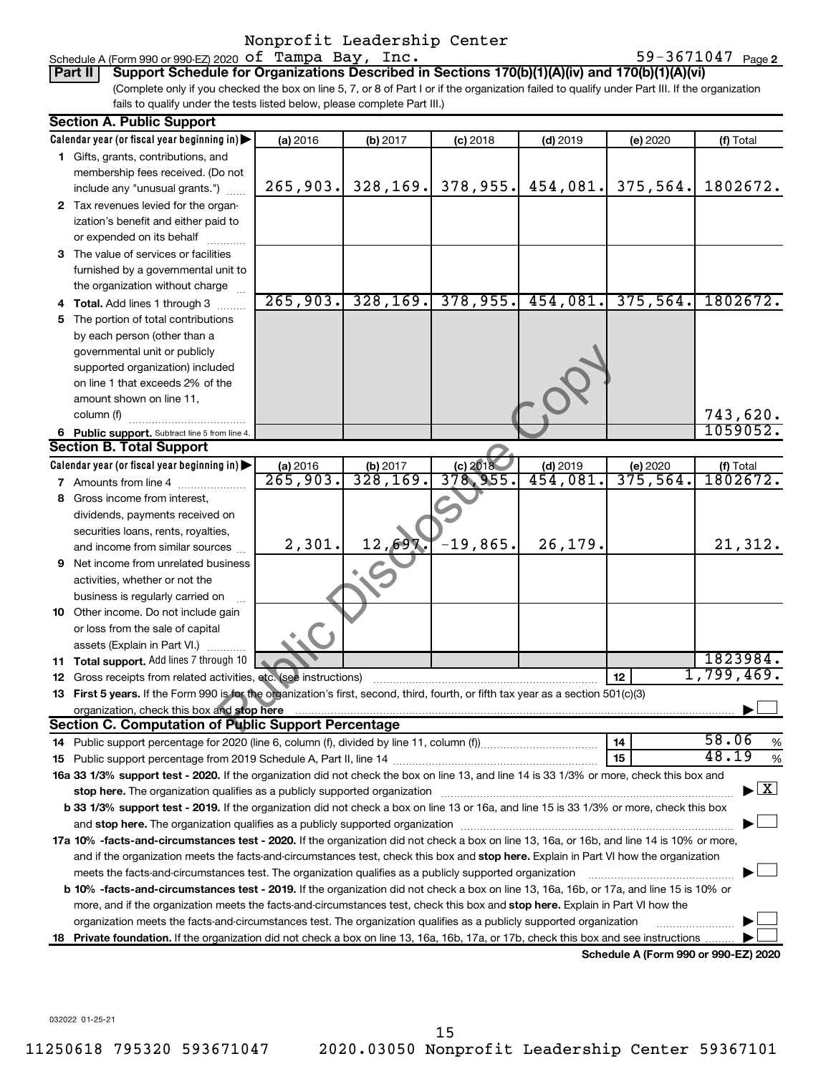#### Schedule A (Form 990 or 990-EZ) 2020  $\,\texttt{of} \,$  Tampa Bay, Inc.  $\,$  59-3671047  $\,$   $_{\rm{Page}}$

59-3671047 Page 2

(Complete only if you checked the box on line 5, 7, or 8 of Part I or if the organization failed to qualify under Part III. If the organization fails to qualify under the tests listed below, please complete Part III.) **Part II** | Support Schedule for Organizations Described in Sections 170(b)(1)(A)(iv) and 170(b)(1)(A)(vi)

|    | <b>Section A. Public Support</b>                                                                                                                                                                                               |                      |           |             |            |                                      |                                          |
|----|--------------------------------------------------------------------------------------------------------------------------------------------------------------------------------------------------------------------------------|----------------------|-----------|-------------|------------|--------------------------------------|------------------------------------------|
|    | Calendar year (or fiscal year beginning in)                                                                                                                                                                                    | (a) 2016             | (b) 2017  | $(c)$ 2018  | $(d)$ 2019 | (e) 2020                             | (f) Total                                |
|    | 1 Gifts, grants, contributions, and                                                                                                                                                                                            |                      |           |             |            |                                      |                                          |
|    | membership fees received. (Do not                                                                                                                                                                                              |                      |           |             |            |                                      |                                          |
|    | include any "unusual grants.")                                                                                                                                                                                                 | 265,903.             | 328, 169. | 378,955.    | 454,081.   | 375,564.                             | 1802672.                                 |
|    | 2 Tax revenues levied for the organ-                                                                                                                                                                                           |                      |           |             |            |                                      |                                          |
|    | ization's benefit and either paid to                                                                                                                                                                                           |                      |           |             |            |                                      |                                          |
|    | or expended on its behalf                                                                                                                                                                                                      |                      |           |             |            |                                      |                                          |
|    | 3 The value of services or facilities                                                                                                                                                                                          |                      |           |             |            |                                      |                                          |
|    | furnished by a governmental unit to                                                                                                                                                                                            |                      |           |             |            |                                      |                                          |
|    | the organization without charge                                                                                                                                                                                                |                      |           |             |            |                                      |                                          |
|    | 4 Total. Add lines 1 through 3                                                                                                                                                                                                 | 265,903.             | 328, 169. | 378,955.    | 454,081.   | 375,564.                             | 1802672.                                 |
|    | 5 The portion of total contributions                                                                                                                                                                                           |                      |           |             |            |                                      |                                          |
|    | by each person (other than a                                                                                                                                                                                                   |                      |           |             |            |                                      |                                          |
|    | governmental unit or publicly                                                                                                                                                                                                  |                      |           |             |            |                                      |                                          |
|    | supported organization) included                                                                                                                                                                                               |                      |           |             |            |                                      |                                          |
|    | on line 1 that exceeds 2% of the                                                                                                                                                                                               |                      |           |             |            |                                      |                                          |
|    | amount shown on line 11,                                                                                                                                                                                                       |                      |           |             |            |                                      |                                          |
|    | column (f)                                                                                                                                                                                                                     |                      |           |             |            |                                      | 743,620.                                 |
|    | 6 Public support. Subtract line 5 from line 4.                                                                                                                                                                                 |                      |           |             |            |                                      | 1059052.                                 |
|    | <b>Section B. Total Support</b>                                                                                                                                                                                                |                      |           |             |            |                                      |                                          |
|    | Calendar year (or fiscal year beginning in)                                                                                                                                                                                    | (a) 2016             | (b) 2017  | (c) 2018    | $(d)$ 2019 | (e) 2020                             | $(t)$ Total<br>1802672.                  |
|    | <b>7</b> Amounts from line 4                                                                                                                                                                                                   | $\overline{265,903}$ | 328,169.  | 378, 955.   | 454,081    | $\overline{375}$ , 564.              |                                          |
|    | 8 Gross income from interest,                                                                                                                                                                                                  |                      |           |             |            |                                      |                                          |
|    | dividends, payments received on                                                                                                                                                                                                |                      |           |             |            |                                      |                                          |
|    | securities loans, rents, royalties,                                                                                                                                                                                            |                      |           |             |            |                                      |                                          |
|    | and income from similar sources                                                                                                                                                                                                | 2,301.               | 12,69     | $-19,865$ . | 26,179.    |                                      | 21,312.                                  |
|    | <b>9</b> Net income from unrelated business                                                                                                                                                                                    |                      |           |             |            |                                      |                                          |
|    | activities, whether or not the                                                                                                                                                                                                 |                      |           |             |            |                                      |                                          |
|    | business is regularly carried on                                                                                                                                                                                               |                      |           |             |            |                                      |                                          |
|    | 10 Other income. Do not include gain                                                                                                                                                                                           |                      |           |             |            |                                      |                                          |
|    | or loss from the sale of capital                                                                                                                                                                                               |                      |           |             |            |                                      |                                          |
|    | assets (Explain in Part VI.)                                                                                                                                                                                                   |                      |           |             |            |                                      |                                          |
|    | 11 Total support. Add lines 7 through 10                                                                                                                                                                                       |                      |           |             |            |                                      | 1823984.                                 |
|    | 12 Gross receipts from related activities, etc. (see instructions)                                                                                                                                                             |                      |           |             |            | 12                                   | 1,799,469.                               |
|    | 13 First 5 years. If the Form 990 is for the organization's first, second, third, fourth, or fifth tax year as a section 501(c)(3)                                                                                             |                      |           |             |            |                                      |                                          |
|    | organization, check this box and stop here                                                                                                                                                                                     |                      |           |             |            |                                      |                                          |
|    | <b>Section C. Computation of Public Support Percentage</b>                                                                                                                                                                     |                      |           |             |            |                                      |                                          |
|    |                                                                                                                                                                                                                                |                      |           |             |            | 14                                   | 58.06<br>%                               |
|    |                                                                                                                                                                                                                                |                      |           |             |            | 15                                   | 48.19<br>$\%$                            |
|    | 16a 33 1/3% support test - 2020. If the organization did not check the box on line 13, and line 14 is 33 1/3% or more, check this box and                                                                                      |                      |           |             |            |                                      |                                          |
|    | stop here. The organization qualifies as a publicly supported organization manufaction manufacture or manufacture or the state of the state of the state of the state of the state of the state of the state of the state of t |                      |           |             |            |                                      | $\blacktriangleright$ $\boxed{\text{X}}$ |
|    | b 33 1/3% support test - 2019. If the organization did not check a box on line 13 or 16a, and line 15 is 33 1/3% or more, check this box                                                                                       |                      |           |             |            |                                      |                                          |
|    |                                                                                                                                                                                                                                |                      |           |             |            |                                      |                                          |
|    | 17a 10% -facts-and-circumstances test - 2020. If the organization did not check a box on line 13, 16a, or 16b, and line 14 is 10% or more,                                                                                     |                      |           |             |            |                                      |                                          |
|    | and if the organization meets the facts-and-circumstances test, check this box and stop here. Explain in Part VI how the organization                                                                                          |                      |           |             |            |                                      |                                          |
|    | meets the facts-and-circumstances test. The organization qualifies as a publicly supported organization                                                                                                                        |                      |           |             |            |                                      |                                          |
|    | b 10% -facts-and-circumstances test - 2019. If the organization did not check a box on line 13, 16a, 16b, or 17a, and line 15 is 10% or                                                                                        |                      |           |             |            |                                      |                                          |
|    | more, and if the organization meets the facts-and-circumstances test, check this box and stop here. Explain in Part VI how the                                                                                                 |                      |           |             |            |                                      |                                          |
|    | organization meets the facts-and-circumstances test. The organization qualifies as a publicly supported organization                                                                                                           |                      |           |             |            |                                      |                                          |
| 18 | Private foundation. If the organization did not check a box on line 13, 16a, 16b, 17a, or 17b, check this box and see instructions                                                                                             |                      |           |             |            |                                      |                                          |
|    |                                                                                                                                                                                                                                |                      |           |             |            | Schedule A (Form 990 or 990-F7) 2020 |                                          |

**Schedule A (Form 990 or 990-EZ) 2020**

032022 01-25-21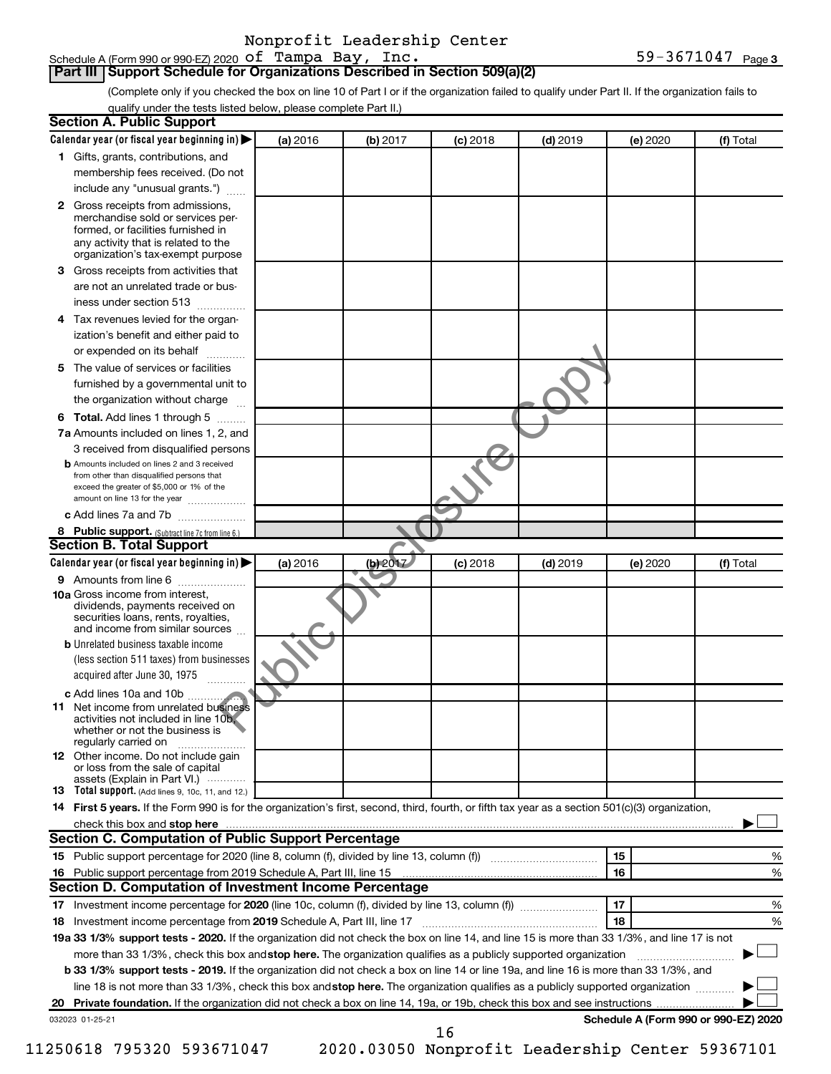### **Part III | Support Schedule for Organizations Described in Section 509(a)(2)**

(Complete only if you checked the box on line 10 of Part I or if the organization failed to qualify under Part II. If the organization fails to qualify under the tests listed below, please complete Part II.)

|   | <b>Section A. Public Support</b>                                                                                                                 |          |          |            |                 |          |                                      |
|---|--------------------------------------------------------------------------------------------------------------------------------------------------|----------|----------|------------|-----------------|----------|--------------------------------------|
|   | Calendar year (or fiscal year beginning in)                                                                                                      | (a) 2016 | (b) 2017 | $(c)$ 2018 | <b>(d)</b> 2019 | (e) 2020 | (f) Total                            |
|   | 1 Gifts, grants, contributions, and                                                                                                              |          |          |            |                 |          |                                      |
|   | membership fees received. (Do not                                                                                                                |          |          |            |                 |          |                                      |
|   | include any "unusual grants.")                                                                                                                   |          |          |            |                 |          |                                      |
|   | <b>2</b> Gross receipts from admissions,                                                                                                         |          |          |            |                 |          |                                      |
|   | merchandise sold or services per-                                                                                                                |          |          |            |                 |          |                                      |
|   | formed, or facilities furnished in<br>any activity that is related to the                                                                        |          |          |            |                 |          |                                      |
|   | organization's tax-exempt purpose                                                                                                                |          |          |            |                 |          |                                      |
| З | Gross receipts from activities that                                                                                                              |          |          |            |                 |          |                                      |
|   | are not an unrelated trade or bus-                                                                                                               |          |          |            |                 |          |                                      |
|   | iness under section 513                                                                                                                          |          |          |            |                 |          |                                      |
|   | 4 Tax revenues levied for the organ-                                                                                                             |          |          |            |                 |          |                                      |
|   | ization's benefit and either paid to                                                                                                             |          |          |            |                 |          |                                      |
|   | or expended on its behalf                                                                                                                        |          |          |            |                 |          |                                      |
|   | 5 The value of services or facilities                                                                                                            |          |          |            |                 |          |                                      |
|   | furnished by a governmental unit to                                                                                                              |          |          |            |                 |          |                                      |
|   | the organization without charge                                                                                                                  |          |          |            |                 |          |                                      |
|   | 6 Total. Add lines 1 through 5                                                                                                                   |          |          |            |                 |          |                                      |
|   | 7a Amounts included on lines 1, 2, and                                                                                                           |          |          |            |                 |          |                                      |
|   | 3 received from disqualified persons                                                                                                             |          |          |            |                 |          |                                      |
|   | <b>b</b> Amounts included on lines 2 and 3 received                                                                                              |          |          |            |                 |          |                                      |
|   | from other than disqualified persons that                                                                                                        |          |          |            |                 |          |                                      |
|   | exceed the greater of \$5,000 or 1% of the<br>amount on line 13 for the year                                                                     |          |          |            |                 |          |                                      |
|   | c Add lines 7a and 7b                                                                                                                            |          |          |            |                 |          |                                      |
|   | 8 Public support. (Subtract line 7c from line 6.)                                                                                                |          |          |            |                 |          |                                      |
|   | <b>Section B. Total Support</b>                                                                                                                  |          |          |            |                 |          |                                      |
|   | Calendar year (or fiscal year beginning in)                                                                                                      | (a) 2016 | (b) 2017 | (c) 2018   | $(d)$ 2019      | (e) 2020 | (f) Total                            |
|   | 9 Amounts from line 6                                                                                                                            |          |          |            |                 |          |                                      |
|   | <b>10a</b> Gross income from interest,                                                                                                           |          |          |            |                 |          |                                      |
|   | dividends, payments received on                                                                                                                  |          |          |            |                 |          |                                      |
|   | securities loans, rents, royalties,<br>and income from similar sources                                                                           |          |          |            |                 |          |                                      |
|   | <b>b</b> Unrelated business taxable income                                                                                                       |          |          |            |                 |          |                                      |
|   | (less section 511 taxes) from businesses                                                                                                         |          |          |            |                 |          |                                      |
|   | acquired after June 30, 1975                                                                                                                     |          |          |            |                 |          |                                      |
|   | c Add lines 10a and 10b                                                                                                                          |          |          |            |                 |          |                                      |
|   | 11 Net income from unrelated business                                                                                                            |          |          |            |                 |          |                                      |
|   | activities not included in line 10b                                                                                                              |          |          |            |                 |          |                                      |
|   | whether or not the business is<br>regularly carried on                                                                                           |          |          |            |                 |          |                                      |
|   | 12 Other income. Do not include gain                                                                                                             |          |          |            |                 |          |                                      |
|   | or loss from the sale of capital                                                                                                                 |          |          |            |                 |          |                                      |
|   | assets (Explain in Part VI.)<br>13 Total support. (Add lines 9, 10c, 11, and 12.)                                                                |          |          |            |                 |          |                                      |
|   | 14 First 5 years. If the Form 990 is for the organization's first, second, third, fourth, or fifth tax year as a section 501(c)(3) organization, |          |          |            |                 |          |                                      |
|   | check this box and stop here                                                                                                                     |          |          |            |                 |          |                                      |
|   | <b>Section C. Computation of Public Support Percentage</b>                                                                                       |          |          |            |                 |          |                                      |
|   |                                                                                                                                                  |          |          |            |                 | 15       | %                                    |
|   |                                                                                                                                                  |          |          |            |                 | 16       | %                                    |
|   | Section D. Computation of Investment Income Percentage                                                                                           |          |          |            |                 |          |                                      |
|   |                                                                                                                                                  |          |          |            |                 | 17       | %                                    |
|   |                                                                                                                                                  |          |          |            |                 | 18       | %                                    |
|   | 19a 33 1/3% support tests - 2020. If the organization did not check the box on line 14, and line 15 is more than 33 1/3%, and line 17 is not     |          |          |            |                 |          |                                      |
|   | more than 33 1/3%, check this box and stop here. The organization qualifies as a publicly supported organization                                 |          |          |            |                 |          |                                      |
|   | b 33 1/3% support tests - 2019. If the organization did not check a box on line 14 or line 19a, and line 16 is more than 33 1/3%, and            |          |          |            |                 |          |                                      |
|   | line 18 is not more than 33 1/3%, check this box and stop here. The organization qualifies as a publicly supported organization                  |          |          |            |                 |          |                                      |
|   |                                                                                                                                                  |          |          |            |                 |          |                                      |
|   | 032023 01-25-21                                                                                                                                  |          |          |            |                 |          | Schedule A (Form 990 or 990-EZ) 2020 |
|   |                                                                                                                                                  |          |          | 16         |                 |          |                                      |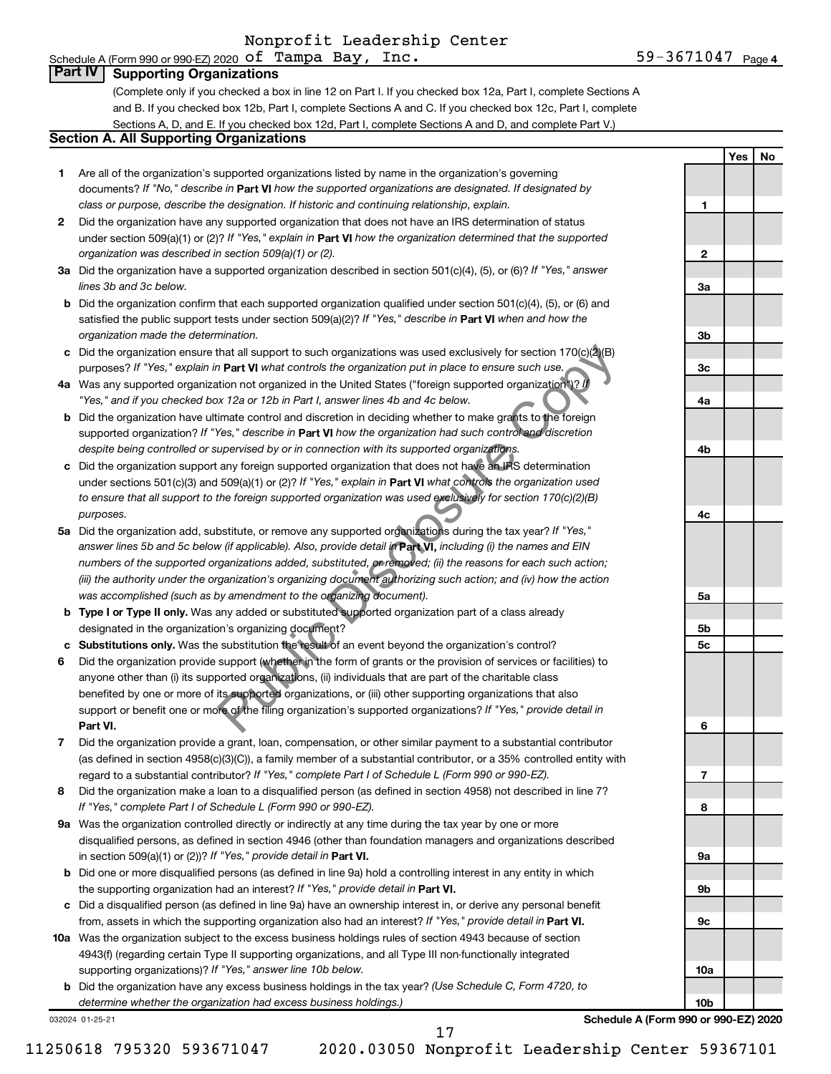# Schedule A (Form 990 or 990-EZ) 2020  $\,\texttt{of} \,$  Tampa Bay, Inc.  $\,$  59-3671047  $\,$   $_{\rm{Page}}$

59-3671047 <sub>Page 4</sub>

**1**

**2**

**3a**

**3b**

**3c**

**4a**

**4b**

**4c**

**5a**

**5b 5c**

**6**

**7**

**8**

**9a**

**9b**

**9c**

**10a**

**10b**

**Yes No**

#### **Part IV Supporting Organizations**

(Complete only if you checked a box in line 12 on Part I. If you checked box 12a, Part I, complete Sections A and B. If you checked box 12b, Part I, complete Sections A and C. If you checked box 12c, Part I, complete Sections A, D, and E. If you checked box 12d, Part I, complete Sections A and D, and complete Part V.)

#### **Section A. All Supporting Organizations**

- **1** Are all of the organization's supported organizations listed by name in the organization's governing documents? If "No," describe in Part VI how the supported organizations are designated. If designated by *class or purpose, describe the designation. If historic and continuing relationship, explain.*
- **2** Did the organization have any supported organization that does not have an IRS determination of status under section 509(a)(1) or (2)? If "Yes," explain in Part **VI** how the organization determined that the supported *organization was described in section 509(a)(1) or (2).*
- **3a** Did the organization have a supported organization described in section 501(c)(4), (5), or (6)? If "Yes," answer *lines 3b and 3c below.*
- **b** Did the organization confirm that each supported organization qualified under section 501(c)(4), (5), or (6) and satisfied the public support tests under section 509(a)(2)? If "Yes," describe in Part VI when and how the *organization made the determination.*
- **c** Did the organization ensure that all support to such organizations was used exclusively for section 170(c)(2)(B) purposes? If "Yes," explain in Part VI what controls the organization put in place to ensure such use.
- **4 a** *If* Was any supported organization not organized in the United States ("foreign supported organization")? *"Yes," and if you checked box 12a or 12b in Part I, answer lines 4b and 4c below.*
- **b** Did the organization have ultimate control and discretion in deciding whether to make grants to the foreign supported organization? If "Yes," describe in Part VI how the organization had such control and discretion *despite being controlled or supervised by or in connection with its supported organizations.*
- **c** Did the organization support any foreign supported organization that does not have an IRS determination under sections 501(c)(3) and 509(a)(1) or (2)? If "Yes," explain in Part VI what controls the organization used *to ensure that all support to the foreign supported organization was used exclusively for section 170(c)(2)(B) purposes.*
- **5a** Did the organization add, substitute, or remove any supported organizations during the tax year? If "Yes," answer lines 5b and 5c below (if applicable). Also, provide detail in **Part VI,** including (i) the names and EIN *numbers of the supported organizations added, substituted, or removed; (ii) the reasons for each such action; (iii) the authority under the organization's organizing document authorizing such action; and (iv) how the action was accomplished (such as by amendment to the organizing document).*
- **b** Type I or Type II only. Was any added or substituted supported organization part of a class already designated in the organization's organizing document?
- **c Substitutions only.**  Was the substitution the result of an event beyond the organization's control?
- **6** Did the organization provide support (whether in the form of grants or the provision of services or facilities) to **Part VI.** support or benefit one or more of the filing organization's supported organizations? If "Yes," provide detail in anyone other than (i) its supported organizations, (ii) individuals that are part of the charitable class benefited by one or more of its supported organizations, or (iii) other supporting organizations that also that all support to such organizations was used exclusively for section 170(c)( $2|(B)$ <br> **Part VI** what controls the organization put in place to ensure such use,<br>
then not organization in the United States ("foreign suppo
- **7** Did the organization provide a grant, loan, compensation, or other similar payment to a substantial contributor regard to a substantial contributor? If "Yes," complete Part I of Schedule L (Form 990 or 990-EZ). (as defined in section 4958(c)(3)(C)), a family member of a substantial contributor, or a 35% controlled entity with
- **8** Did the organization make a loan to a disqualified person (as defined in section 4958) not described in line 7? *If "Yes," complete Part I of Schedule L (Form 990 or 990-EZ).*
- **9 a** Was the organization controlled directly or indirectly at any time during the tax year by one or more in section 509(a)(1) or (2))? If "Yes," provide detail in **Part VI.** disqualified persons, as defined in section 4946 (other than foundation managers and organizations described
- **b** Did one or more disqualified persons (as defined in line 9a) hold a controlling interest in any entity in which the supporting organization had an interest? If "Yes," provide detail in Part VI.
- **c** Did a disqualified person (as defined in line 9a) have an ownership interest in, or derive any personal benefit from, assets in which the supporting organization also had an interest? If "Yes," provide detail in Part VI.
- **10 a** Was the organization subject to the excess business holdings rules of section 4943 because of section supporting organizations)? If "Yes," answer line 10b below. 4943(f) (regarding certain Type II supporting organizations, and all Type III non-functionally integrated
	- **b** Did the organization have any excess business holdings in the tax year? (Use Schedule C, Form 4720, to *determine whether the organization had excess business holdings.)*

032024 01-25-21

**Schedule A (Form 990 or 990-EZ) 2020**

17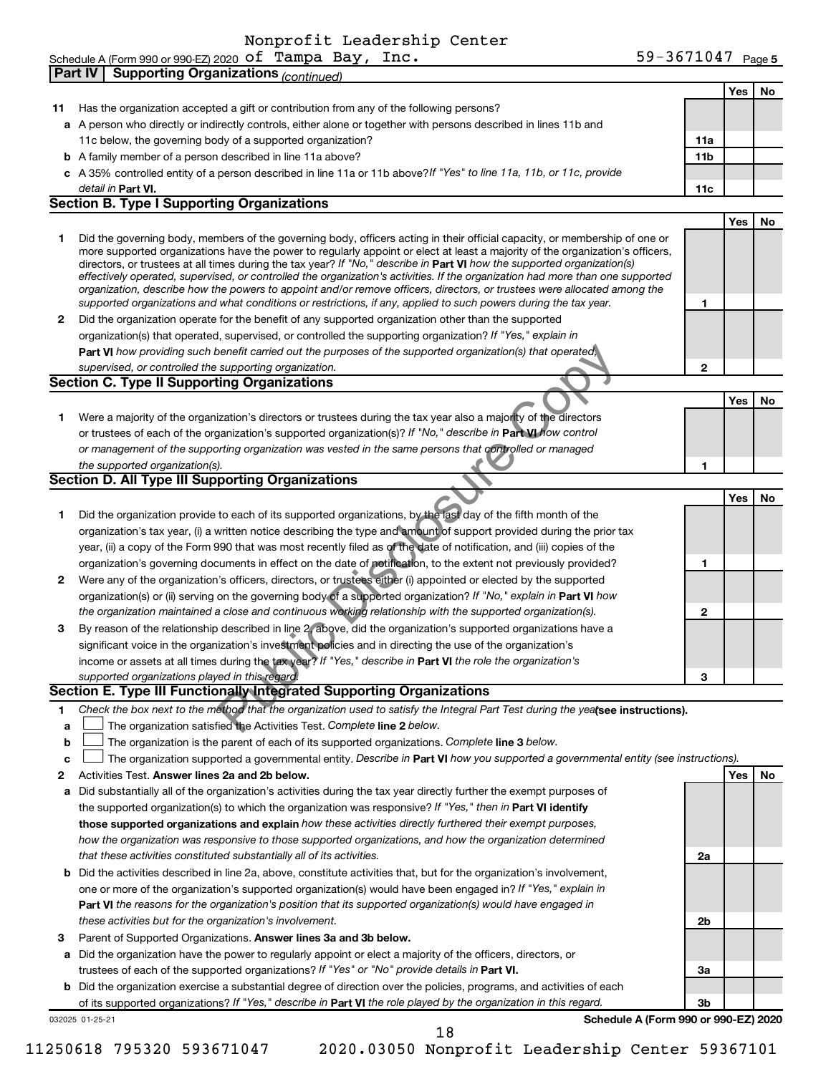|    |                 | <b>Part IV   Supporting Organizations (continued)</b>                                                                                                                                                                                                       |                 |     |    |
|----|-----------------|-------------------------------------------------------------------------------------------------------------------------------------------------------------------------------------------------------------------------------------------------------------|-----------------|-----|----|
|    |                 |                                                                                                                                                                                                                                                             |                 | Yes | No |
| 11 |                 | Has the organization accepted a gift or contribution from any of the following persons?                                                                                                                                                                     |                 |     |    |
|    |                 | a A person who directly or indirectly controls, either alone or together with persons described in lines 11b and                                                                                                                                            |                 |     |    |
|    |                 | 11c below, the governing body of a supported organization?                                                                                                                                                                                                  | 11a             |     |    |
|    |                 | <b>b</b> A family member of a person described in line 11a above?                                                                                                                                                                                           | 11 <sub>b</sub> |     |    |
|    |                 | c A 35% controlled entity of a person described in line 11a or 11b above?If "Yes" to line 11a, 11b, or 11c, provide                                                                                                                                         |                 |     |    |
|    |                 | detail in Part VI.                                                                                                                                                                                                                                          | 11c             |     |    |
|    |                 | <b>Section B. Type I Supporting Organizations</b>                                                                                                                                                                                                           |                 |     |    |
|    |                 |                                                                                                                                                                                                                                                             |                 |     |    |
|    |                 |                                                                                                                                                                                                                                                             |                 | Yes | No |
| 1  |                 | Did the governing body, members of the governing body, officers acting in their official capacity, or membership of one or<br>more supported organizations have the power to regularly appoint or elect at least a majority of the organization's officers, |                 |     |    |
|    |                 | directors, or trustees at all times during the tax year? If "No," describe in Part VI how the supported organization(s)                                                                                                                                     |                 |     |    |
|    |                 | effectively operated, supervised, or controlled the organization's activities. If the organization had more than one supported                                                                                                                              |                 |     |    |
|    |                 | organization, describe how the powers to appoint and/or remove officers, directors, or trustees were allocated among the                                                                                                                                    |                 |     |    |
|    |                 | supported organizations and what conditions or restrictions, if any, applied to such powers during the tax year.                                                                                                                                            | 1               |     |    |
| 2  |                 | Did the organization operate for the benefit of any supported organization other than the supported                                                                                                                                                         |                 |     |    |
|    |                 | organization(s) that operated, supervised, or controlled the supporting organization? If "Yes," explain in                                                                                                                                                  |                 |     |    |
|    |                 | <b>Part VI</b> how providing such benefit carried out the purposes of the supported organization(s) that operated,                                                                                                                                          |                 |     |    |
|    |                 | supervised, or controlled the supporting organization.                                                                                                                                                                                                      | $\mathbf{2}$    |     |    |
|    |                 | <b>Section C. Type II Supporting Organizations</b>                                                                                                                                                                                                          |                 |     |    |
|    |                 |                                                                                                                                                                                                                                                             |                 | Yes | No |
| 1  |                 | Were a majority of the organization's directors or trustees during the tax year also a majority of the directors                                                                                                                                            |                 |     |    |
|    |                 | or trustees of each of the organization's supported organization(s)? If "No," describe in Part VI how control                                                                                                                                               |                 |     |    |
|    |                 | or management of the supporting organization was vested in the same persons that controlled or managed                                                                                                                                                      |                 |     |    |
|    |                 | the supported organization(s).                                                                                                                                                                                                                              | 1               |     |    |
|    |                 | Section D. All Type III Supporting Organizations                                                                                                                                                                                                            |                 |     |    |
|    |                 |                                                                                                                                                                                                                                                             |                 | Yes | No |
| 1  |                 | Did the organization provide to each of its supported organizations, by the last day of the fifth month of the                                                                                                                                              |                 |     |    |
|    |                 | organization's tax year, (i) a written notice describing the type and amount of support provided during the prior tax                                                                                                                                       |                 |     |    |
|    |                 | year, (ii) a copy of the Form 990 that was most recently filed as of the date of notification, and (iii) copies of the                                                                                                                                      |                 |     |    |
|    |                 | organization's governing documents in effect on the date of potification, to the extent not previously provided?                                                                                                                                            | 1               |     |    |
| 2  |                 | Were any of the organization's officers, directors, or trustees either (i) appointed or elected by the supported                                                                                                                                            |                 |     |    |
|    |                 | organization(s) or (ii) serving on the governing body of a supported organization? If "No," explain in Part VI how                                                                                                                                          |                 |     |    |
|    |                 | the organization maintained a close and continuous working relationship with the supported organization(s).                                                                                                                                                 | 2               |     |    |
| 3  |                 | By reason of the relationship described in line 2, above, did the organization's supported organizations have a                                                                                                                                             |                 |     |    |
|    |                 | significant voice in the organization's investment policies and in directing the use of the organization's                                                                                                                                                  |                 |     |    |
|    |                 | income or assets at all times during the tax year? If "Yes," describe in Part VI the role the organization's                                                                                                                                                |                 |     |    |
|    |                 |                                                                                                                                                                                                                                                             |                 |     |    |
|    |                 | supported organizations played in this regard.<br>Section E. Type III Functionally Integrated Supporting Organizations                                                                                                                                      | з               |     |    |
|    |                 |                                                                                                                                                                                                                                                             |                 |     |    |
| 1. |                 | Check the box next to the method that the organization used to satisfy the Integral Part Test during the yeafsee instructions).                                                                                                                             |                 |     |    |
| a  |                 | The organization satisfied the Activities Test. Complete line 2 below.                                                                                                                                                                                      |                 |     |    |
| b  |                 | The organization is the parent of each of its supported organizations. Complete line 3 below.                                                                                                                                                               |                 |     |    |
| c  |                 | The organization supported a governmental entity. Describe in Part VI how you supported a governmental entity (see instructions).                                                                                                                           |                 |     |    |
| 2  |                 | Activities Test. Answer lines 2a and 2b below.                                                                                                                                                                                                              |                 | Yes | No |
| а  |                 | Did substantially all of the organization's activities during the tax year directly further the exempt purposes of                                                                                                                                          |                 |     |    |
|    |                 | the supported organization(s) to which the organization was responsive? If "Yes," then in Part VI identify                                                                                                                                                  |                 |     |    |
|    |                 | those supported organizations and explain how these activities directly furthered their exempt purposes,                                                                                                                                                    |                 |     |    |
|    |                 | how the organization was responsive to those supported organizations, and how the organization determined                                                                                                                                                   |                 |     |    |
|    |                 | that these activities constituted substantially all of its activities.                                                                                                                                                                                      | 2a              |     |    |
| b  |                 | Did the activities described in line 2a, above, constitute activities that, but for the organization's involvement,                                                                                                                                         |                 |     |    |
|    |                 | one or more of the organization's supported organization(s) would have been engaged in? If "Yes," explain in                                                                                                                                                |                 |     |    |
|    |                 | Part VI the reasons for the organization's position that its supported organization(s) would have engaged in                                                                                                                                                |                 |     |    |
|    |                 | these activities but for the organization's involvement.                                                                                                                                                                                                    | 2b              |     |    |
| 3  |                 | Parent of Supported Organizations. Answer lines 3a and 3b below.                                                                                                                                                                                            |                 |     |    |
| а  |                 | Did the organization have the power to regularly appoint or elect a majority of the officers, directors, or                                                                                                                                                 |                 |     |    |
|    |                 | trustees of each of the supported organizations? If "Yes" or "No" provide details in Part VI.                                                                                                                                                               | За              |     |    |
|    |                 | <b>b</b> Did the organization exercise a substantial degree of direction over the policies, programs, and activities of each                                                                                                                                |                 |     |    |
|    |                 | of its supported organizations? If "Yes," describe in Part VI the role played by the organization in this regard.                                                                                                                                           | Зb              |     |    |
|    | 032025 01-25-21 | Schedule A (Form 990 or 990-EZ) 2020                                                                                                                                                                                                                        |                 |     |    |
|    |                 | 18                                                                                                                                                                                                                                                          |                 |     |    |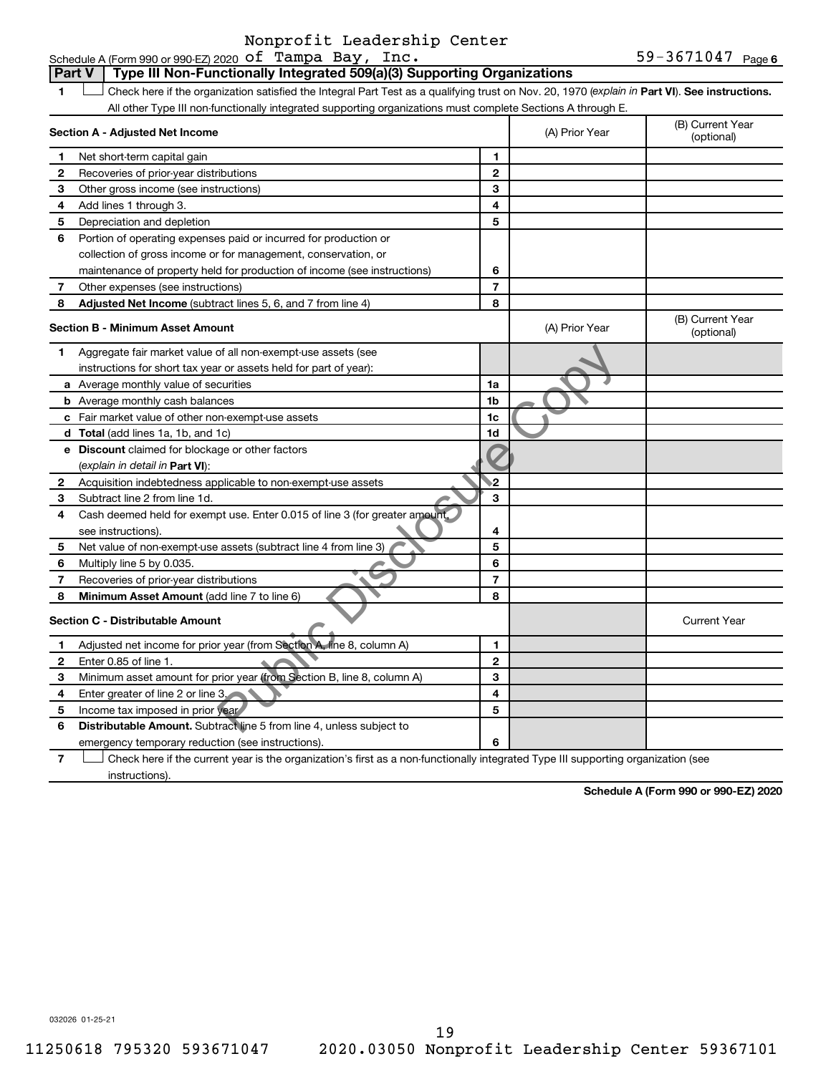59-3671047 Page 6 Schedule A (Form 990 or 990-EZ) 2020  $\,\texttt{of} \,$  Tampa Bay, Inc.  $\,$  59-3671047  $\,$   $_{\rm{Page}}$ 

#### 1 **I** Check here if the organization satisfied the Integral Part Test as a qualifying trust on Nov. 20, 1970 (explain in Part VI). See instructions. **Section A - Adjusted Net Income 3 5 8 1 2 3 4 5 6 7 Adjusted Net Income** (subtract lines 5, 6, and 7 from line 4) **8 8 Section B - Minimum Asset Amount** All other Type III non-functionally integrated supporting organizations must complete Sections A through E. (B) Current Year (A) Prior Year Net short-term capital gain Recoveries of prior-year distributions Other gross income (see instructions) Add lines 1 through 3. Depreciation and depletion Portion of operating expenses paid or incurred for production or collection of gross income or for management, conservation, or maintenance of property held for production of income (see instructions) Other expenses (see instructions) (B) Current Year  $(A)$  Prior Year  $\left\{\n\begin{array}{ccc}\n\end{array}\n\right\}$  (optional) Aggregate fair market value of all non-exempt-use assets (see instructions for short tax year or assets held for part of year): **Part V** Type III Non-Functionally Integrated 509(a)(3) Supporting Organizations

|              | Aggregate fair market value of all non-exempt-use assets (see               |                |                     |
|--------------|-----------------------------------------------------------------------------|----------------|---------------------|
|              | instructions for short tax year or assets held for part of year):           |                |                     |
|              | a Average monthly value of securities                                       | 1a             |                     |
|              | <b>b</b> Average monthly cash balances                                      | 1 <sub>b</sub> |                     |
|              | c Fair market value of other non-exempt-use assets                          | 1 <sub>c</sub> |                     |
|              | d Total (add lines 1a, 1b, and 1c)                                          | 1d             |                     |
| е            | <b>Discount</b> claimed for blockage or other factors                       |                |                     |
|              | (explain in detail in Part VI):                                             |                |                     |
| 2            | Acquisition indebtedness applicable to non-exempt-use assets                | $\mathbf{2}$   |                     |
| 3            | Subtract line 2 from line 1d.                                               | з              |                     |
| 4            | Cash deemed held for exempt use. Enter 0.015 of line 3 (for greater amount, |                |                     |
|              | see instructions).                                                          | 4              |                     |
| 5            | Net value of non-exempt-use assets (subtract line 4 from line 3)            | 5              |                     |
| 6            | Multiply line 5 by 0.035.                                                   | 6              |                     |
|              | Recoveries of prior-year distributions                                      | 7              |                     |
| 8            | Minimum Asset Amount (add line 7 to line 6)                                 | 8              |                     |
|              | <b>Section C - Distributable Amount</b>                                     |                | <b>Current Year</b> |
|              | Adjusted net income for prior year (from Section A, line 8, column A)       | 1              |                     |
| $\mathbf{2}$ | Enter 0.85 of line 1.                                                       | $\mathbf{2}$   |                     |
| 3            | Minimum asset amount for prior year (from Section B, line 8, column A)      | 3              |                     |
| 4            | Enter greater of line 2 or line 3.                                          | 4              |                     |
| 5            | Income tax imposed in prior year                                            | 5              |                     |
| 6            | Distributable Amount. Subtract line 5 from line 4, unless subject to        |                |                     |
|              | emergency temporary reduction (see instructions).                           | 6              |                     |
|              |                                                                             |                |                     |

**7** Check here if the current year is the organization's first as a non-functionally integrated Type III supporting organization (see instructions).

**Schedule A (Form 990 or 990-EZ) 2020**

032026 01-25-21

**1 2**

**4**

**6**

**7**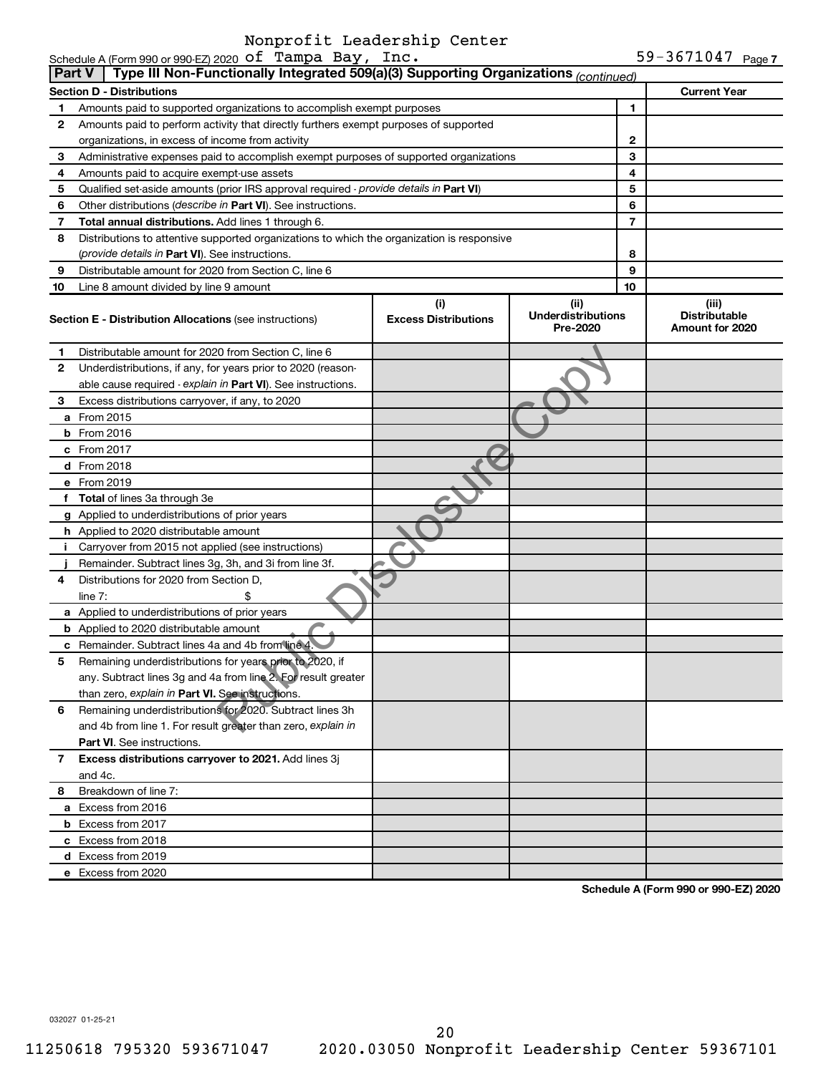| Part V | Schedule A (Form 990 or 990-EZ) 2020 $\sigma$ I Tampa Bay, Inc.<br>Type III Non-Functionally Integrated 509(a)(3) Supporting Organizations (continued) |                             |                                       |        | 59-36/104/ Page 7                       |
|--------|--------------------------------------------------------------------------------------------------------------------------------------------------------|-----------------------------|---------------------------------------|--------|-----------------------------------------|
|        |                                                                                                                                                        |                             |                                       |        |                                         |
|        | <b>Section D - Distributions</b>                                                                                                                       |                             |                                       |        | <b>Current Year</b>                     |
| 1      | Amounts paid to supported organizations to accomplish exempt purposes                                                                                  |                             |                                       | 1      |                                         |
| 2      | Amounts paid to perform activity that directly furthers exempt purposes of supported                                                                   |                             |                                       |        |                                         |
|        | organizations, in excess of income from activity                                                                                                       |                             |                                       | 2<br>3 |                                         |
| 3<br>4 | Administrative expenses paid to accomplish exempt purposes of supported organizations<br>Amounts paid to acquire exempt-use assets                     |                             |                                       | 4      |                                         |
| 5      | Qualified set-aside amounts (prior IRS approval required - provide details in Part VI)                                                                 |                             |                                       | 5      |                                         |
| 6      | Other distributions (describe in Part VI). See instructions.                                                                                           |                             |                                       | 6      |                                         |
| 7      | Total annual distributions. Add lines 1 through 6.                                                                                                     |                             |                                       | 7      |                                         |
| 8      | Distributions to attentive supported organizations to which the organization is responsive                                                             |                             |                                       |        |                                         |
|        | (provide details in Part VI). See instructions.                                                                                                        |                             |                                       | 8      |                                         |
| 9      | Distributable amount for 2020 from Section C, line 6                                                                                                   |                             |                                       | 9      |                                         |
| 10     | Line 8 amount divided by line 9 amount                                                                                                                 |                             |                                       | 10     |                                         |
|        |                                                                                                                                                        | (i)                         | (iii)                                 |        | (iii)                                   |
|        | <b>Section E - Distribution Allocations</b> (see instructions)                                                                                         | <b>Excess Distributions</b> | <b>Underdistributions</b><br>Pre-2020 |        | <b>Distributable</b><br>Amount for 2020 |
| 1      | Distributable amount for 2020 from Section C, line 6                                                                                                   |                             |                                       |        |                                         |
| 2      | Underdistributions, if any, for years prior to 2020 (reason-                                                                                           |                             |                                       |        |                                         |
|        | able cause required - explain in Part VI). See instructions.                                                                                           |                             |                                       |        |                                         |
| 3      | Excess distributions carryover, if any, to 2020                                                                                                        |                             |                                       |        |                                         |
|        | a From 2015                                                                                                                                            |                             |                                       |        |                                         |
|        | <b>b</b> From 2016                                                                                                                                     |                             |                                       |        |                                         |
|        | c From 2017                                                                                                                                            |                             |                                       |        |                                         |
|        | <b>d</b> From 2018                                                                                                                                     |                             |                                       |        |                                         |
|        | e From 2019                                                                                                                                            |                             |                                       |        |                                         |
|        | f Total of lines 3a through 3e                                                                                                                         |                             |                                       |        |                                         |
|        | g Applied to underdistributions of prior years                                                                                                         |                             |                                       |        |                                         |
|        | h Applied to 2020 distributable amount                                                                                                                 |                             |                                       |        |                                         |
|        | i Carryover from 2015 not applied (see instructions)                                                                                                   |                             |                                       |        |                                         |
|        | Remainder. Subtract lines 3g, 3h, and 3i from line 3f.                                                                                                 |                             |                                       |        |                                         |
| 4      | Distributions for 2020 from Section D,                                                                                                                 |                             |                                       |        |                                         |
|        | line $7:$<br>\$                                                                                                                                        |                             |                                       |        |                                         |
|        | a Applied to underdistributions of prior years<br><b>b</b> Applied to 2020 distributable amount                                                        |                             |                                       |        |                                         |
|        | c Remainder. Subtract lines 4a and 4b from line 4.                                                                                                     |                             |                                       |        |                                         |
| 5      | Remaining underdistributions for years prior to 2020, if                                                                                               |                             |                                       |        |                                         |
|        | any. Subtract lines 3g and 4a from line 2. For result greater                                                                                          |                             |                                       |        |                                         |
|        | than zero, explain in Part VI. See instructions.                                                                                                       |                             |                                       |        |                                         |
| 6      | Remaining underdistributions for 2020. Subtract lines 3h                                                                                               |                             |                                       |        |                                         |
|        | and 4b from line 1. For result greater than zero, explain in                                                                                           |                             |                                       |        |                                         |
|        | Part VI. See instructions.                                                                                                                             |                             |                                       |        |                                         |
| 7      | Excess distributions carryover to 2021. Add lines 3j                                                                                                   |                             |                                       |        |                                         |
|        | and 4c.                                                                                                                                                |                             |                                       |        |                                         |
| 8      | Breakdown of line 7:                                                                                                                                   |                             |                                       |        |                                         |
|        | a Excess from 2016                                                                                                                                     |                             |                                       |        |                                         |
|        | <b>b</b> Excess from 2017                                                                                                                              |                             |                                       |        |                                         |
|        | c Excess from 2018                                                                                                                                     |                             |                                       |        |                                         |
|        | d Excess from 2019                                                                                                                                     |                             |                                       |        |                                         |
|        | e Excess from 2020                                                                                                                                     |                             |                                       |        |                                         |

**Schedule A (Form 990 or 990-EZ) 2020**

032027 01-25-21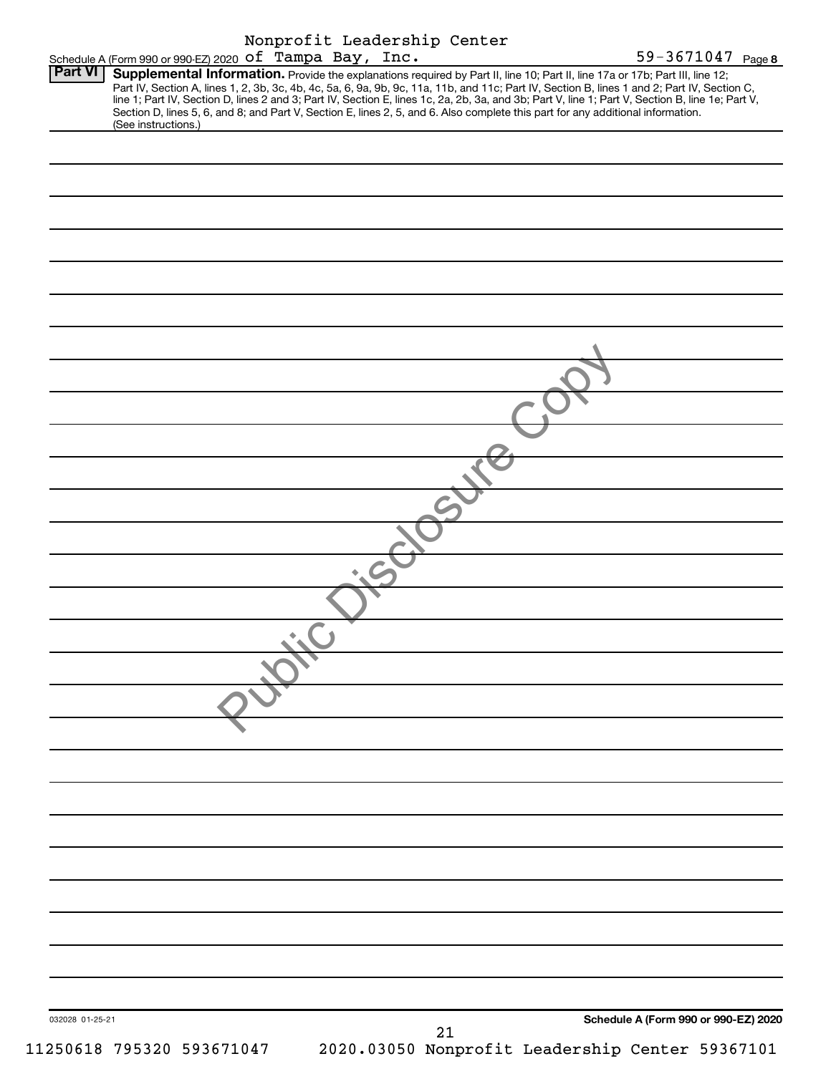| Nonprofit Leadership Center                                                                                                                                                                                                                                                                                                                                                                                                                                                                                                                                                                 |
|---------------------------------------------------------------------------------------------------------------------------------------------------------------------------------------------------------------------------------------------------------------------------------------------------------------------------------------------------------------------------------------------------------------------------------------------------------------------------------------------------------------------------------------------------------------------------------------------|
| Schedule A (Form 990 or 990-EZ) 2020 Of Tampa Bay, Inc.<br>59-3671047 Page 8                                                                                                                                                                                                                                                                                                                                                                                                                                                                                                                |
| Supplemental Information. Provide the explanations required by Part II, line 10; Part II, line 17a or 17b; Part III, line 12;<br>Part IV, Section A, lines 1, 2, 3b, 3c, 4b, 4c, 5a, 6, 9a, 9b, 9c, 11a, 11b, and 11c; Part IV, Section B, lines 1 and 2; Part IV, Section C,<br>line 1; Part IV, Section D, lines 2 and 3; Part IV, Section E, lines 1c, 2a, 2b, 3a, and 3b; Part V, line 1; Part V, Section B, line 1e; Part V,<br>Section D, lines 5, 6, and 8; and Part V, Section E, lines 2, 5, and 6. Also complete this part for any additional information.<br>(See instructions.) |
|                                                                                                                                                                                                                                                                                                                                                                                                                                                                                                                                                                                             |
|                                                                                                                                                                                                                                                                                                                                                                                                                                                                                                                                                                                             |
|                                                                                                                                                                                                                                                                                                                                                                                                                                                                                                                                                                                             |
|                                                                                                                                                                                                                                                                                                                                                                                                                                                                                                                                                                                             |
|                                                                                                                                                                                                                                                                                                                                                                                                                                                                                                                                                                                             |
|                                                                                                                                                                                                                                                                                                                                                                                                                                                                                                                                                                                             |
|                                                                                                                                                                                                                                                                                                                                                                                                                                                                                                                                                                                             |
|                                                                                                                                                                                                                                                                                                                                                                                                                                                                                                                                                                                             |
|                                                                                                                                                                                                                                                                                                                                                                                                                                                                                                                                                                                             |
|                                                                                                                                                                                                                                                                                                                                                                                                                                                                                                                                                                                             |
|                                                                                                                                                                                                                                                                                                                                                                                                                                                                                                                                                                                             |
|                                                                                                                                                                                                                                                                                                                                                                                                                                                                                                                                                                                             |
|                                                                                                                                                                                                                                                                                                                                                                                                                                                                                                                                                                                             |
|                                                                                                                                                                                                                                                                                                                                                                                                                                                                                                                                                                                             |
|                                                                                                                                                                                                                                                                                                                                                                                                                                                                                                                                                                                             |
|                                                                                                                                                                                                                                                                                                                                                                                                                                                                                                                                                                                             |
|                                                                                                                                                                                                                                                                                                                                                                                                                                                                                                                                                                                             |
|                                                                                                                                                                                                                                                                                                                                                                                                                                                                                                                                                                                             |
|                                                                                                                                                                                                                                                                                                                                                                                                                                                                                                                                                                                             |
| ۰                                                                                                                                                                                                                                                                                                                                                                                                                                                                                                                                                                                           |
|                                                                                                                                                                                                                                                                                                                                                                                                                                                                                                                                                                                             |
|                                                                                                                                                                                                                                                                                                                                                                                                                                                                                                                                                                                             |
|                                                                                                                                                                                                                                                                                                                                                                                                                                                                                                                                                                                             |
|                                                                                                                                                                                                                                                                                                                                                                                                                                                                                                                                                                                             |
|                                                                                                                                                                                                                                                                                                                                                                                                                                                                                                                                                                                             |
|                                                                                                                                                                                                                                                                                                                                                                                                                                                                                                                                                                                             |
|                                                                                                                                                                                                                                                                                                                                                                                                                                                                                                                                                                                             |
|                                                                                                                                                                                                                                                                                                                                                                                                                                                                                                                                                                                             |
|                                                                                                                                                                                                                                                                                                                                                                                                                                                                                                                                                                                             |
|                                                                                                                                                                                                                                                                                                                                                                                                                                                                                                                                                                                             |
|                                                                                                                                                                                                                                                                                                                                                                                                                                                                                                                                                                                             |
|                                                                                                                                                                                                                                                                                                                                                                                                                                                                                                                                                                                             |
|                                                                                                                                                                                                                                                                                                                                                                                                                                                                                                                                                                                             |
|                                                                                                                                                                                                                                                                                                                                                                                                                                                                                                                                                                                             |
| Schedule A (Form 990 or 990-EZ) 2020<br>032028 01-25-21                                                                                                                                                                                                                                                                                                                                                                                                                                                                                                                                     |
|                                                                                                                                                                                                                                                                                                                                                                                                                                                                                                                                                                                             |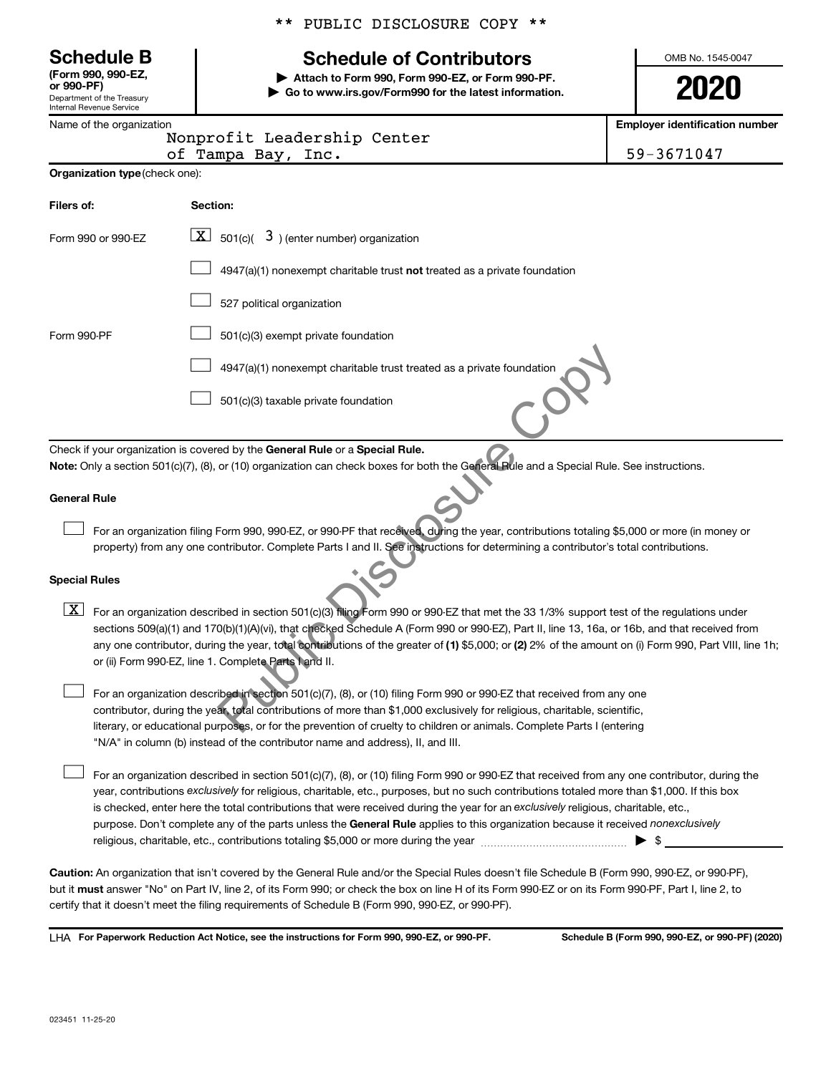Department of the Treasury Internal Revenue Service **(Form 990, 990-EZ,**

|  | Name of the organization |
|--|--------------------------|
|  |                          |

# **Schedule B Schedule of Contributors**

**or 990-PF) | Attach to Form 990, Form 990-EZ, or Form 990-PF. | Go to www.irs.gov/Form990 for the latest information.**

Nonprofit Leadership Center

OMB No. 1545-0047

**2020**

**Employer identification number**

|                    | NONDIULIC DeaderShip Center |            |
|--------------------|-----------------------------|------------|
| of Tampa Bay, Inc. |                             | 59-3671047 |

| Organization type (check one): |  |
|--------------------------------|--|
|                                |  |

| Filers of:           | Section:                                                                                                                                                                                                                                                                                                                                                                                                                                                                                                                                                              |  |  |  |  |
|----------------------|-----------------------------------------------------------------------------------------------------------------------------------------------------------------------------------------------------------------------------------------------------------------------------------------------------------------------------------------------------------------------------------------------------------------------------------------------------------------------------------------------------------------------------------------------------------------------|--|--|--|--|
| Form 990 or 990-EZ   | 501(c)( $3$ ) (enter number) organization<br>$\mathbf{X}$                                                                                                                                                                                                                                                                                                                                                                                                                                                                                                             |  |  |  |  |
|                      | $4947(a)(1)$ nonexempt charitable trust <b>not</b> treated as a private foundation                                                                                                                                                                                                                                                                                                                                                                                                                                                                                    |  |  |  |  |
|                      | 527 political organization                                                                                                                                                                                                                                                                                                                                                                                                                                                                                                                                            |  |  |  |  |
| Form 990-PF          | 501(c)(3) exempt private foundation                                                                                                                                                                                                                                                                                                                                                                                                                                                                                                                                   |  |  |  |  |
|                      | 4947(a)(1) nonexempt charitable trust treated as a private foundation                                                                                                                                                                                                                                                                                                                                                                                                                                                                                                 |  |  |  |  |
|                      | 501(c)(3) taxable private foundation                                                                                                                                                                                                                                                                                                                                                                                                                                                                                                                                  |  |  |  |  |
|                      | Check if your organization is covered by the General Rule or a Special Rule.                                                                                                                                                                                                                                                                                                                                                                                                                                                                                          |  |  |  |  |
| <b>General Rule</b>  | Note: Only a section 501(c)(7), (8), or (10) organization can check boxes for both the General Rule and a Special Rule. See instructions.                                                                                                                                                                                                                                                                                                                                                                                                                             |  |  |  |  |
|                      | For an organization filing Form 990, 990-EZ, or 990-PF that received, during the year, contributions totaling \$5,000 or more (in money or<br>property) from any one contributor. Complete Parts I and II. See instructions for determining a contributor's total contributions.                                                                                                                                                                                                                                                                                      |  |  |  |  |
| <b>Special Rules</b> |                                                                                                                                                                                                                                                                                                                                                                                                                                                                                                                                                                       |  |  |  |  |
| $\vert$ X $\vert$    | For an organization described in section 501(c)(3) filing Form 990 or 990-EZ that met the 33 1/3% support test of the regulations under<br>sections 509(a)(1) and 170(b)(1)(A)(vi), that checked Schedule A (Form 990 or 990-EZ), Part II, line 13, 16a, or 16b, and that received from<br>any one contributor, during the year, total contributions of the greater of (1) \$5,000; or (2) 2% of the amount on (i) Form 990, Part VIII, line 1h;<br>or (ii) Form 990-EZ, line 1. Complete Parts I and II.                                                             |  |  |  |  |
|                      | For an organization described in section 501(c)(7), (8), or (10) filing Form 990 or 990-EZ that received from any one<br>contributor, during the year, total contributions of more than \$1,000 exclusively for religious, charitable, scientific,<br>literary, or educational purposes, or for the prevention of cruelty to children or animals. Complete Parts I (entering<br>"N/A" in column (b) instead of the contributor name and address), II, and III.                                                                                                        |  |  |  |  |
|                      | For an organization described in section 501(c)(7), (8), or (10) filing Form 990 or 990-EZ that received from any one contributor, during the<br>year, contributions exclusively for religious, charitable, etc., purposes, but no such contributions totaled more than \$1,000. If this box<br>is checked, enter here the total contributions that were received during the year for an exclusively religious, charitable, etc.,<br>purpose. Don't complete any of the parts unless the General Rule applies to this organization because it received nonexclusively |  |  |  |  |

**Caution:**  An organization that isn't covered by the General Rule and/or the Special Rules doesn't file Schedule B (Form 990, 990-EZ, or 990-PF),  **must** but it answer "No" on Part IV, line 2, of its Form 990; or check the box on line H of its Form 990-EZ or on its Form 990-PF, Part I, line 2, to certify that it doesn't meet the filing requirements of Schedule B (Form 990, 990-EZ, or 990-PF).

**For Paperwork Reduction Act Notice, see the instructions for Form 990, 990-EZ, or 990-PF. Schedule B (Form 990, 990-EZ, or 990-PF) (2020)** LHA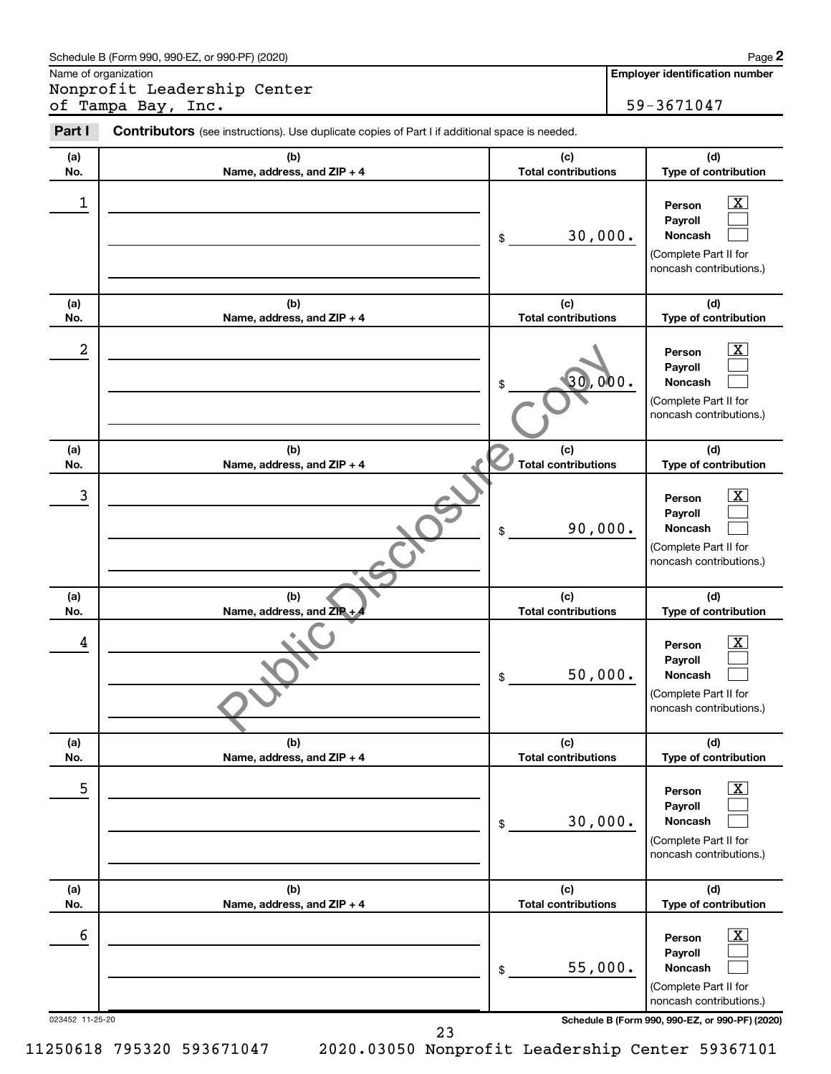| Schedule B (Form 990, 990-EZ, or 990-PF) (2020) | Page |
|-------------------------------------------------|------|
|-------------------------------------------------|------|

Name of organization

Nonprofit Leadership Center of Tampa Bay, Inc. 1994. The set of the set of the set of the set of the set of the set of the set of the set of the set of the set of the set of the set of the set of the set of the set of the set of the set of the set of **2**

| Part I     | Contributors (see instructions). Use duplicate copies of Part I if additional space is needed. |                                   |                                                                                              |
|------------|------------------------------------------------------------------------------------------------|-----------------------------------|----------------------------------------------------------------------------------------------|
| (a)<br>No. | (b)<br>Name, address, and ZIP + 4                                                              | (c)<br><b>Total contributions</b> | (d)<br>Type of contribution                                                                  |
| 1          |                                                                                                | 30,000.<br>\$                     | X<br>Person<br>Payroll<br><b>Noncash</b><br>(Complete Part II for<br>noncash contributions.) |
| (a)<br>No. | (b)<br>Name, address, and ZIP + 4                                                              | (c)<br><b>Total contributions</b> | (d)<br>Type of contribution                                                                  |
| 2          |                                                                                                | 30,000.<br>\$                     | X<br>Person<br>Payroll<br><b>Noncash</b><br>(Complete Part II for<br>noncash contributions.) |
| (a)<br>No. | (b)<br>Name, address, and ZIP + 4                                                              | (c)<br><b>Total contributions</b> | (d)<br>Type of contribution                                                                  |
| 3          |                                                                                                | 90,000.<br>\$                     | x<br>Person<br>Payroll<br>Noncash<br>(Complete Part II for<br>noncash contributions.)        |
| (a)<br>No. | (b)<br>Name, address, and $ZIP + 4$                                                            | (c)<br><b>Total contributions</b> | (d)<br>Type of contribution                                                                  |
| 4          |                                                                                                | 50,000.<br>\$                     | x<br>Person<br>Payroll<br>Noncash<br>(Complete Part II for<br>noncash contributions.)        |
| (a)<br>No. | (b)<br>Name, address, and ZIP + 4                                                              | (c)<br><b>Total contributions</b> | (d)<br>Type of contribution                                                                  |
| 5          |                                                                                                | 30,000.<br>$\$$                   | X<br>Person<br>Payroll<br>Noncash<br>(Complete Part II for<br>noncash contributions.)        |
| (a)<br>No. | (b)<br>Name, address, and ZIP + 4                                                              | (c)<br><b>Total contributions</b> | (d)<br>Type of contribution                                                                  |
| 6          |                                                                                                | 55,000.<br>\$                     | x<br>Person<br>Payroll<br>Noncash<br>(Complete Part II for<br>noncash contributions.)        |

023452 11-25-20 **Schedule B (Form 990, 990-EZ, or 990-PF) (2020)**

23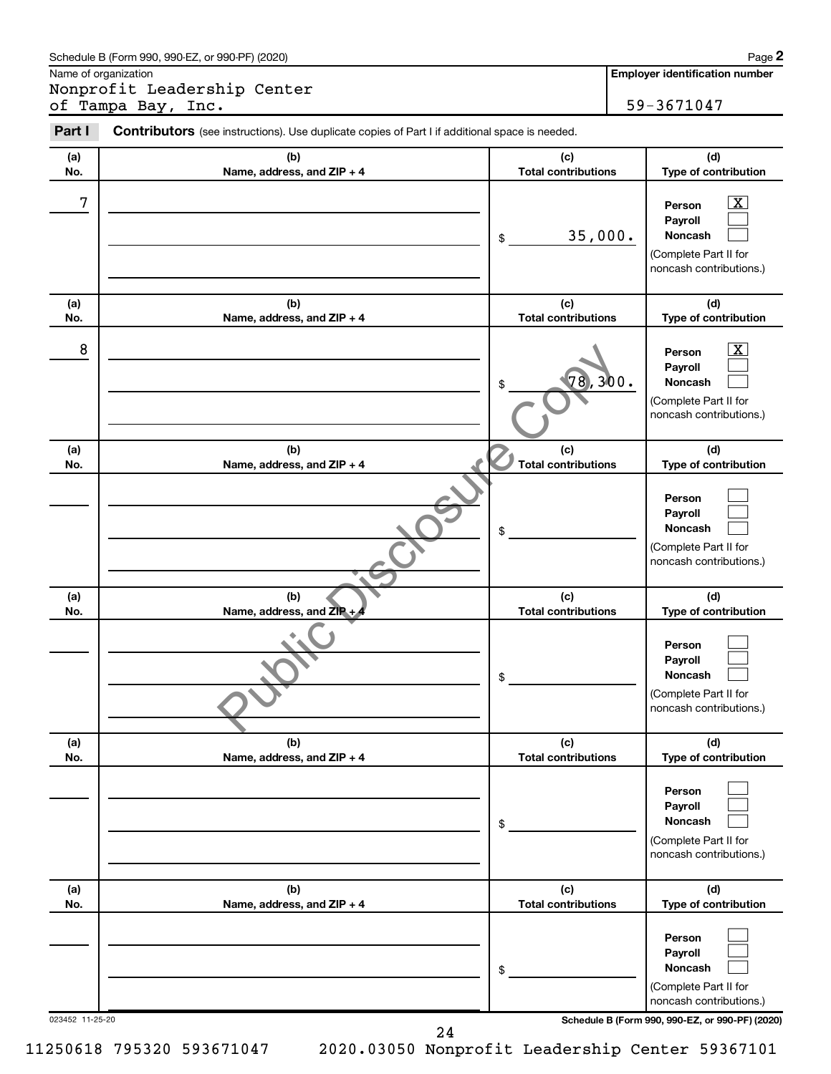| Part I<br><b>Contributors</b> (see instructions). Use duplicate copies of Part I if additional space is needed. |                                   |                                   |                                                                                              |
|-----------------------------------------------------------------------------------------------------------------|-----------------------------------|-----------------------------------|----------------------------------------------------------------------------------------------|
| (a)<br>No.                                                                                                      | (b)<br>Name, address, and ZIP + 4 | (c)<br><b>Total contributions</b> | (d)<br>Type of contribution                                                                  |
| 7                                                                                                               |                                   | 35,000.<br>\$                     | х<br>Person<br>Payroll<br>Noncash<br>(Complete Part II for<br>noncash contributions.)        |
| (a)<br>No.                                                                                                      | (b)<br>Name, address, and ZIP + 4 | (c)<br><b>Total contributions</b> | (d)<br>Type of contribution                                                                  |
| 8                                                                                                               |                                   | 78,300.<br>\$                     | x<br>Person<br>Payroll<br><b>Noncash</b><br>(Complete Part II for<br>noncash contributions.) |
| (a)<br>No.                                                                                                      | (b)<br>Name, address, and ZIP + 4 | (c)<br><b>Total contributions</b> | (d)<br>Type of contribution                                                                  |
|                                                                                                                 |                                   | \$                                | Person<br>Payroll<br><b>Noncash</b><br>(Complete Part II for<br>noncash contributions.)      |
| (a)<br>No.                                                                                                      | (b)<br>Name, address, and ZIP +   | (c)<br><b>Total contributions</b> | (d)<br>Type of contribution                                                                  |
|                                                                                                                 |                                   | \$                                | Person<br>Payroll<br><b>Noncash</b><br>(Complete Part II for<br>noncash contributions.)      |
| (a)<br>No.                                                                                                      | (b)<br>Name, address, and ZIP + 4 | (c)<br><b>Total contributions</b> | (d)<br>Type of contribution                                                                  |
|                                                                                                                 |                                   | \$                                | Person<br>Payroll<br>Noncash<br>(Complete Part II for<br>noncash contributions.)             |
| (a)<br>No.                                                                                                      | (b)<br>Name, address, and ZIP + 4 | (c)<br><b>Total contributions</b> | (d)<br>Type of contribution                                                                  |
|                                                                                                                 |                                   | \$                                | Person<br>Payroll<br>Noncash<br>(Complete Part II for                                        |

023452 11-25-20 **Schedule B (Form 990, 990-EZ, or 990-PF) (2020)**

noncash contributions.)

24

11250618 795320 593671047 2020.03050 Nonprofit Leadership Center 59367101

Schedule B (Form 990, 990-EZ, or 990-PF) (2020)

Name of organization

Nonprofit Leadership Center of Tampa Bay, Inc. **1994** 59-3671047 **2**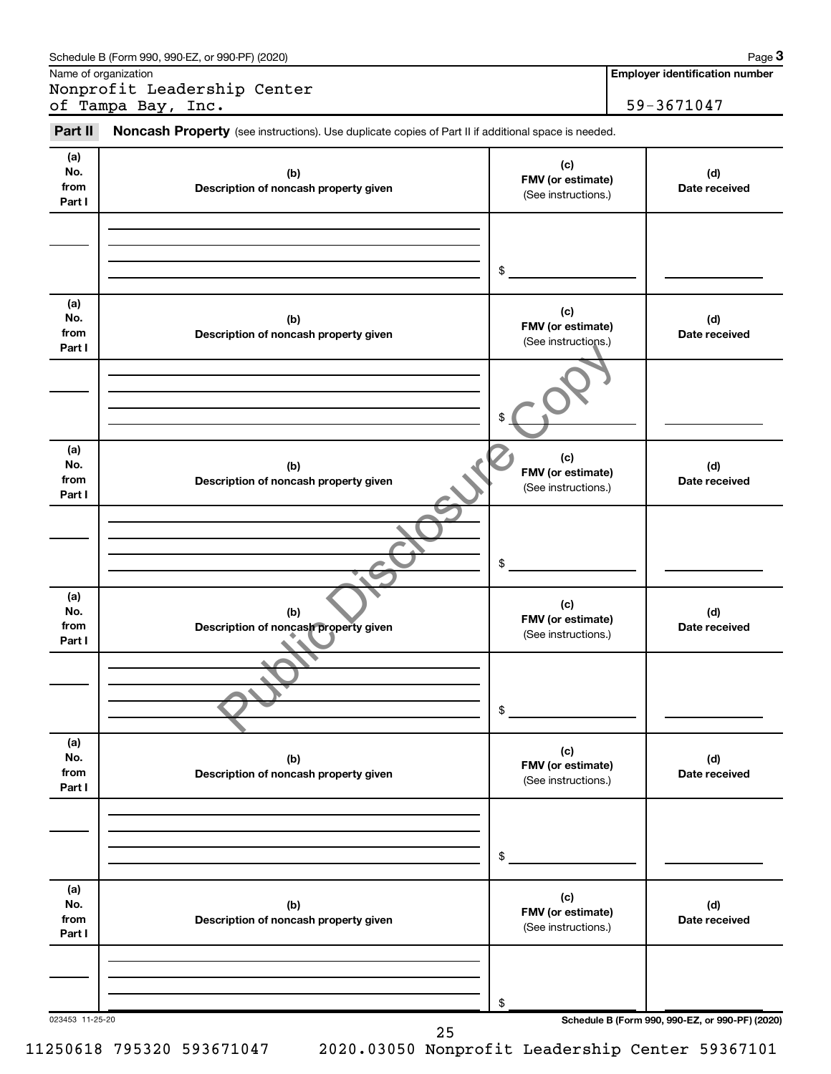|                              | Schedule B (Form 990, 990-EZ, or 990-PF) (2020)                                                     |                                                 | Page 3                                          |
|------------------------------|-----------------------------------------------------------------------------------------------------|-------------------------------------------------|-------------------------------------------------|
|                              | Name of organization<br>Nonprofit Leadership Center                                                 |                                                 | <b>Employer identification number</b>           |
|                              | of Tampa Bay, Inc.                                                                                  |                                                 | 59-3671047                                      |
| Part II                      | Noncash Property (see instructions). Use duplicate copies of Part II if additional space is needed. |                                                 |                                                 |
| (a)<br>No.<br>from<br>Part I | (b)<br>Description of noncash property given                                                        | (c)<br>FMV (or estimate)<br>(See instructions.) | (d)<br>Date received                            |
|                              |                                                                                                     | \$                                              |                                                 |
| (a)<br>No.<br>from<br>Part I | (b)<br>Description of noncash property given                                                        | (c)<br>FMV (or estimate)<br>(See instructions.) | (d)<br>Date received                            |
|                              |                                                                                                     | \$                                              |                                                 |
| (a)<br>No.<br>from<br>Part I | (b)<br>Description of noncash property given                                                        | (c)<br>FMV (or estimate)<br>(See instructions.) | (d)<br>Date received                            |
|                              |                                                                                                     | \$                                              |                                                 |
| (a)<br>No.<br>from<br>Part I | (b)<br>Description of noncash property given                                                        | (c)<br>FMV (or estimate)<br>(See instructions.) | (d)<br>Date received                            |
|                              |                                                                                                     | \$                                              |                                                 |
| (a)<br>No.<br>from<br>Part I | (b)<br>Description of noncash property given                                                        | (c)<br>FMV (or estimate)<br>(See instructions.) | (d)<br>Date received                            |
|                              |                                                                                                     | \$                                              |                                                 |
| (a)<br>No.<br>from<br>Part I | (b)<br>Description of noncash property given                                                        | (c)<br>FMV (or estimate)<br>(See instructions.) | (d)<br>Date received                            |
|                              |                                                                                                     | \$                                              |                                                 |
| 023453 11-25-20              | 25                                                                                                  |                                                 | Schedule B (Form 990, 990-EZ, or 990-PF) (2020) |

 $\overline{\phantom{a}}$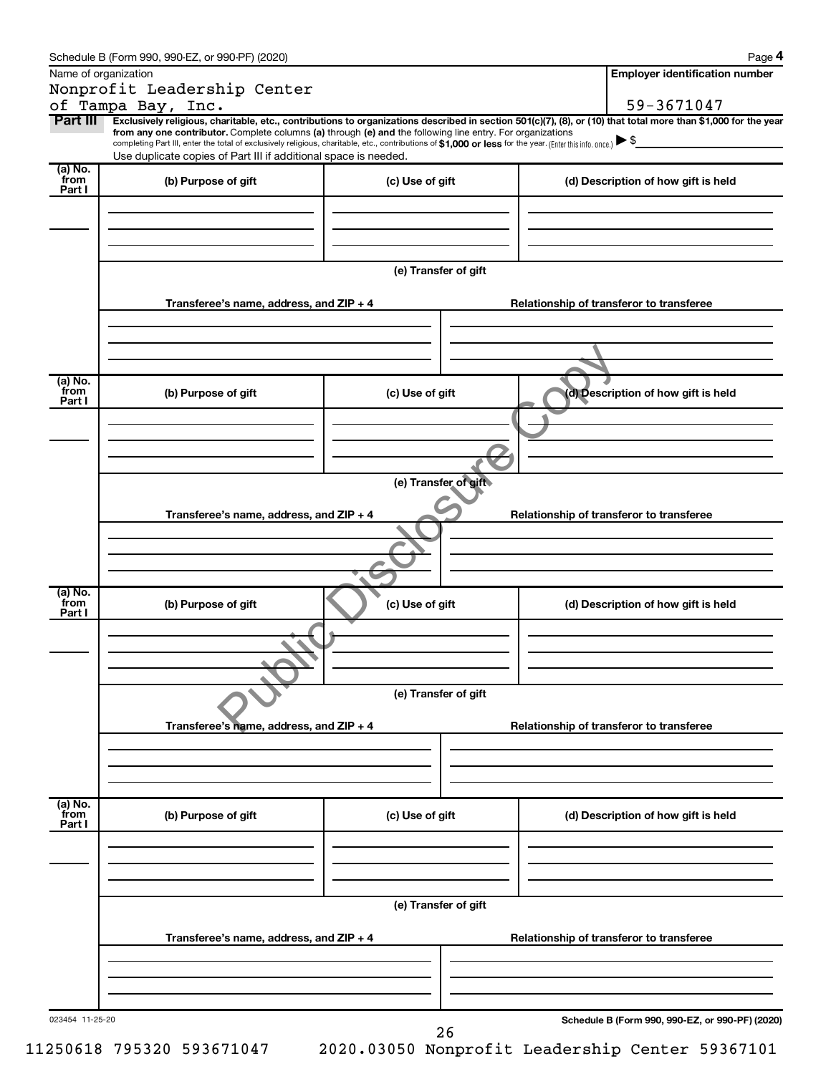|                           | Schedule B (Form 990, 990-EZ, or 990-PF) (2020)                                                                                                                                                                                                                                                   |                                          | Page 4                                                                                                                                                         |  |  |  |  |
|---------------------------|---------------------------------------------------------------------------------------------------------------------------------------------------------------------------------------------------------------------------------------------------------------------------------------------------|------------------------------------------|----------------------------------------------------------------------------------------------------------------------------------------------------------------|--|--|--|--|
|                           | Name of organization                                                                                                                                                                                                                                                                              |                                          | <b>Employer identification number</b>                                                                                                                          |  |  |  |  |
|                           | Nonprofit Leadership Center                                                                                                                                                                                                                                                                       |                                          | 59-3671047                                                                                                                                                     |  |  |  |  |
| Part III                  | of Tampa Bay, Inc.<br>from any one contributor. Complete columns (a) through (e) and the following line entry. For organizations<br>completing Part III, enter the total of exclusively religious, charitable, etc., contributions of \$1,000 or less for the year. (Enter this info. once.) \ \$ |                                          | Exclusively religious, charitable, etc., contributions to organizations described in section 501(c)(7), (8), or (10) that total more than \$1,000 for the year |  |  |  |  |
| (a) No.                   | Use duplicate copies of Part III if additional space is needed.                                                                                                                                                                                                                                   |                                          |                                                                                                                                                                |  |  |  |  |
| from<br>Part I            | (b) Purpose of gift                                                                                                                                                                                                                                                                               | (c) Use of gift                          | (d) Description of how gift is held                                                                                                                            |  |  |  |  |
|                           |                                                                                                                                                                                                                                                                                                   |                                          |                                                                                                                                                                |  |  |  |  |
|                           |                                                                                                                                                                                                                                                                                                   | (e) Transfer of gift                     |                                                                                                                                                                |  |  |  |  |
|                           | Transferee's name, address, and ZIP + 4                                                                                                                                                                                                                                                           |                                          | Relationship of transferor to transferee                                                                                                                       |  |  |  |  |
|                           |                                                                                                                                                                                                                                                                                                   |                                          |                                                                                                                                                                |  |  |  |  |
| (a) No.<br>from<br>Part I | (b) Purpose of gift                                                                                                                                                                                                                                                                               | (c) Use of gift                          | (d) Description of how gift is held                                                                                                                            |  |  |  |  |
|                           |                                                                                                                                                                                                                                                                                                   |                                          |                                                                                                                                                                |  |  |  |  |
|                           |                                                                                                                                                                                                                                                                                                   | (e) Transfer of gift                     |                                                                                                                                                                |  |  |  |  |
|                           | Transferee's name, address, and ZIP + 4                                                                                                                                                                                                                                                           |                                          | Relationship of transferor to transferee                                                                                                                       |  |  |  |  |
|                           |                                                                                                                                                                                                                                                                                                   |                                          |                                                                                                                                                                |  |  |  |  |
|                           |                                                                                                                                                                                                                                                                                                   |                                          |                                                                                                                                                                |  |  |  |  |
| (a) No.<br>from<br>Part I | (b) Purpose of gift                                                                                                                                                                                                                                                                               | (c) Use of gift                          | (d) Description of how gift is held                                                                                                                            |  |  |  |  |
|                           |                                                                                                                                                                                                                                                                                                   |                                          |                                                                                                                                                                |  |  |  |  |
|                           | (e) Transfer of gift                                                                                                                                                                                                                                                                              |                                          |                                                                                                                                                                |  |  |  |  |
|                           | Transferee's name, address, and ZIP + 4                                                                                                                                                                                                                                                           | Relationship of transferor to transferee |                                                                                                                                                                |  |  |  |  |
|                           |                                                                                                                                                                                                                                                                                                   |                                          |                                                                                                                                                                |  |  |  |  |
| (a) No.<br>from<br>Part I | (b) Purpose of gift                                                                                                                                                                                                                                                                               | (c) Use of gift                          | (d) Description of how gift is held                                                                                                                            |  |  |  |  |
|                           |                                                                                                                                                                                                                                                                                                   |                                          |                                                                                                                                                                |  |  |  |  |
|                           | (e) Transfer of gift                                                                                                                                                                                                                                                                              |                                          |                                                                                                                                                                |  |  |  |  |
|                           | Transferee's name, address, and ZIP + 4                                                                                                                                                                                                                                                           | Relationship of transferor to transferee |                                                                                                                                                                |  |  |  |  |
|                           |                                                                                                                                                                                                                                                                                                   |                                          |                                                                                                                                                                |  |  |  |  |
| 023454 11-25-20           |                                                                                                                                                                                                                                                                                                   | 26                                       | Schedule B (Form 990, 990-EZ, or 990-PF) (2020)                                                                                                                |  |  |  |  |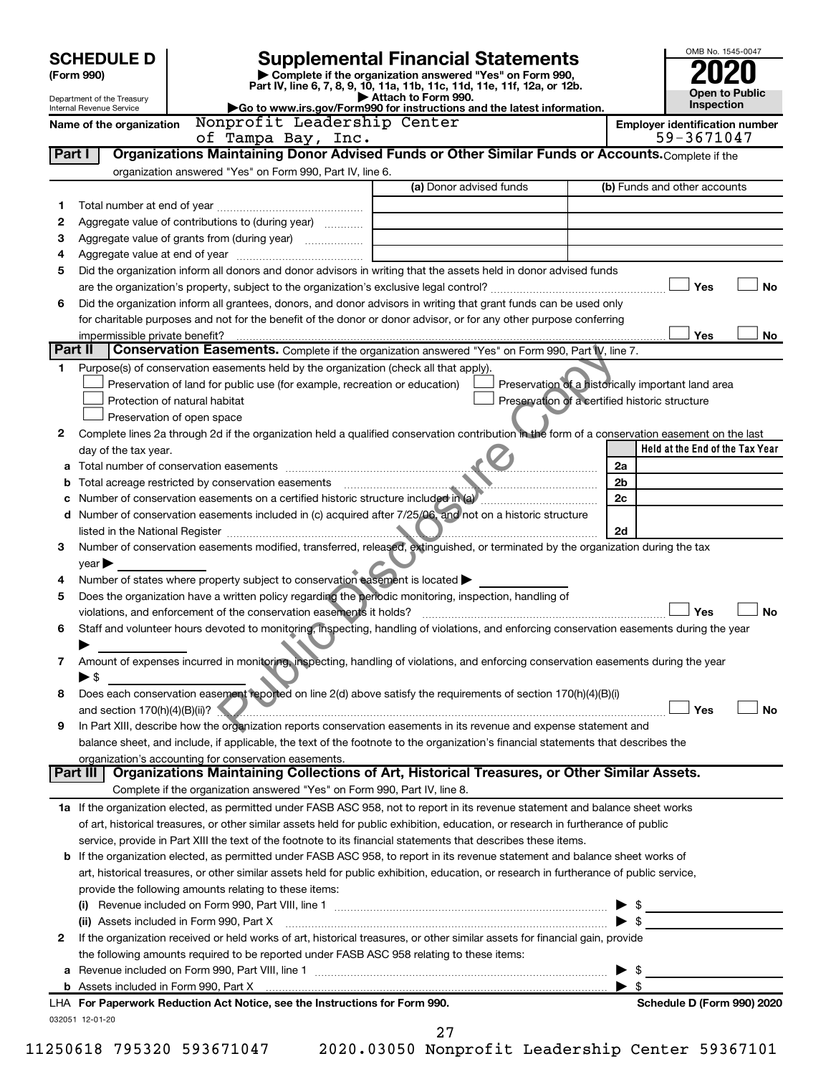| <b>SCHEDULE D</b> |                                                                                                                                                                                                                  | <b>Supplemental Financial Statements</b>                                                       | OMB No. 1545-0047                                  |  |  |  |
|-------------------|------------------------------------------------------------------------------------------------------------------------------------------------------------------------------------------------------------------|------------------------------------------------------------------------------------------------|----------------------------------------------------|--|--|--|
|                   | Complete if the organization answered "Yes" on Form 990,<br>(Form 990)<br>Part IV, line 6, 7, 8, 9, 10, 11a, 11b, 11c, 11d, 11e, 11f, 12a, or 12b.                                                               |                                                                                                |                                                    |  |  |  |
|                   | Attach to Form 990.<br>Department of the Treasury<br>Go to www.irs.gov/Form990 for instructions and the latest information.<br>Internal Revenue Service                                                          | <b>Open to Public</b><br>Inspection                                                            |                                                    |  |  |  |
|                   | Nonprofit Leadership Center<br>Name of the organization                                                                                                                                                          | <b>Employer identification number</b>                                                          |                                                    |  |  |  |
|                   | of Tampa Bay, Inc.                                                                                                                                                                                               |                                                                                                | 59-3671047                                         |  |  |  |
| Part I            | Organizations Maintaining Donor Advised Funds or Other Similar Funds or Accounts. Complete if the                                                                                                                |                                                                                                |                                                    |  |  |  |
|                   | organization answered "Yes" on Form 990, Part IV, line 6.                                                                                                                                                        |                                                                                                |                                                    |  |  |  |
|                   |                                                                                                                                                                                                                  | (a) Donor advised funds                                                                        | (b) Funds and other accounts                       |  |  |  |
| 1                 |                                                                                                                                                                                                                  |                                                                                                |                                                    |  |  |  |
| 2                 | Aggregate value of contributions to (during year)                                                                                                                                                                |                                                                                                |                                                    |  |  |  |
| з<br>4            |                                                                                                                                                                                                                  |                                                                                                |                                                    |  |  |  |
| 5                 | Did the organization inform all donors and donor advisors in writing that the assets held in donor advised funds                                                                                                 |                                                                                                |                                                    |  |  |  |
|                   |                                                                                                                                                                                                                  |                                                                                                | Yes<br><b>No</b>                                   |  |  |  |
| 6                 | Did the organization inform all grantees, donors, and donor advisors in writing that grant funds can be used only                                                                                                |                                                                                                |                                                    |  |  |  |
|                   | for charitable purposes and not for the benefit of the donor or donor advisor, or for any other purpose conferring                                                                                               |                                                                                                |                                                    |  |  |  |
|                   | impermissible private benefit?                                                                                                                                                                                   |                                                                                                | Yes<br>No                                          |  |  |  |
| Part II           | <b>Conservation Easements.</b> Complete if the organization answered "Yes" on Form 990, Part IV, line 7.                                                                                                         |                                                                                                |                                                    |  |  |  |
| 1                 | Purpose(s) of conservation easements held by the organization (check all that apply).                                                                                                                            |                                                                                                |                                                    |  |  |  |
|                   | Preservation of land for public use (for example, recreation or education)                                                                                                                                       |                                                                                                | Preservation of a historically important land area |  |  |  |
|                   | Protection of natural habitat                                                                                                                                                                                    | Preservation of a certified historic structure                                                 |                                                    |  |  |  |
|                   | Preservation of open space                                                                                                                                                                                       |                                                                                                |                                                    |  |  |  |
| 2                 | Complete lines 2a through 2d if the organization held a qualified conservation contribution in the form of a conservation easement on the last                                                                   |                                                                                                | Held at the End of the Tax Year                    |  |  |  |
|                   | day of the tax year.                                                                                                                                                                                             |                                                                                                | 2a                                                 |  |  |  |
| b                 |                                                                                                                                                                                                                  |                                                                                                | 2b                                                 |  |  |  |
| с                 |                                                                                                                                                                                                                  |                                                                                                | 2c                                                 |  |  |  |
|                   | d Number of conservation easements included in (c) acquired after 7/25/06, and not on a historic structure                                                                                                       |                                                                                                |                                                    |  |  |  |
|                   |                                                                                                                                                                                                                  |                                                                                                | 2d                                                 |  |  |  |
| 3                 | Number of conservation easements modified, transferred, released, extinguished, or terminated by the organization during the tax                                                                                 |                                                                                                |                                                    |  |  |  |
|                   | year                                                                                                                                                                                                             |                                                                                                |                                                    |  |  |  |
| 4                 | Number of states where property subject to conservation easement is located                                                                                                                                      |                                                                                                |                                                    |  |  |  |
| 5                 | Does the organization have a written policy regarding the periodic monitoring, inspection, handling of                                                                                                           |                                                                                                |                                                    |  |  |  |
| 6                 | violations, and enforcement of the conservation easements it holds?<br>Staff and volunteer hours devoted to monitoring, inspecting, handling of violations, and enforcing conservation easements during the year |                                                                                                | <b>No</b><br>Yes                                   |  |  |  |
|                   |                                                                                                                                                                                                                  |                                                                                                |                                                    |  |  |  |
| 7                 | Amount of expenses incurred in monitoring, inspecting, handling of violations, and enforcing conservation easements during the year                                                                              |                                                                                                |                                                    |  |  |  |
|                   | ▶\$                                                                                                                                                                                                              |                                                                                                |                                                    |  |  |  |
| 8                 | Does each conservation easement reported on line 2(d) above satisfy the requirements of section 170(h)(4)(B)(i)                                                                                                  |                                                                                                |                                                    |  |  |  |
|                   | and section $170(h)(4)(B)(ii)?$                                                                                                                                                                                  | <u> 1988 - Andrea Brandon, actor ao amin'ny fivondronan-kaominin'i Communister ao Frantsa.</u> | Yes<br><b>No</b>                                   |  |  |  |
| 9                 | In Part XIII, describe how the organization reports conservation easements in its revenue and expense statement and                                                                                              |                                                                                                |                                                    |  |  |  |
|                   | balance sheet, and include, if applicable, the text of the footnote to the organization's financial statements that describes the                                                                                |                                                                                                |                                                    |  |  |  |
|                   | organization's accounting for conservation easements.<br>Organizations Maintaining Collections of Art, Historical Treasures, or Other Similar Assets.<br>Part III                                                |                                                                                                |                                                    |  |  |  |
|                   | Complete if the organization answered "Yes" on Form 990, Part IV, line 8.                                                                                                                                        |                                                                                                |                                                    |  |  |  |
|                   | 1a If the organization elected, as permitted under FASB ASC 958, not to report in its revenue statement and balance sheet works                                                                                  |                                                                                                |                                                    |  |  |  |
|                   | of art, historical treasures, or other similar assets held for public exhibition, education, or research in furtherance of public                                                                                |                                                                                                |                                                    |  |  |  |
|                   | service, provide in Part XIII the text of the footnote to its financial statements that describes these items.                                                                                                   |                                                                                                |                                                    |  |  |  |
|                   | <b>b</b> If the organization elected, as permitted under FASB ASC 958, to report in its revenue statement and balance sheet works of                                                                             |                                                                                                |                                                    |  |  |  |
|                   | art, historical treasures, or other similar assets held for public exhibition, education, or research in furtherance of public service,                                                                          |                                                                                                |                                                    |  |  |  |
|                   | provide the following amounts relating to these items:                                                                                                                                                           |                                                                                                |                                                    |  |  |  |
|                   |                                                                                                                                                                                                                  |                                                                                                | $\frac{1}{2}$                                      |  |  |  |
|                   | (ii) Assets included in Form 990, Part X                                                                                                                                                                         |                                                                                                |                                                    |  |  |  |
| 2                 | If the organization received or held works of art, historical treasures, or other similar assets for financial gain, provide                                                                                     |                                                                                                |                                                    |  |  |  |
|                   | the following amounts required to be reported under FASB ASC 958 relating to these items:                                                                                                                        |                                                                                                |                                                    |  |  |  |
| а                 |                                                                                                                                                                                                                  |                                                                                                | \$                                                 |  |  |  |
|                   | $\blacktriangleright$ s<br>Schedule D (Form 990) 2020<br>LHA For Paperwork Reduction Act Notice, see the Instructions for Form 990.                                                                              |                                                                                                |                                                    |  |  |  |
|                   | 032051 12-01-20                                                                                                                                                                                                  |                                                                                                |                                                    |  |  |  |
|                   |                                                                                                                                                                                                                  | 27                                                                                             |                                                    |  |  |  |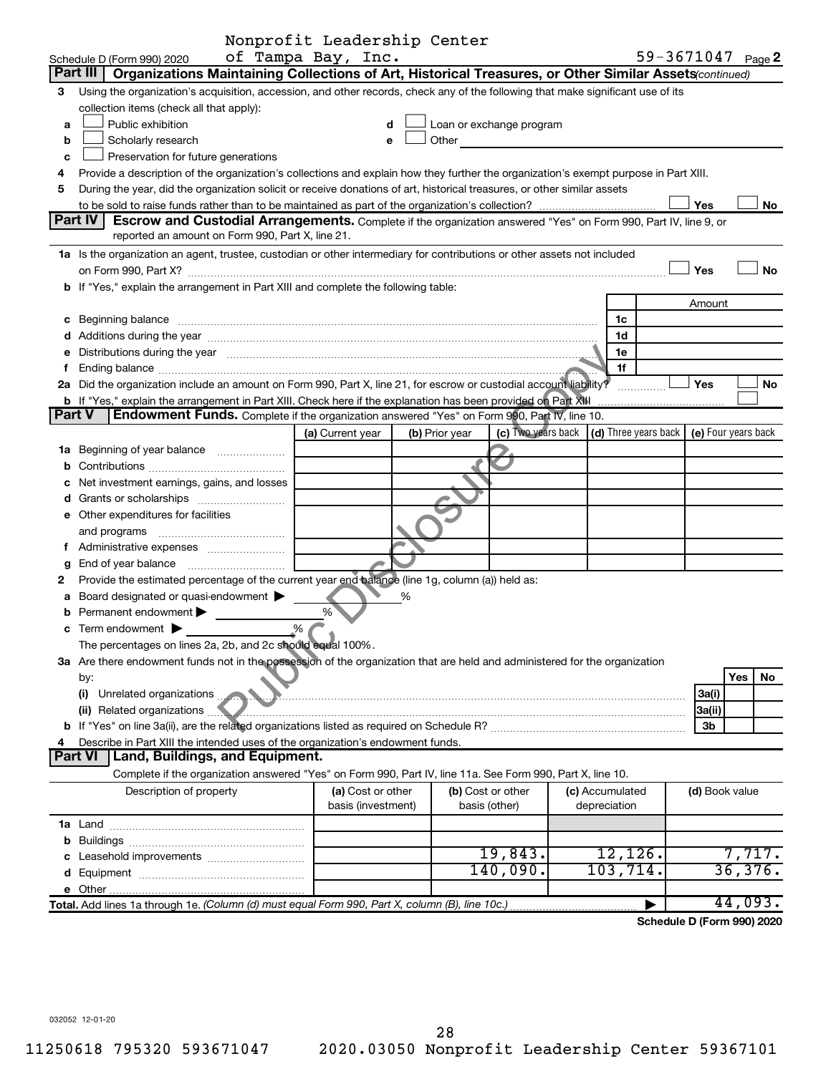|        |                                                                                                                                                                                                                                | Nonprofit Leadership Center |                |                            |                                 |                                                                  |           |
|--------|--------------------------------------------------------------------------------------------------------------------------------------------------------------------------------------------------------------------------------|-----------------------------|----------------|----------------------------|---------------------------------|------------------------------------------------------------------|-----------|
|        | Schedule D (Form 990) 2020                                                                                                                                                                                                     | of Tampa Bay, Inc.          |                |                            |                                 | 59-3671047 Page 2                                                |           |
|        | Part III<br>Organizations Maintaining Collections of Art, Historical Treasures, or Other Similar Assets (continued)                                                                                                            |                             |                |                            |                                 |                                                                  |           |
| З      | Using the organization's acquisition, accession, and other records, check any of the following that make significant use of its                                                                                                |                             |                |                            |                                 |                                                                  |           |
|        | collection items (check all that apply):                                                                                                                                                                                       |                             |                |                            |                                 |                                                                  |           |
| a      | Public exhibition                                                                                                                                                                                                              | d                           |                | Loan or exchange program   |                                 |                                                                  |           |
| b      | Scholarly research                                                                                                                                                                                                             | е                           |                | Other <b>Communication</b> |                                 |                                                                  |           |
| C      | Preservation for future generations                                                                                                                                                                                            |                             |                |                            |                                 |                                                                  |           |
| 4      | Provide a description of the organization's collections and explain how they further the organization's exempt purpose in Part XIII.                                                                                           |                             |                |                            |                                 |                                                                  |           |
| 5      | During the year, did the organization solicit or receive donations of art, historical treasures, or other similar assets                                                                                                       |                             |                |                            |                                 |                                                                  |           |
|        |                                                                                                                                                                                                                                |                             |                |                            |                                 | Yes                                                              | No        |
|        | Part IV<br>Escrow and Custodial Arrangements. Complete if the organization answered "Yes" on Form 990, Part IV, line 9, or                                                                                                     |                             |                |                            |                                 |                                                                  |           |
|        | reported an amount on Form 990, Part X, line 21.                                                                                                                                                                               |                             |                |                            |                                 |                                                                  |           |
|        | 1a Is the organization an agent, trustee, custodian or other intermediary for contributions or other assets not included                                                                                                       |                             |                |                            |                                 |                                                                  |           |
|        |                                                                                                                                                                                                                                |                             |                |                            |                                 | Yes                                                              | <b>No</b> |
|        | b If "Yes," explain the arrangement in Part XIII and complete the following table:                                                                                                                                             |                             |                |                            |                                 |                                                                  |           |
|        |                                                                                                                                                                                                                                |                             |                |                            |                                 | Amount                                                           |           |
|        | c Beginning balance measurements and the contract of the contract of the contract of the contract of the contract of the contract of the contract of the contract of the contract of the contract of the contract of the contr |                             |                |                            | 1c                              |                                                                  |           |
|        |                                                                                                                                                                                                                                |                             |                |                            | 1d                              |                                                                  |           |
|        | e Distributions during the year manufactured and an extraordinary parameter of the year manufactured and the vertical state of the state of the state of the state of the state of the state of the state of the state of the  |                             |                |                            | 1e                              |                                                                  |           |
| f      |                                                                                                                                                                                                                                |                             |                |                            | 1f                              |                                                                  |           |
|        | 2a Did the organization include an amount on Form 990, Part X, line 21, for escrow or custodial account liability?                                                                                                             |                             |                |                            |                                 | Yes                                                              | No        |
|        | b If "Yes," explain the arrangement in Part XIII. Check here if the explanation has been provided on Part XIII                                                                                                                 |                             |                |                            |                                 |                                                                  |           |
| Part V | <b>Endowment Funds.</b> Complete if the organization answered "Yes" on Form 990, Part IV, line 10.                                                                                                                             |                             |                |                            |                                 |                                                                  |           |
|        |                                                                                                                                                                                                                                | (a) Current year            | (b) Prior year |                            |                                 | (c) Two years back $ (d)$ Three years back $ e)$ Four years back |           |
|        | 1a Beginning of year balance                                                                                                                                                                                                   |                             |                |                            |                                 |                                                                  |           |
| b      |                                                                                                                                                                                                                                |                             |                |                            |                                 |                                                                  |           |
|        | Net investment earnings, gains, and losses                                                                                                                                                                                     |                             |                |                            |                                 |                                                                  |           |
|        |                                                                                                                                                                                                                                |                             |                |                            |                                 |                                                                  |           |
|        | e Other expenditures for facilities                                                                                                                                                                                            |                             |                |                            |                                 |                                                                  |           |
|        | and programs                                                                                                                                                                                                                   |                             |                |                            |                                 |                                                                  |           |
| Ť.     |                                                                                                                                                                                                                                |                             |                |                            |                                 |                                                                  |           |
| g      | End of year balance                                                                                                                                                                                                            |                             |                |                            |                                 |                                                                  |           |
| 2      | Provide the estimated percentage of the current year end balance (line 1g, column (a)) held as:                                                                                                                                |                             |                |                            |                                 |                                                                  |           |
| а      | Board designated or quasi-endowment                                                                                                                                                                                            |                             |                |                            |                                 |                                                                  |           |
| b      | Permanent endowment >                                                                                                                                                                                                          | %                           |                |                            |                                 |                                                                  |           |
|        | Term endowment $\blacktriangleright$                                                                                                                                                                                           | .%                          |                |                            |                                 |                                                                  |           |
|        | The percentages on lines 2a, 2b, and 2c should equal 100%.                                                                                                                                                                     |                             |                |                            |                                 |                                                                  |           |
|        | 3a Are there endowment funds not in the possession of the organization that are held and administered for the organization                                                                                                     |                             |                |                            |                                 |                                                                  |           |
|        | by:                                                                                                                                                                                                                            |                             |                |                            |                                 |                                                                  | Yes<br>No |
|        | Unrelated organizations.<br>(i)                                                                                                                                                                                                |                             |                |                            |                                 | 3a(i)                                                            |           |
|        | (ii) Related organizations                                                                                                                                                                                                     |                             |                |                            |                                 | 3a(ii)                                                           |           |
|        |                                                                                                                                                                                                                                |                             |                |                            |                                 | 3 <sub>b</sub>                                                   |           |
|        | Describe in Part XIII the intended uses of the organization's endowment funds.                                                                                                                                                 |                             |                |                            |                                 |                                                                  |           |
|        | Part VI<br>Land, Buildings, and Equipment.                                                                                                                                                                                     |                             |                |                            |                                 |                                                                  |           |
|        | Complete if the organization answered "Yes" on Form 990, Part IV, line 11a. See Form 990, Part X, line 10.                                                                                                                     |                             |                |                            |                                 |                                                                  |           |
|        | Description of property                                                                                                                                                                                                        | (a) Cost or other           |                | (b) Cost or other          |                                 |                                                                  |           |
|        |                                                                                                                                                                                                                                | basis (investment)          |                | basis (other)              | (c) Accumulated<br>depreciation | (d) Book value                                                   |           |
|        |                                                                                                                                                                                                                                |                             |                |                            |                                 |                                                                  |           |
|        |                                                                                                                                                                                                                                |                             |                |                            |                                 |                                                                  |           |
|        |                                                                                                                                                                                                                                |                             |                | 19,843.                    | $12,126$ .                      |                                                                  | 7,717.    |
|        |                                                                                                                                                                                                                                |                             |                | 140,090.                   | 103, 714.                       |                                                                  | 36,376.   |
|        |                                                                                                                                                                                                                                |                             |                |                            |                                 |                                                                  |           |
|        |                                                                                                                                                                                                                                |                             |                |                            |                                 |                                                                  |           |
|        |                                                                                                                                                                                                                                |                             |                |                            | $\blacktriangleright$           |                                                                  | 44,093.   |

**Schedule D (Form 990) 2020**

032052 12-01-20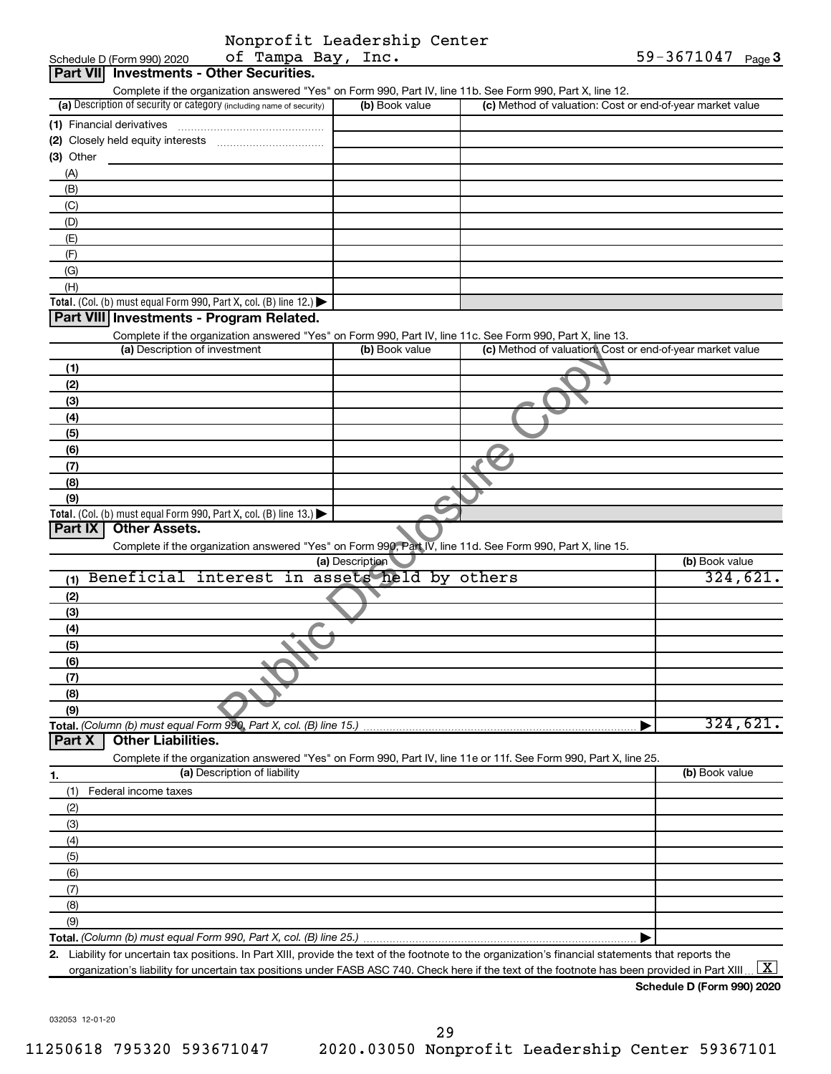|                         | Nonprofit Leadership Center |  |
|-------------------------|-----------------------------|--|
| - C. Manuel Davis Treat |                             |  |

| of Tampa Bay, Inc.<br>Schedule D (Form 990) 2020                                                                                                     |                 |                                                           | 59-3671047 $_{Page}$ 3 |
|------------------------------------------------------------------------------------------------------------------------------------------------------|-----------------|-----------------------------------------------------------|------------------------|
| Part VII Investments - Other Securities.                                                                                                             |                 |                                                           |                        |
| Complete if the organization answered "Yes" on Form 990, Part IV, line 11b. See Form 990, Part X, line 12.                                           |                 |                                                           |                        |
| (a) Description of security or category (including name of security)                                                                                 | (b) Book value  | (c) Method of valuation: Cost or end-of-year market value |                        |
| (1) Financial derivatives                                                                                                                            |                 |                                                           |                        |
|                                                                                                                                                      |                 |                                                           |                        |
| $(3)$ Other                                                                                                                                          |                 |                                                           |                        |
| (A)                                                                                                                                                  |                 |                                                           |                        |
| (B)                                                                                                                                                  |                 |                                                           |                        |
| (C)                                                                                                                                                  |                 |                                                           |                        |
| (D)                                                                                                                                                  |                 |                                                           |                        |
| (E)                                                                                                                                                  |                 |                                                           |                        |
| (F)                                                                                                                                                  |                 |                                                           |                        |
| (G)                                                                                                                                                  |                 |                                                           |                        |
| (H)                                                                                                                                                  |                 |                                                           |                        |
| Total. (Col. (b) must equal Form 990, Part X, col. (B) line 12.)                                                                                     |                 |                                                           |                        |
| Part VIII Investments - Program Related.                                                                                                             |                 |                                                           |                        |
| Complete if the organization answered "Yes" on Form 990, Part IV, line 11c. See Form 990, Part X, line 13.<br>(a) Description of investment          | (b) Book value  | (c) Method of valuation. Cost or end-of-year market value |                        |
|                                                                                                                                                      |                 |                                                           |                        |
| (1)                                                                                                                                                  |                 |                                                           |                        |
| (2)                                                                                                                                                  |                 |                                                           |                        |
| (3)                                                                                                                                                  |                 |                                                           |                        |
| (4)                                                                                                                                                  |                 |                                                           |                        |
| (5)                                                                                                                                                  |                 |                                                           |                        |
| (6)                                                                                                                                                  |                 |                                                           |                        |
| (7)                                                                                                                                                  |                 |                                                           |                        |
| (8)                                                                                                                                                  |                 |                                                           |                        |
| (9)                                                                                                                                                  |                 |                                                           |                        |
| Total. (Col. (b) must equal Form 990, Part X, col. (B) line 13.)<br>Part IX<br><b>Other Assets.</b>                                                  |                 |                                                           |                        |
|                                                                                                                                                      |                 |                                                           |                        |
| Complete if the organization answered "Yes" on Form 990, Part IV, line 11d. See Form 990, Part X, line 15.                                           | (a) Description |                                                           | (b) Book value         |
| Beneficial interest in assets held by others                                                                                                         |                 |                                                           | 324,621.               |
| (1)                                                                                                                                                  |                 |                                                           |                        |
| (2)                                                                                                                                                  |                 |                                                           |                        |
| (3)                                                                                                                                                  |                 |                                                           |                        |
| (4)                                                                                                                                                  |                 |                                                           |                        |
| (5)                                                                                                                                                  |                 |                                                           |                        |
| (6)                                                                                                                                                  |                 |                                                           |                        |
| (7)                                                                                                                                                  |                 |                                                           |                        |
| (8)                                                                                                                                                  |                 |                                                           |                        |
| (9)                                                                                                                                                  |                 |                                                           | 324,621.               |
| Total. (Column (b) must equal Form 990, Part X, col. (B) line 15.)<br><b>Other Liabilities.</b><br>Part X                                            |                 |                                                           |                        |
| Complete if the organization answered "Yes" on Form 990, Part IV, line 11e or 11f. See Form 990, Part X, line 25.                                    |                 |                                                           |                        |
| (a) Description of liability                                                                                                                         |                 |                                                           | (b) Book value         |
| 1.                                                                                                                                                   |                 |                                                           |                        |
| Federal income taxes<br>(1)                                                                                                                          |                 |                                                           |                        |
| (2)                                                                                                                                                  |                 |                                                           |                        |
| (3)                                                                                                                                                  |                 |                                                           |                        |
| (4)                                                                                                                                                  |                 |                                                           |                        |
| (5)                                                                                                                                                  |                 |                                                           |                        |
| (6)                                                                                                                                                  |                 |                                                           |                        |
| (7)                                                                                                                                                  |                 |                                                           |                        |
| (8)                                                                                                                                                  |                 |                                                           |                        |
| (9)                                                                                                                                                  |                 |                                                           |                        |
|                                                                                                                                                      |                 |                                                           |                        |
| 2. Liability for uncertain tax positions. In Part XIII, provide the text of the footnote to the organization's financial statements that reports the |                 |                                                           |                        |
| organization's liability for uncertain tax positions under FASB ASC 740. Check here if the text of the footnote has been provided in Part XIII       |                 |                                                           | $\lfloor x \rfloor$    |

**Schedule D (Form 990) 2020**

032053 12-01-20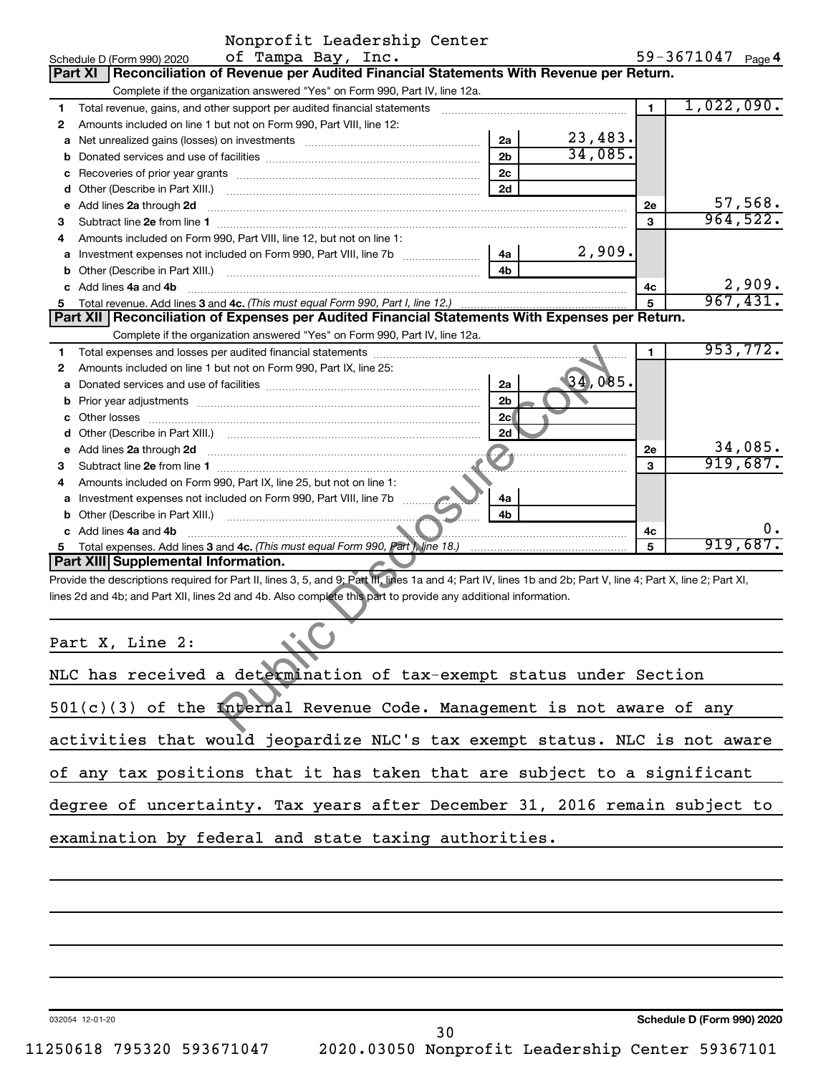|    | Nonprofit Leadership Center                                                                                                                                                                                                         |                |         |                |                   |                          |
|----|-------------------------------------------------------------------------------------------------------------------------------------------------------------------------------------------------------------------------------------|----------------|---------|----------------|-------------------|--------------------------|
|    | of Tampa Bay, Inc.<br>Schedule D (Form 990) 2020                                                                                                                                                                                    |                |         |                | 59-3671047 Page 4 |                          |
|    | Reconciliation of Revenue per Audited Financial Statements With Revenue per Return.<br>Part XI                                                                                                                                      |                |         |                |                   |                          |
|    | Complete if the organization answered "Yes" on Form 990, Part IV, line 12a.                                                                                                                                                         |                |         |                |                   |                          |
| 1  | Total revenue, gains, and other support per audited financial statements                                                                                                                                                            |                |         | $\overline{1}$ | 1,022,090.        |                          |
| 2  | Amounts included on line 1 but not on Form 990, Part VIII, line 12:                                                                                                                                                                 |                |         |                |                   |                          |
|    | <b>a</b> Net unrealized gains (losses) on investments                                                                                                                                                                               | 2a             | 23,483. |                |                   |                          |
| b  |                                                                                                                                                                                                                                     | 2 <sub>b</sub> | 34,085. |                |                   |                          |
| с  |                                                                                                                                                                                                                                     | 2c             |         |                |                   |                          |
|    |                                                                                                                                                                                                                                     | 2d             |         |                |                   |                          |
|    | e Add lines 2a through 2d                                                                                                                                                                                                           |                |         | 2е             |                   | $\frac{57,568}{964,522}$ |
| 3  |                                                                                                                                                                                                                                     |                |         | 3              |                   |                          |
| 4  | Amounts included on Form 990, Part VIII, line 12, but not on line 1:                                                                                                                                                                |                |         |                |                   |                          |
|    | <b>a</b> Investment expenses not included on Form 990, Part VIII, line 7b <i>mummummum</i>                                                                                                                                          | 4a             | 2,909.  |                |                   |                          |
|    |                                                                                                                                                                                                                                     | 4 <sub>b</sub> |         |                |                   |                          |
|    | c Add lines 4a and 4b                                                                                                                                                                                                               |                |         | 4c             |                   | 2,909.                   |
| 5  |                                                                                                                                                                                                                                     |                |         | 5              |                   | 967,431.                 |
|    | Part XII Reconciliation of Expenses per Audited Financial Statements With Expenses per Return.                                                                                                                                      |                |         |                |                   |                          |
|    | Complete if the organization answered "Yes" on Form 990, Part IV, line 12a.                                                                                                                                                         |                |         |                |                   |                          |
| 1  |                                                                                                                                                                                                                                     |                |         | 1              |                   | 953,772.                 |
| 2  | Amounts included on line 1 but not on Form 990, Part IX, line 25:                                                                                                                                                                   |                |         |                |                   |                          |
| a  |                                                                                                                                                                                                                                     | 2a             | 34,085. |                |                   |                          |
| b  |                                                                                                                                                                                                                                     | 2 <sub>b</sub> |         |                |                   |                          |
|    |                                                                                                                                                                                                                                     | 2c             |         |                |                   |                          |
| d  |                                                                                                                                                                                                                                     | 2d             |         |                |                   |                          |
|    | e Add lines 2a through 2d <b>contract and a contract and a contract a</b> contract a contract and a contract a contract a contract and a contract a contract a contract and a contract a contract a contract and a contract a contr |                |         | 2е             |                   | 34,085.                  |
| 3  |                                                                                                                                                                                                                                     |                |         | 3              |                   | 919,687.                 |
| 4  | Amounts included on Form 990, Part IX, line 25, but not on line 1:                                                                                                                                                                  |                |         |                |                   |                          |
|    |                                                                                                                                                                                                                                     | 4a             |         |                |                   |                          |
|    |                                                                                                                                                                                                                                     | 4b             |         |                |                   |                          |
|    | c Add lines 4a and 4b                                                                                                                                                                                                               |                |         | 4с             |                   | О.                       |
| 5. |                                                                                                                                                                                                                                     |                |         | 5              |                   | 919,687.                 |
|    | Part XIII Supplemental Information.                                                                                                                                                                                                 |                |         |                |                   |                          |
|    | Provide the descriptions required for Part II, lines 3, 5, and 9; Part III, lines 1a and 4; Part IV, lines 1b and 2b; Part V, line 4; Part X, line 2; Part XI,                                                                      |                |         |                |                   |                          |
|    | lines 2d and 4b; and Part XII, lines 2d and 4b. Also complete this part to provide any additional information.                                                                                                                      |                |         |                |                   |                          |
|    | Part X, Line 2:                                                                                                                                                                                                                     |                |         |                |                   |                          |
|    | NLC has received a determination of tax-exempt status under Section                                                                                                                                                                 |                |         |                |                   |                          |
|    | 501(c)(3) of the Internal Revenue Code. Management is not aware of any                                                                                                                                                              |                |         |                |                   |                          |
|    |                                                                                                                                                                                                                                     |                |         |                |                   |                          |

| NLC has received a determination of tax-exempt status under Section        |
|----------------------------------------------------------------------------|
| $501(c)(3)$ of the Internal Revenue Code. Management is not aware of any   |
| activities that would jeopardize NLC's tax exempt status. NLC is not aware |
| of any tax positions that it has taken that are subject to a significant   |
| degree of uncertainty. Tax years after December 31, 2016 remain subject to |
| examination by federal and state taxing authorities.                       |
|                                                                            |

032054 12-01-20

**Schedule D (Form 990) 2020**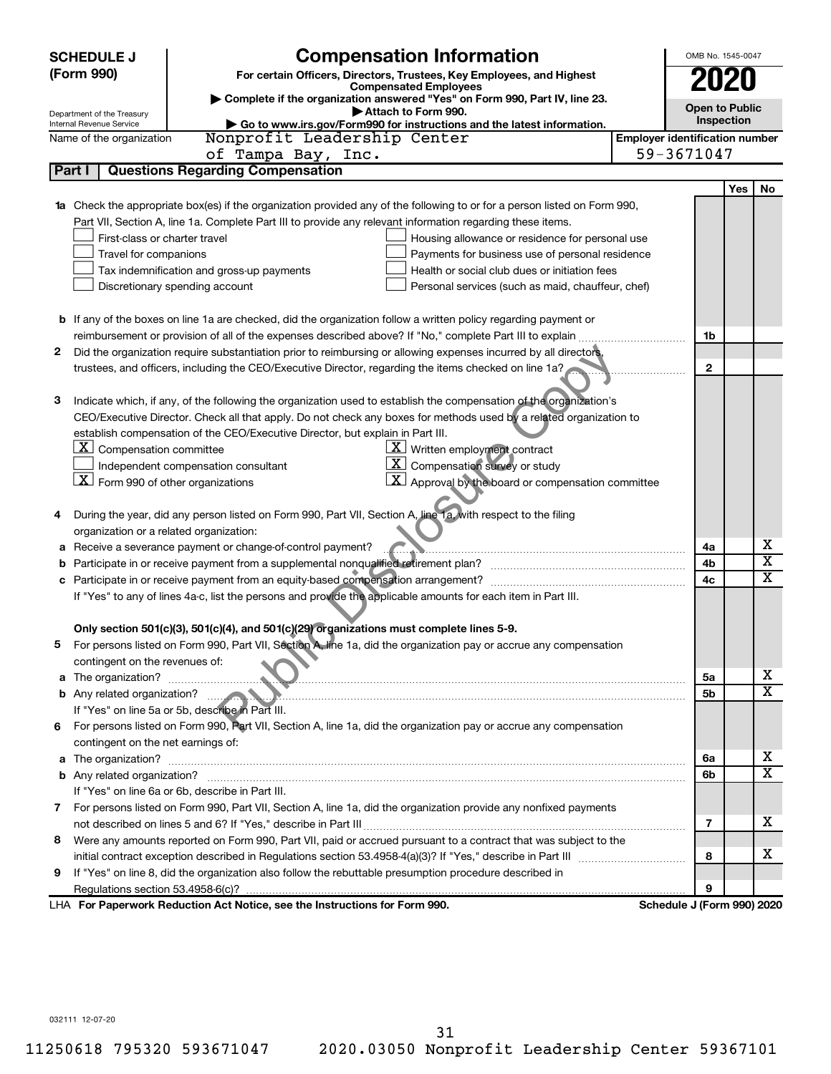|                                                                                     | <b>SCHEDULE J</b>                                                                                          | <b>Compensation Information</b>                                                                                        |                                       | OMB No. 1545-0047          |     |                         |
|-------------------------------------------------------------------------------------|------------------------------------------------------------------------------------------------------------|------------------------------------------------------------------------------------------------------------------------|---------------------------------------|----------------------------|-----|-------------------------|
| (Form 990)<br>For certain Officers, Directors, Trustees, Key Employees, and Highest |                                                                                                            |                                                                                                                        | 2020                                  |                            |     |                         |
|                                                                                     | <b>Compensated Employees</b><br>Complete if the organization answered "Yes" on Form 990, Part IV, line 23. |                                                                                                                        |                                       |                            |     |                         |
|                                                                                     | Department of the Treasury                                                                                 | Attach to Form 990.                                                                                                    |                                       | <b>Open to Public</b>      |     |                         |
|                                                                                     | Go to www.irs.gov/Form990 for instructions and the latest information.<br>Internal Revenue Service         |                                                                                                                        |                                       | Inspection                 |     |                         |
|                                                                                     | Name of the organization                                                                                   | Nonprofit Leadership Center                                                                                            | <b>Employer identification number</b> |                            |     |                         |
|                                                                                     |                                                                                                            | of Tampa Bay, Inc.                                                                                                     |                                       | 59-3671047                 |     |                         |
|                                                                                     | Part I                                                                                                     | <b>Questions Regarding Compensation</b>                                                                                |                                       |                            |     |                         |
|                                                                                     |                                                                                                            |                                                                                                                        |                                       |                            | Yes | No                      |
|                                                                                     |                                                                                                            | Check the appropriate box(es) if the organization provided any of the following to or for a person listed on Form 990, |                                       |                            |     |                         |
|                                                                                     |                                                                                                            | Part VII, Section A, line 1a. Complete Part III to provide any relevant information regarding these items.             |                                       |                            |     |                         |
|                                                                                     | First-class or charter travel                                                                              | Housing allowance or residence for personal use                                                                        |                                       |                            |     |                         |
|                                                                                     | Travel for companions                                                                                      | Payments for business use of personal residence                                                                        |                                       |                            |     |                         |
|                                                                                     |                                                                                                            | Health or social club dues or initiation fees<br>Tax indemnification and gross-up payments                             |                                       |                            |     |                         |
|                                                                                     |                                                                                                            | Discretionary spending account<br>Personal services (such as maid, chauffeur, chef)                                    |                                       |                            |     |                         |
|                                                                                     |                                                                                                            |                                                                                                                        |                                       |                            |     |                         |
|                                                                                     |                                                                                                            | <b>b</b> If any of the boxes on line 1a are checked, did the organization follow a written policy regarding payment or |                                       |                            |     |                         |
|                                                                                     |                                                                                                            | reimbursement or provision of all of the expenses described above? If "No," complete Part III to explain               |                                       | 1b                         |     |                         |
| 2                                                                                   |                                                                                                            | Did the organization require substantiation prior to reimbursing or allowing expenses incurred by all directors.       |                                       |                            |     |                         |
|                                                                                     |                                                                                                            | trustees, and officers, including the CEO/Executive Director, regarding the items checked on line 1a?                  |                                       | $\mathbf{2}$               |     |                         |
|                                                                                     |                                                                                                            |                                                                                                                        |                                       |                            |     |                         |
| з                                                                                   |                                                                                                            | Indicate which, if any, of the following the organization used to establish the compensation of the organization's     |                                       |                            |     |                         |
|                                                                                     |                                                                                                            | CEO/Executive Director. Check all that apply. Do not check any boxes for methods used by a related organization to     |                                       |                            |     |                         |
|                                                                                     |                                                                                                            | establish compensation of the CEO/Executive Director, but explain in Part III.                                         |                                       |                            |     |                         |
|                                                                                     | $\lfloor \underline{x} \rfloor$ Compensation committee                                                     | $\underline{\mathbf{X}}$ Written employment contract                                                                   |                                       |                            |     |                         |
|                                                                                     | $X$ Form 990 of other organizations                                                                        | $\boxed{\textbf{X}}$ Compensation survey or study<br>Independent compensation consultant                               |                                       |                            |     |                         |
|                                                                                     |                                                                                                            | $\boxed{\textbf{X}}$ Approval by the board or compensation committee                                                   |                                       |                            |     |                         |
|                                                                                     |                                                                                                            |                                                                                                                        |                                       |                            |     |                         |
| 4                                                                                   |                                                                                                            | During the year, did any person listed on Form 990, Part VII, Section A, line 1a, with respect to the filing           |                                       |                            |     |                         |
|                                                                                     | organization or a related organization:                                                                    |                                                                                                                        |                                       |                            |     | х                       |
| а                                                                                   |                                                                                                            | Receive a severance payment or change-of-control payment?                                                              |                                       | 4a                         |     | $\overline{\textbf{x}}$ |
| b                                                                                   |                                                                                                            | Participate in or receive payment from a supplemental nonqualified retirement plan?                                    |                                       | 4b                         |     | $\mathbf x$             |
|                                                                                     |                                                                                                            |                                                                                                                        |                                       | 4c                         |     |                         |
|                                                                                     |                                                                                                            | If "Yes" to any of lines 4a-c, list the persons and provide the applicable amounts for each item in Part III.          |                                       |                            |     |                         |
|                                                                                     |                                                                                                            | Only section 501(c)(3), 501(c)(4), and 501(c)(29) organizations must complete lines 5-9.                               |                                       |                            |     |                         |
|                                                                                     |                                                                                                            | For persons listed on Form 990, Part VII, Section A, line 1a, did the organization pay or accrue any compensation      |                                       |                            |     |                         |
|                                                                                     | contingent on the revenues of:                                                                             |                                                                                                                        |                                       |                            |     |                         |
| a                                                                                   |                                                                                                            |                                                                                                                        |                                       | 5а                         |     | x                       |
|                                                                                     |                                                                                                            |                                                                                                                        |                                       | 5b                         |     | X                       |
|                                                                                     |                                                                                                            | If "Yes" on line 5a or 5b, describe in Part III.                                                                       |                                       |                            |     |                         |
|                                                                                     |                                                                                                            | 6 For persons listed on Form 990, Part VII, Section A, line 1a, did the organization pay or accrue any compensation    |                                       |                            |     |                         |
|                                                                                     | contingent on the net earnings of:                                                                         |                                                                                                                        |                                       |                            |     |                         |
| a                                                                                   |                                                                                                            |                                                                                                                        |                                       | 6a                         |     | x                       |
|                                                                                     |                                                                                                            |                                                                                                                        |                                       | 6b                         |     | $\overline{\mathbf{X}}$ |
|                                                                                     |                                                                                                            | If "Yes" on line 6a or 6b, describe in Part III.                                                                       |                                       |                            |     |                         |
|                                                                                     |                                                                                                            | 7 For persons listed on Form 990, Part VII, Section A, line 1a, did the organization provide any nonfixed payments     |                                       |                            |     |                         |
|                                                                                     |                                                                                                            |                                                                                                                        |                                       | 7                          |     | x                       |
| 8                                                                                   |                                                                                                            | Were any amounts reported on Form 990, Part VII, paid or accrued pursuant to a contract that was subject to the        |                                       |                            |     |                         |
|                                                                                     |                                                                                                            |                                                                                                                        |                                       | 8                          |     | x                       |
| 9                                                                                   |                                                                                                            | If "Yes" on line 8, did the organization also follow the rebuttable presumption procedure described in                 |                                       |                            |     |                         |
|                                                                                     |                                                                                                            |                                                                                                                        |                                       | 9                          |     |                         |
|                                                                                     |                                                                                                            | LHA For Paperwork Reduction Act Notice, see the Instructions for Form 990.                                             |                                       | Schedule J (Form 990) 2020 |     |                         |

032111 12-07-20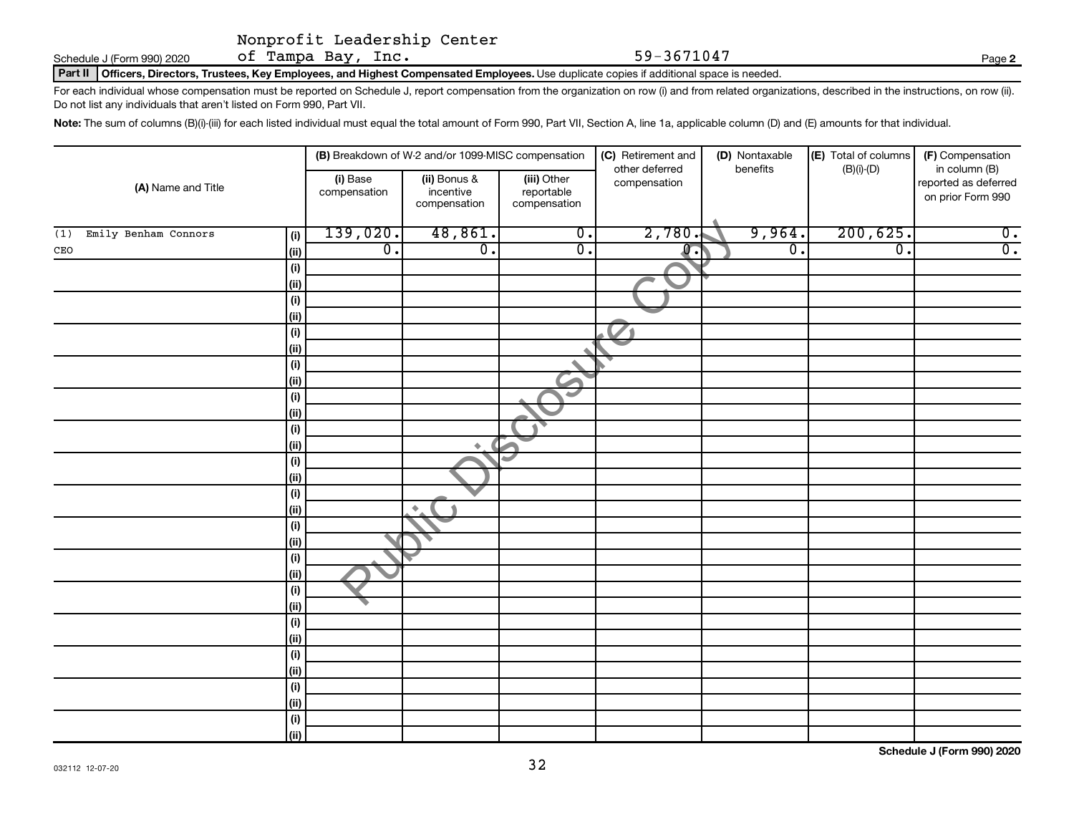Schedule J (Form 990) 2020  $\qquad$  Of  $\texttt{Tampa Bay, Inc.} \qquad \qquad 59-3671047$ 

Part II | Officers, Directors, Trustees, Key Employees, and Highest Compensated Employees. Use duplicate copies if additional space is needed.

For each individual whose compensation must be reported on Schedule J, report compensation from the organization on row (i) and from related organizations, described in the instructions, on row (ii). Do not list any individuals that aren't listed on Form 990, Part VII.

Note: The sum of columns (B)(i)-(iii) for each listed individual must equal the total amount of Form 990, Part VII, Section A, line 1a, applicable column (D) and (E) amounts for that individual.

|                                    | (B) Breakdown of W-2 and/or 1099-MISC compensation |                                           |                                           | (C) Retirement and<br>other deferred | (D) Nontaxable<br>benefits | (E) Total of columns<br>(F) Compensation<br>$(B)(i)-(D)$<br>in column (B) |                                           |  |
|------------------------------------|----------------------------------------------------|-------------------------------------------|-------------------------------------------|--------------------------------------|----------------------------|---------------------------------------------------------------------------|-------------------------------------------|--|
| (A) Name and Title                 | (i) Base<br>compensation                           | (ii) Bonus &<br>incentive<br>compensation | (iii) Other<br>reportable<br>compensation | compensation                         |                            |                                                                           | reported as deferred<br>on prior Form 990 |  |
| Emily Benham Connors<br>(i)<br>(1) | 139,020.                                           | 48,861.                                   | $\overline{0}$ .                          | 2,780.                               | 9,964.                     | 200, 625.                                                                 | $\overline{0}$ .                          |  |
| (ii)<br>CEO                        | $\overline{0}$ .                                   | $\overline{0}$ .                          | $\overline{0}$ .                          | $\overline{0}$ .                     | $\overline{0}$ .           | $\overline{0}$ .                                                          | $\overline{0}$ .                          |  |
| (i)                                |                                                    |                                           |                                           |                                      |                            |                                                                           |                                           |  |
| (ii)                               |                                                    |                                           |                                           |                                      |                            |                                                                           |                                           |  |
| (i)                                |                                                    |                                           |                                           |                                      |                            |                                                                           |                                           |  |
| (ii)                               |                                                    |                                           |                                           |                                      |                            |                                                                           |                                           |  |
| (i)                                |                                                    |                                           |                                           |                                      |                            |                                                                           |                                           |  |
| (ii)                               |                                                    |                                           |                                           |                                      |                            |                                                                           |                                           |  |
| (i)                                |                                                    |                                           |                                           |                                      |                            |                                                                           |                                           |  |
| (ii)                               |                                                    |                                           | $\overline{\phantom{a}}$                  |                                      |                            |                                                                           |                                           |  |
| (i)                                |                                                    |                                           | کے                                        |                                      |                            |                                                                           |                                           |  |
| (ii)                               |                                                    |                                           |                                           |                                      |                            |                                                                           |                                           |  |
| (i)                                |                                                    |                                           |                                           |                                      |                            |                                                                           |                                           |  |
| (ii)                               |                                                    | $\color{black} \blacklozenge$             |                                           |                                      |                            |                                                                           |                                           |  |
| (i)<br>(ii)                        |                                                    |                                           |                                           |                                      |                            |                                                                           |                                           |  |
| (i)                                |                                                    |                                           |                                           |                                      |                            |                                                                           |                                           |  |
| (ii)                               |                                                    | $\blacklozenge$                           |                                           |                                      |                            |                                                                           |                                           |  |
| (i)                                |                                                    |                                           |                                           |                                      |                            |                                                                           |                                           |  |
| (ii)                               |                                                    |                                           |                                           |                                      |                            |                                                                           |                                           |  |
| (i)                                |                                                    |                                           |                                           |                                      |                            |                                                                           |                                           |  |
| (ii)                               |                                                    |                                           |                                           |                                      |                            |                                                                           |                                           |  |
| (i)                                |                                                    |                                           |                                           |                                      |                            |                                                                           |                                           |  |
| (ii)                               |                                                    |                                           |                                           |                                      |                            |                                                                           |                                           |  |
| (i)                                |                                                    |                                           |                                           |                                      |                            |                                                                           |                                           |  |
| (ii)                               |                                                    |                                           |                                           |                                      |                            |                                                                           |                                           |  |
| (i)                                |                                                    |                                           |                                           |                                      |                            |                                                                           |                                           |  |
| (ii)                               |                                                    |                                           |                                           |                                      |                            |                                                                           |                                           |  |
| (i)                                |                                                    |                                           |                                           |                                      |                            |                                                                           |                                           |  |
| (ii)                               |                                                    |                                           |                                           |                                      |                            |                                                                           |                                           |  |
| (i)                                |                                                    |                                           |                                           |                                      |                            |                                                                           |                                           |  |
| (ii)                               |                                                    |                                           |                                           |                                      |                            |                                                                           |                                           |  |

**Schedule J (Form 990) 2020**

**2**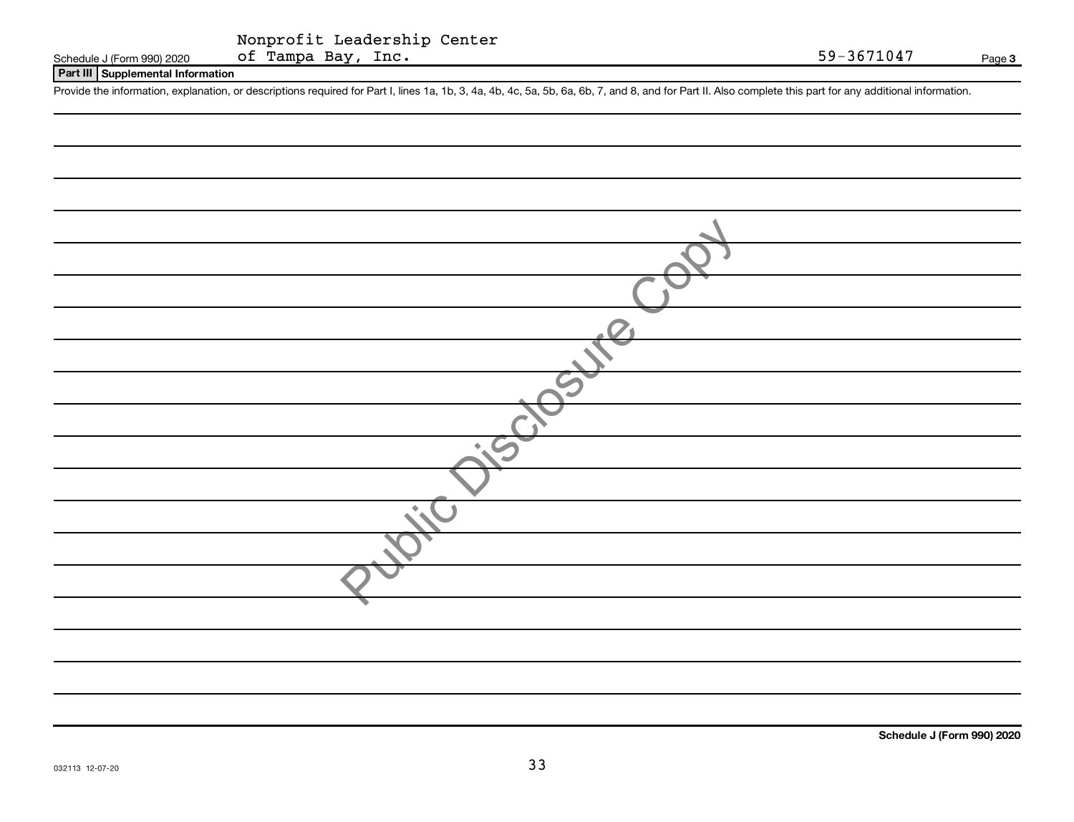#### **Part III Supplemental Information**

Provide the information, explanation, or descriptions required for Part I, lines 1a, 1b, 3, 4a, 4b, 4c, 5a, 5b, 6a, 6b, 7, and 8, and for Part II. Also complete this part for any additional information.

**Schedule J (Form 990) 2020**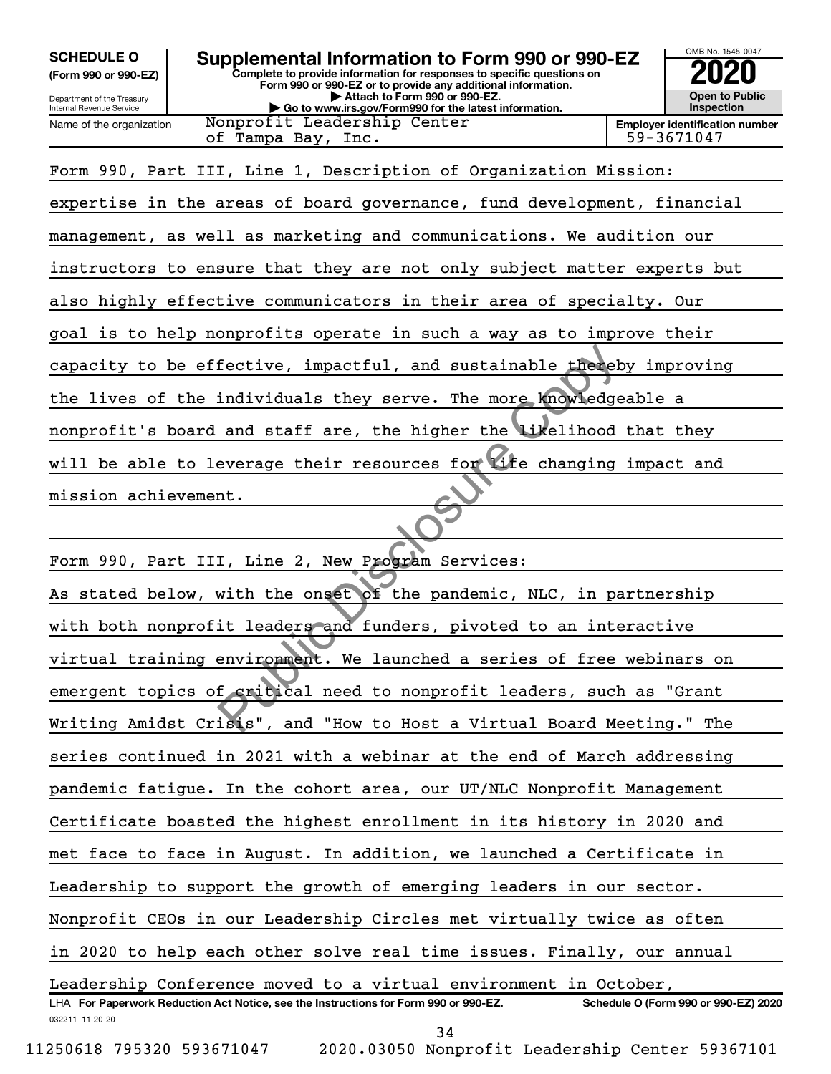**(Form 990 or 990-EZ)**

Department of the Treasury Internal Revenue Service Name of the organization

#### **Complete to provide information for responses to specific questions on Form 990 or 990-EZ or to provide any additional information. | Attach to Form 990 or 990-EZ. | Go to www.irs.gov/Form990 for the latest information. SCHEDULE O Supplemental Information to Form 990 or 990-EZ 2020**

Nonprofit Leadership Center of Tampa Bay, Inc. 59-3671047

**Open to Public Inspection Employer identification number**

OMB No. 1545-0047

Form 990, Part III, Line 1, Description of Organization Mission:

expertise in the areas of board governance, fund development, financial management, as well as marketing and communications. We audition our instructors to ensure that they are not only subject matter experts but also highly effective communicators in their area of specialty. Our goal is to help nonprofits operate in such a way as to improve their capacity to be effective, impactful, and sustainable thereby improving the lives of the individuals they serve. The more knowledgeable a nonprofit's board and staff are, the higher the likelihood that they will be able to leverage their resources for life changing impact and

mission achievement.

032211 11-20-20 **For Paperwork Reduction Act Notice, see the Instructions for Form 990 or 990-EZ. Schedule O (Form 990 or 990-EZ) 2020** LHA Form 990, Part III, Line 2, New Program Services: As stated below, with the onset of the pandemic, NLC, in partnership with both nonprofit leaders and funders, pivoted to an interactive virtual training environment. We launched a series of free webinars on emergent topics of critical need to nonprofit leaders, such as "Grant Writing Amidst Crisis", and "How to Host a Virtual Board Meeting." The series continued in 2021 with a webinar at the end of March addressing pandemic fatigue. In the cohort area, our UT/NLC Nonprofit Management Certificate boasted the highest enrollment in its history in 2020 and met face to face in August. In addition, we launched a Certificate in Leadership to support the growth of emerging leaders in our sector. Nonprofit CEOs in our Leadership Circles met virtually twice as often in 2020 to help each other solve real time issues. Finally, our annual Leadership Conference moved to a virtual environment in October, Fective, impactful, and sustainable there<br>individuals they serve. The more knowledge<br>and staff are, the higher the Likelihood<br>everage their resources for Life changing<br>nt.<br>I, Line 2, New Program Services:<br>with the onset of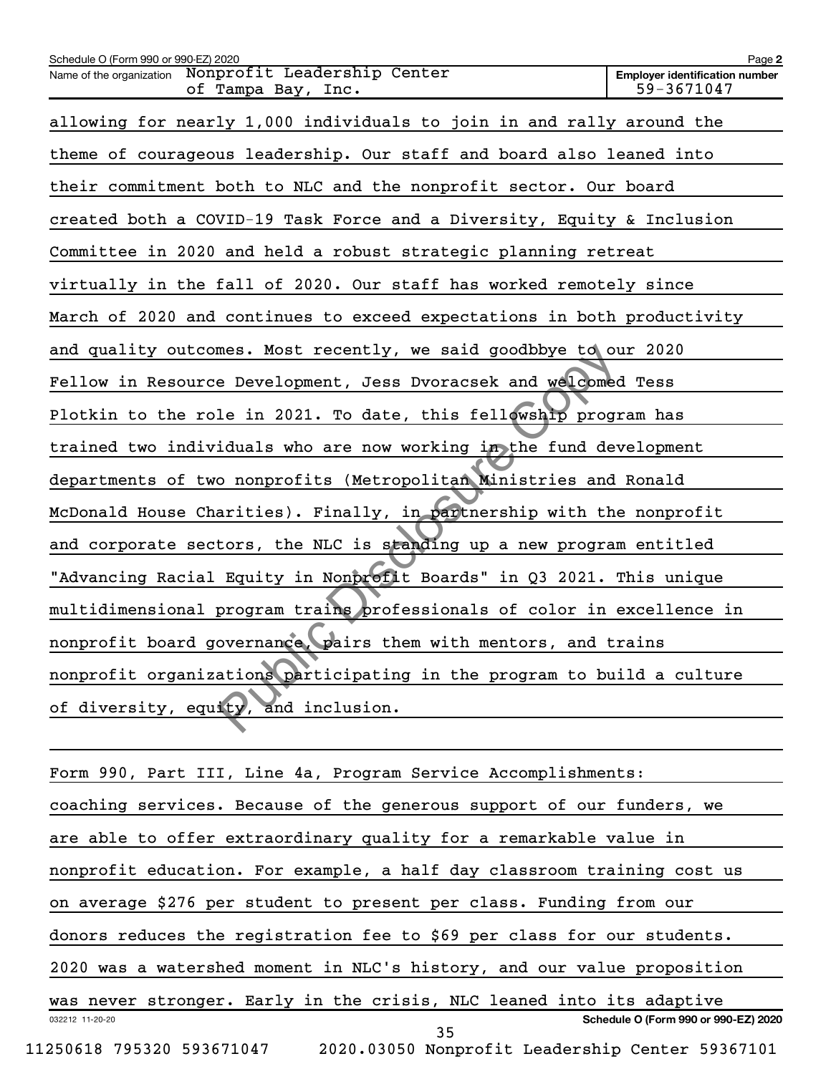| Schedule O (Form 990 or 990-EZ) 2020                                        | Page 2                                              |
|-----------------------------------------------------------------------------|-----------------------------------------------------|
| Name of the organization  Nonprofit Leadership Center<br>of Tampa Bay, Inc. | <b>Employer identification number</b><br>59-3671047 |
| allowing for nearly 1,000 individuals to join in and rally around the       |                                                     |
| theme of courageous leadership. Our staff and board also leaned into        |                                                     |
| their commitment both to NLC and the nonprofit sector. Our board            |                                                     |
| created both a COVID-19 Task Force and a Diversity, Equity & Inclusion      |                                                     |
| Committee in 2020 and held a robust strategic planning retreat              |                                                     |
| virtually in the fall of 2020. Our staff has worked remotely since          |                                                     |
| March of 2020 and continues to exceed expectations in both productivity     |                                                     |
| and quality outcomes. Most recently, we said goodbbye to our 2020           |                                                     |
| Fellow in Resource Development, Jess Dvoracsek and welcomed Tess            |                                                     |
| Plotkin to the role in 2021. To date, this fellowship program has           |                                                     |
| trained two individuals who are now working in the fund development         |                                                     |
| departments of two nonprofits (Metropolitan Ministries and Ronald           |                                                     |
| McDonald House Charities). Finally, in partnership with the nonprofit       |                                                     |
| and corporate sectors, the NLC is standing up a new program entitled        |                                                     |
| "Advancing Racial Equity in Nonprofit Boards" in Q3 2021. This unique       |                                                     |
| multidimensional program trains professionals of color in excellence in     |                                                     |
| nonprofit board governance, pairs them with mentors, and trains             |                                                     |
| nonprofit organizations participating in the program to build a culture     |                                                     |
| of diversity, equity, and inclusion.                                        |                                                     |
|                                                                             |                                                     |
|                                                                             |                                                     |

| Form 990, Part III, Line 4a, Program Service Accomplishments:                |
|------------------------------------------------------------------------------|
| coaching services. Because of the generous support of our funders, we        |
| are able to offer extraordinary quality for a remarkable value in            |
| nonprofit education. For example, a half day classroom training cost us      |
| on average \$276 per student to present per class. Funding from our          |
| donors reduces the registration fee to \$69 per class for our students.      |
| 2020 was a watershed moment in NLC's history, and our value proposition      |
| was never stronger. Early in the crisis, NLC leaned into its adaptive        |
| Schedule O (Form 990 or 990-EZ) 2020<br>032212 11-20-20<br>35                |
| 11250618 795320 593671047<br>2020.03050 Nonprofit Leadership Center 59367101 |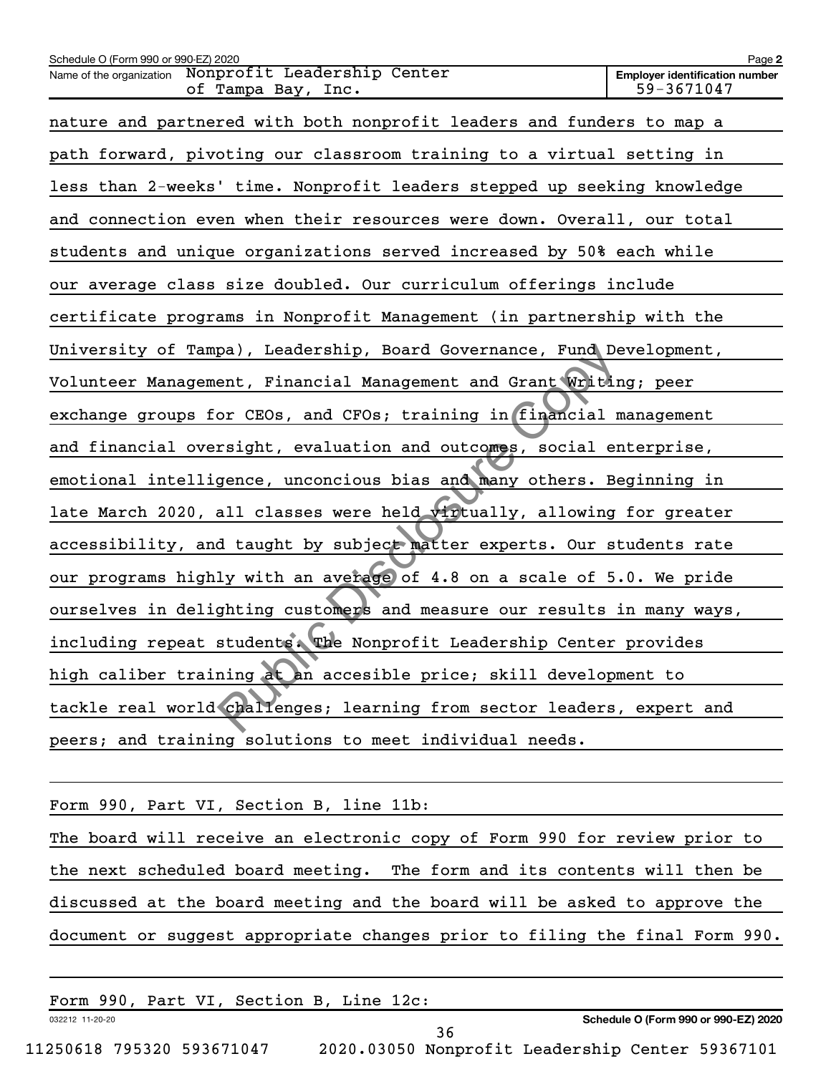| Schedule O (Form 990 or 990-EZ) 2020                                          | Page 2                                              |
|-------------------------------------------------------------------------------|-----------------------------------------------------|
| Nonprofit Leadership Center<br>Name of the organization<br>of Tampa Bay, Inc. | <b>Employer identification number</b><br>59-3671047 |
| nature and partnered with both nonprofit leaders and funders to map a         |                                                     |
| path forward, pivoting our classroom training to a virtual setting in         |                                                     |
| less than 2-weeks' time. Nonprofit leaders stepped up seeking knowledge       |                                                     |
| and connection even when their resources were down. Overall, our total        |                                                     |
| students and unique organizations served increased by 50% each while          |                                                     |
| our average class size doubled. Our curriculum offerings include              |                                                     |
| certificate programs in Nonprofit Management (in partnership with the         |                                                     |
| University of Tampa), Leadership, Board Governance, Fund Development,         |                                                     |
| Volunteer Management, Financial Management and Grant Writing; peer            |                                                     |
| exchange groups for CEOs, and CFOs; training in financial management          |                                                     |
| and financial oversight, evaluation and outcomes, social enterprise,          |                                                     |
| emotional intelligence, unconcious bias and many others. Beginning in         |                                                     |
| late March 2020, all classes were held virtually, allowing for greater        |                                                     |
| accessibility, and taught by subject matter experts. Our students rate        |                                                     |
| our programs highly with an average of 4.8 on a scale of 5.0. We pride        |                                                     |
| ourselves in delighting customers and measure our results in many ways,       |                                                     |
| including repeat students. The Nonprofit Leadership Center provides           |                                                     |
| high caliber training at an accesible price; skill development to             |                                                     |
| tackle real world challenges; learning from sector leaders, expert and        |                                                     |
| peers; and training solutions to meet individual needs.                       |                                                     |
|                                                                               |                                                     |

Form 990, Part VI, Section B, line 11b: The board will receive an electronic copy of Form 990 for review prior to the next scheduled board meeting. The form and its contents will then be discussed at the board meeting and the board will be asked to approve the document or suggest appropriate changes prior to filing the final Form 990.

|                 | Form 990, Part VI, Section B, Line 12c: |  |
|-----------------|-----------------------------------------|--|
| 032212 11-20-20 |                                         |  |

**Schedule O (Form 990 or 990-EZ) 2020**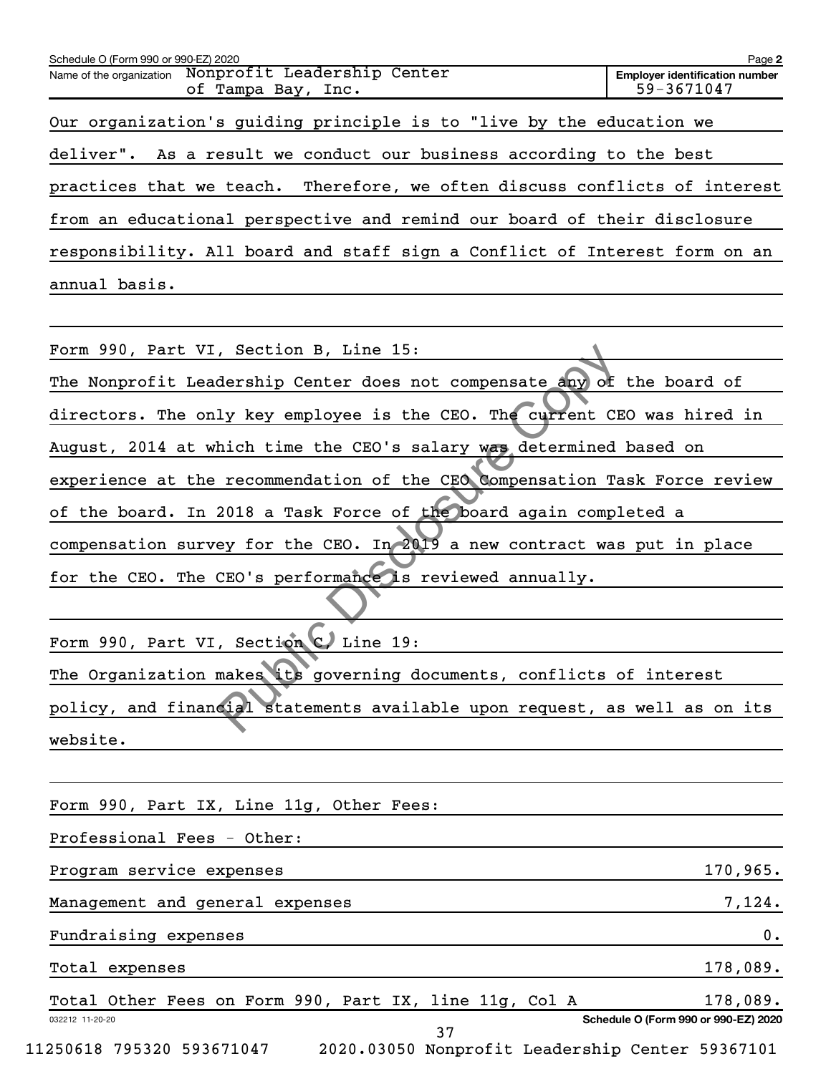| Schedule O (Form 990 or 990-EZ) 2020                                        | Page 2                                              |
|-----------------------------------------------------------------------------|-----------------------------------------------------|
| Name of the organization  Nonprofit Leadership Center<br>of Tampa Bay, Inc. | <b>Employer identification number</b><br>59-3671047 |
| Our organization's guiding principle is to "live by the education we        |                                                     |
| deliver". As a result we conduct our business according to the best         |                                                     |
| practices that we teach. Therefore, we often discuss conflicts of interest  |                                                     |
| from an educational perspective and remind our board of their disclosure    |                                                     |
| responsibility. All board and staff sign a Conflict of Interest form on an  |                                                     |
| annual basis.                                                               |                                                     |
|                                                                             |                                                     |
| Form 990, Part VI, Section B, Line 15:                                      |                                                     |
| The Nonprofit Leadership Center does not compensate any of the board of     |                                                     |
| directors. The only key employee is the CEO. The current CEO was hired in   |                                                     |
| August, 2014 at which time the CEO's salary was determined based on         |                                                     |
| experience at the recommendation of the CEO Compensation Task Force review  |                                                     |
| of the board. In 2018 a Task Force of the board again completed a           |                                                     |
| compensation survey for the CEO. In 2019 a new contract was put in place    |                                                     |
| for the CEO. The CEO's performance is reviewed annually.                    |                                                     |
|                                                                             |                                                     |
| Form 990, Part VI, Section C. Line 19:                                      |                                                     |
| The Organization makes its governing documents, conflicts of interest       |                                                     |
| policy, and financial statements available upon request, as well as on its  |                                                     |

Form 990, Part VI, Section C, Line 19: The Organization makes its governing documents, conflicts of interest policy, and financial statements available upon request, as well as on its website.

|                 | Form 990, Part IX, Line 11g, Other Fees:               |  |  |  |    |  |  |                                                 |
|-----------------|--------------------------------------------------------|--|--|--|----|--|--|-------------------------------------------------|
|                 | Professional Fees - Other:                             |  |  |  |    |  |  |                                                 |
|                 | Program service expenses                               |  |  |  |    |  |  | 170,965.                                        |
|                 | Management and general expenses                        |  |  |  |    |  |  | 7,124.                                          |
|                 | Fundraising expenses                                   |  |  |  |    |  |  | 0.                                              |
|                 | Total expenses                                         |  |  |  |    |  |  | 178,089.                                        |
|                 | Total Other Fees on Form 990, Part IX, line 11g, Col A |  |  |  |    |  |  | 178,089.                                        |
| 032212 11-20-20 |                                                        |  |  |  | 37 |  |  | Schedule O (Form 990 or 990-EZ) 2020            |
|                 | 11250618 795320 593671047                              |  |  |  |    |  |  | 2020.03050 Nonprofit Leadership Center 59367101 |